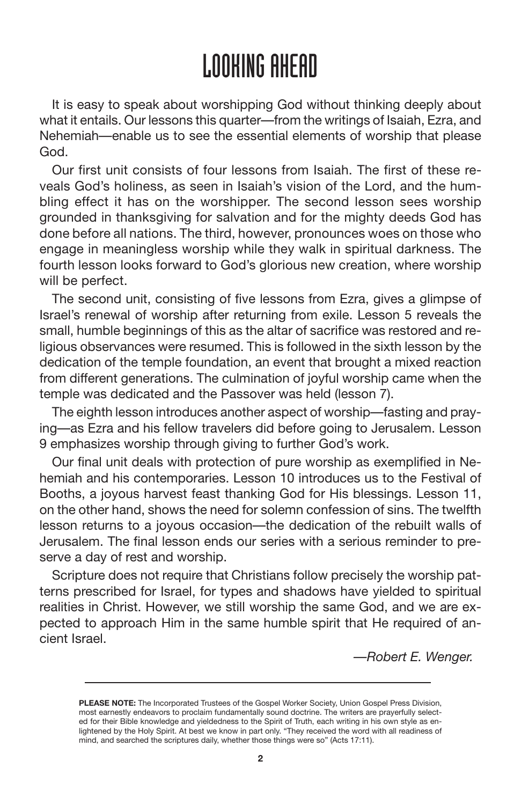### LOOKING AHEAD

It is easy to speak about worshipping God without thinking deeply about what it entails. Our lessons this quarter—from the writings of Isaiah, Ezra, and Nehemiah—enable us to see the essential elements of worship that please God.

Our first unit consists of four lessons from Isaiah. The first of these reveals God's holiness, as seen in Isaiah's vision of the Lord, and the humbling effect it has on the worshipper. The second lesson sees worship grounded in thanksgiving for salvation and for the mighty deeds God has done before all nations. The third, however, pronounces woes on those who engage in meaningless worship while they walk in spiritual darkness. The fourth lesson looks forward to God's glorious new creation, where worship will be perfect.

The second unit, consisting of five lessons from Ezra, gives a glimpse of Israel's renewal of worship after returning from exile. Lesson 5 reveals the small, humble beginnings of this as the altar of sacrifice was restored and religious observances were resumed. This is followed in the sixth lesson by the dedication of the temple foundation, an event that brought a mixed reaction from different generations. The culmination of joyful worship came when the temple was dedicated and the Passover was held (lesson 7).

The eighth lesson introduces another aspect of worship—fasting and praying—as Ezra and his fellow travelers did before going to Jerusalem. Lesson 9 emphasizes worship through giving to further God's work.

Our final unit deals with protection of pure worship as exemplified in Nehemiah and his contemporaries. Lesson 10 introduces us to the Festival of Booths, a joyous harvest feast thanking God for His blessings. Lesson 11, on the other hand, shows the need for solemn confession of sins. The twelfth lesson returns to a joyous occasion—the dedication of the rebuilt walls of Jerusalem. The final lesson ends our series with a serious reminder to preserve a day of rest and worship.

Scripture does not require that Christians follow precisely the worship patterns prescribed for Israel, for types and shadows have yielded to spiritual realities in Christ. However, we still worship the same God, and we are expected to approach Him in the same humble spirit that He required of ancient Israel.

*—Robert E. Wenger.*

**PLEASE NOTE:** The Incorporated Trustees of the Gospel Worker Society, Union Gospel Press Division, most earnestly endeavors to proclaim fundamentally sound doctrine. The writers are prayerfully selected for their Bible knowledge and yieldedness to the Spirit of Truth, each writing in his own style as enlightened by the Holy Spirit. At best we know in part only. "They received the word with all readiness of mind, and searched the scriptures daily, whether those things were so" (Acts 17:11).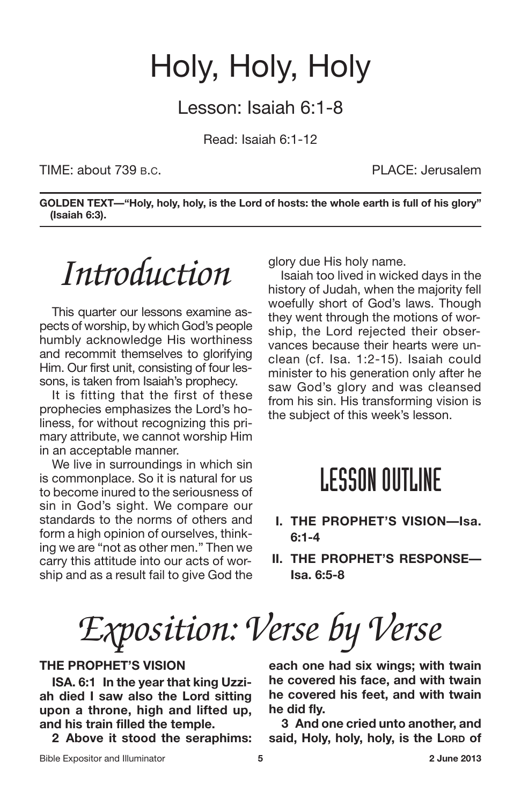### Holy, Holy, Holy

Lesson: Isaiah 6:1-8

Read: Isaiah 6:1-12

TIME: about 739 B.C. PLACE: Jerusalem

**GOLDEN TEXT—"Holy, holy, holy, is the Lord of hosts: the whole earth is full of his glory" (Isaiah 6:3).**

## *Introduction*

This quarter our lessons examine aspects of worship, by which God's people humbly acknowledge His worthiness and recommit themselves to glorifying Him. Our first unit, consisting of four lessons, is taken from Isaiah's prophecy.

It is fitting that the first of these prophecies emphasizes the Lord's holiness, for without recognizing this primary attribute, we cannot worship Him in an acceptable manner.

We live in surroundings in which sin is commonplace. So it is natural for us to become inured to the seriousness of sin in God's sight. We compare our standards to the norms of others and form a high opinion of ourselves, thinking we are "not as other men." Then we carry this attitude into our acts of worship and as a result fail to give God the glory due His holy name.

Isaiah too lived in wicked days in the history of Judah, when the majority fell woefully short of God's laws. Though they went through the motions of worship, the Lord rejected their observances because their hearts were unclean (cf. Isa. 1:2-15). Isaiah could minister to his generation only after he saw God's glory and was cleansed from his sin. His transforming vision is the subject of this week's lesson.

#### **LESSON OUTLINE**

- **I. THE PROPHET'S VISION—Isa. 6:1-4**
- **II. THE PROPHET'S RESPONSE— Isa. 6:5-8**

*Exposition: Verse by Verse*

#### **THE PROPHET'S VISION**

**ISA. 6:1 In the year that king Uzziah died I saw also the Lord sitting upon a throne, high and lifted up, and his train filled the temple.**

**2 Above it stood the seraphims:**

**each one had six wings; with twain he covered his face, and with twain he covered his feet, and with twain he did fly.**

**3 And one cried unto another, and said, Holy, holy, holy, is the LORD of**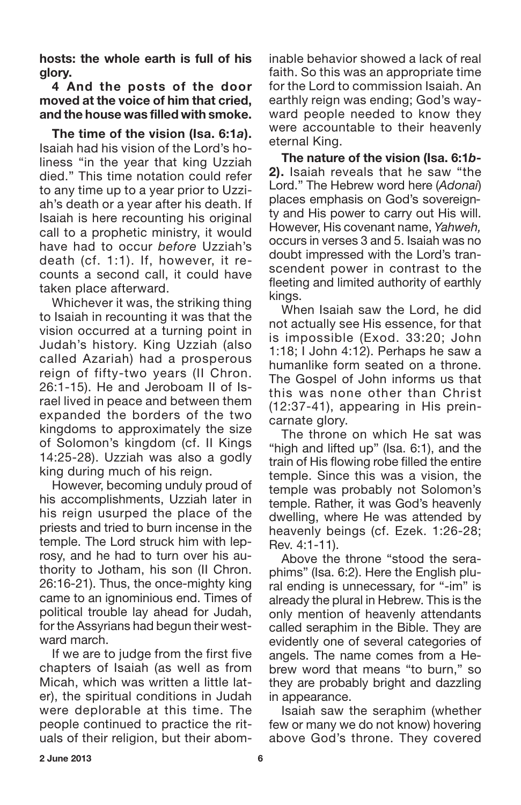**hosts: the whole earth is full of his glory.**

#### **4 And the posts of the door moved at the voice of him that cried, and the house was filled with smoke.**

**The time of the vision (Isa. 6:1***a***).** Isaiah had his vision of the Lord's holiness "in the year that king Uzziah died." This time notation could refer to any time up to a year prior to Uzziah's death or a year after his death. If Isaiah is here recounting his original call to a prophetic ministry, it would have had to occur *before* Uzziah's death (cf. 1:1). If, however, it recounts a second call, it could have taken place afterward.

Whichever it was, the striking thing to Isaiah in recounting it was that the vision occurred at a turning point in Judah's history. King Uzziah (also called Azariah) had a prosperous reign of fifty-two years (II Chron. 26:1-15). He and Jeroboam II of Israel lived in peace and between them expanded the borders of the two kingdoms to approximately the size of Solomon's kingdom (cf. II Kings 14:25-28). Uzziah was also a godly king during much of his reign.

However, becoming unduly proud of his accomplishments, Uzziah later in his reign usurped the place of the priests and tried to burn incense in the temple. The Lord struck him with leprosy, and he had to turn over his authority to Jotham, his son (II Chron. 26:16-21). Thus, the once-mighty king came to an ignominious end. Times of political trouble lay ahead for Judah, for the Assyrians had begun their westward march.

If we are to judge from the first five chapters of Isaiah (as well as from Micah, which was written a little later), the spiritual conditions in Judah were deplorable at this time. The people continued to practice the rituals of their religion, but their abominable behavior showed a lack of real faith. So this was an appropriate time for the Lord to commission Isaiah. An earthly reign was ending; God's wayward people needed to know they were accountable to their heavenly eternal King.

**The nature of the vision (Isa. 6:1***b***-2).** Isaiah reveals that he saw "the Lord." The Hebrew word here (*Adonai*) places emphasis on God's sovereignty and His power to carry out His will. However, His covenant name, *Yahweh,* occurs in verses 3 and 5. Isaiah was no doubt impressed with the Lord's transcendent power in contrast to the fleeting and limited authority of earthly kings.

When Isaiah saw the Lord, he did not actually see His essence, for that is impossible (Exod. 33:20; John 1:18; I John 4:12). Perhaps he saw a humanlike form seated on a throne. The Gospel of John informs us that this was none other than Christ (12:37-41), appearing in His preincarnate glory.

The throne on which He sat was "high and lifted up" (Isa. 6:1), and the train of His flowing robe filled the entire temple. Since this was a vision, the temple was probably not Solomon's temple. Rather, it was God's heavenly dwelling, where He was attended by heavenly beings (cf. Ezek. 1:26-28; Rev. 4:1-11).

Above the throne "stood the seraphims" (Isa. 6:2). Here the English plural ending is unnecessary, for "-im" is already the plural in Hebrew. This is the only mention of heavenly attendants called seraphim in the Bible. They are evidently one of several categories of angels. The name comes from a Hebrew word that means "to burn," so they are probably bright and dazzling in appearance.

Isaiah saw the seraphim (whether few or many we do not know) hovering above God's throne. They covered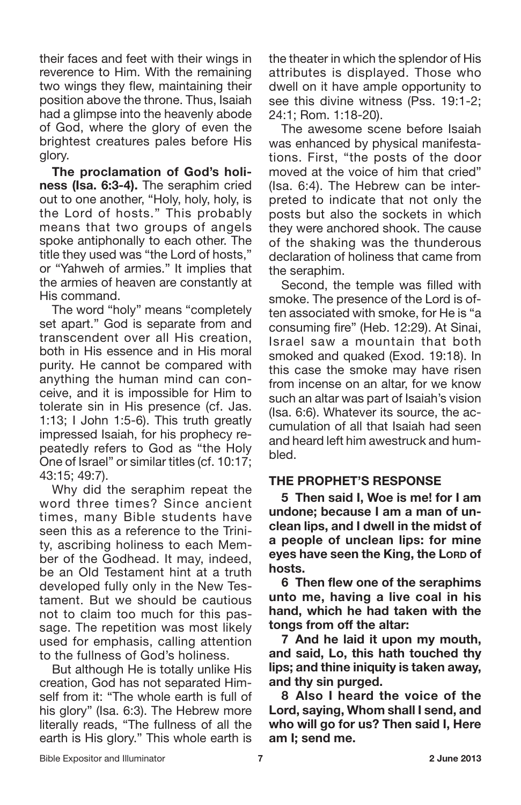their faces and feet with their wings in reverence to Him. With the remaining two wings they flew, maintaining their position above the throne. Thus, Isaiah had a glimpse into the heavenly abode of God, where the glory of even the brightest creatures pales before His glory.

**The proclamation of God's holiness (Isa. 6:3-4).** The seraphim cried out to one another, "Holy, holy, holy, is the Lord of hosts." This probably means that two groups of angels spoke antiphonally to each other. The title they used was "the Lord of hosts," or "Yahweh of armies." It implies that the armies of heaven are constantly at His command.

The word "holy" means "completely set apart." God is separate from and transcendent over all His creation, both in His essence and in His moral purity. He cannot be compared with anything the human mind can conceive, and it is impossible for Him to tolerate sin in His presence (cf. Jas. 1:13; I John 1:5-6). This truth greatly impressed Isaiah, for his prophecy repeatedly refers to God as "the Holy One of Israel" or similar titles (cf. 10:17; 43:15; 49:7).

Why did the seraphim repeat the word three times? Since ancient times, many Bible students have seen this as a reference to the Trinity, ascribing holiness to each Member of the Godhead. It may, indeed, be an Old Testament hint at a truth developed fully only in the New Testament. But we should be cautious not to claim too much for this passage. The repetition was most likely used for emphasis, calling attention to the fullness of God's holiness.

But although He is totally unlike His creation, God has not separated Himself from it: "The whole earth is full of his glory" (Isa. 6:3). The Hebrew more literally reads, "The fullness of all the earth is His glory." This whole earth is the theater in which the splendor of His attributes is displayed. Those who dwell on it have ample opportunity to see this divine witness (Pss. 19:1-2; 24:1; Rom. 1:18-20).

The awesome scene before Isaiah was enhanced by physical manifestations. First, "the posts of the door moved at the voice of him that cried" (Isa. 6:4). The Hebrew can be interpreted to indicate that not only the posts but also the sockets in which they were anchored shook. The cause of the shaking was the thunderous declaration of holiness that came from the seraphim.

Second, the temple was filled with smoke. The presence of the Lord is often associated with smoke, for He is "a consuming fire" (Heb. 12:29). At Sinai, Israel saw a mountain that both smoked and quaked (Exod. 19:18). In this case the smoke may have risen from incense on an altar, for we know such an altar was part of Isaiah's vision (Isa. 6:6). Whatever its source, the accumulation of all that Isaiah had seen and heard left him awestruck and humbled.

#### **THE PROPHET'S RESPONSE**

**5 Then said I, Woe is me! for I am undone; because I am a man of unclean lips, and I dwell in the midst of a people of unclean lips: for mine eyes have seen the King, the LORD of hosts.**

**6 Then flew one of the seraphims unto me, having a live coal in his hand, which he had taken with the tongs from off the altar:**

**7 And he laid it upon my mouth, and said, Lo, this hath touched thy lips; and thine iniquity is taken away, and thy sin purged.**

**8 Also I heard the voice of the Lord, saying, Whom shall I send, and who will go for us? Then said I, Here am I; send me.**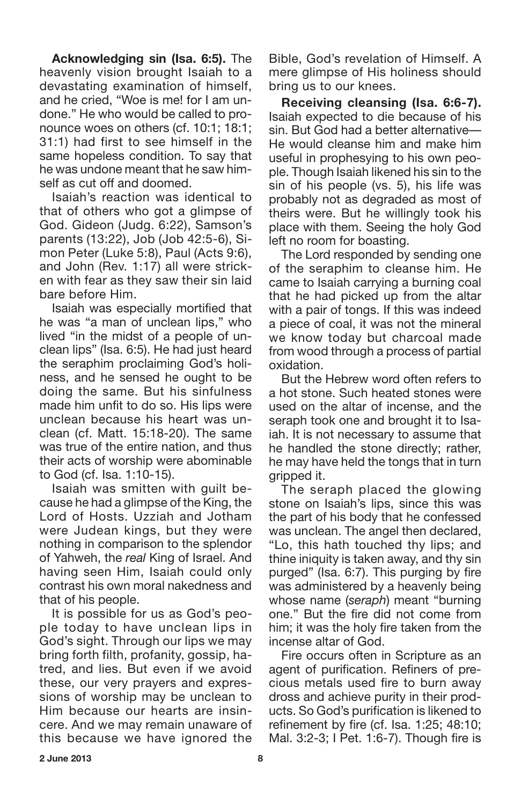**Acknowledging sin (Isa. 6:5).** The heavenly vision brought Isaiah to a devastating examination of himself, and he cried, "Woe is me! for I am undone." He who would be called to pronounce woes on others (cf. 10:1; 18:1; 31:1) had first to see himself in the same hopeless condition. To say that he was undone meant that he saw himself as cut off and doomed.

Isaiah's reaction was identical to that of others who got a glimpse of God. Gideon (Judg. 6:22), Samson's parents (13:22), Job (Job 42:5-6), Simon Peter (Luke 5:8), Paul (Acts 9:6), and John (Rev. 1:17) all were stricken with fear as they saw their sin laid bare before Him.

Isaiah was especially mortified that he was "a man of unclean lips," who lived "in the midst of a people of unclean lips" (Isa. 6:5). He had just heard the seraphim proclaiming God's holiness, and he sensed he ought to be doing the same. But his sinfulness made him unfit to do so. His lips were unclean because his heart was unclean (cf. Matt. 15:18-20). The same was true of the entire nation, and thus their acts of worship were abominable to God (cf. Isa. 1:10-15).

Isaiah was smitten with guilt because he had a glimpse of the King, the Lord of Hosts. Uzziah and Jotham were Judean kings, but they were nothing in comparison to the splendor of Yahweh, the *real* King of Israel. And having seen Him, Isaiah could only contrast his own moral nakedness and that of his people.

It is possible for us as God's people today to have unclean lips in God's sight. Through our lips we may bring forth filth, profanity, gossip, hatred, and lies. But even if we avoid these, our very prayers and expressions of worship may be unclean to Him because our hearts are insincere. And we may remain unaware of this because we have ignored the Bible, God's revelation of Himself. A mere glimpse of His holiness should bring us to our knees.

**Receiving cleansing (Isa. 6:6-7).** Isaiah expected to die because of his sin. But God had a better alternative— He would cleanse him and make him useful in prophesying to his own people. Though Isaiah likened his sin to the sin of his people (vs. 5), his life was probably not as degraded as most of theirs were. But he willingly took his place with them. Seeing the holy God left no room for boasting.

The Lord responded by sending one of the seraphim to cleanse him. He came to Isaiah carrying a burning coal that he had picked up from the altar with a pair of tongs. If this was indeed a piece of coal, it was not the mineral we know today but charcoal made from wood through a process of partial oxidation.

But the Hebrew word often refers to a hot stone. Such heated stones were used on the altar of incense, and the seraph took one and brought it to Isaiah. It is not necessary to assume that he handled the stone directly; rather, he may have held the tongs that in turn gripped it.

The seraph placed the glowing stone on Isaiah's lips, since this was the part of his body that he confessed was unclean. The angel then declared, "Lo, this hath touched thy lips; and thine iniquity is taken away, and thy sin purged" (Isa. 6:7). This purging by fire was administered by a heavenly being whose name (*seraph*) meant "burning one." But the fire did not come from him; it was the holy fire taken from the incense altar of God.

Fire occurs often in Scripture as an agent of purification. Refiners of precious metals used fire to burn away dross and achieve purity in their products. So God's purification is likened to refinement by fire (cf. Isa. 1:25; 48:10; Mal. 3:2-3; I Pet. 1:6-7). Though fire is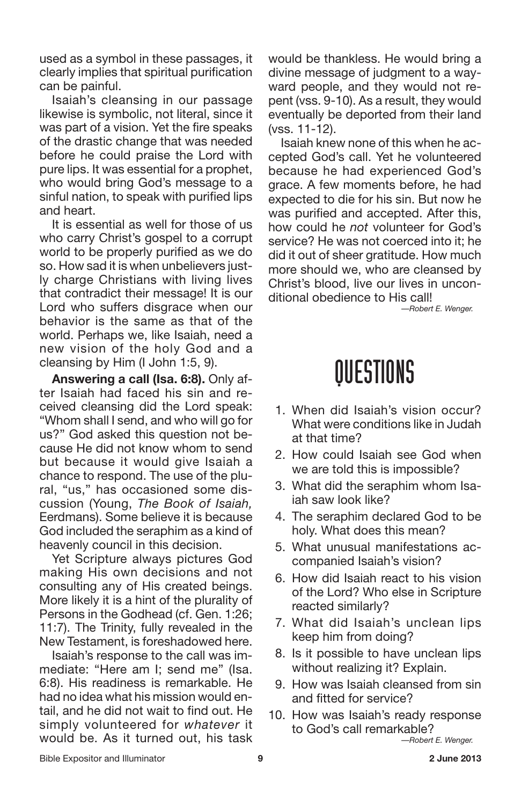used as a symbol in these passages, it clearly implies that spiritual purification can be painful.

Isaiah's cleansing in our passage likewise is symbolic, not literal, since it was part of a vision. Yet the fire speaks of the drastic change that was needed before he could praise the Lord with pure lips. It was essential for a prophet, who would bring God's message to a sinful nation, to speak with purified lips and heart.

It is essential as well for those of us who carry Christ's gospel to a corrupt world to be properly purified as we do so. How sad it is when unbelievers justly charge Christians with living lives that contradict their message! It is our Lord who suffers disgrace when our behavior is the same as that of the world. Perhaps we, like Isaiah, need a new vision of the holy God and a cleansing by Him (I John 1:5, 9).

**Answering a call (Isa. 6:8).** Only after Isaiah had faced his sin and received cleansing did the Lord speak: "Whom shall I send, and who will go for us?" God asked this question not because He did not know whom to send but because it would give Isaiah a chance to respond. The use of the plural, "us," has occasioned some discussion (Young, *The Book of Isaiah,* Eerdmans). Some believe it is because God included the seraphim as a kind of heavenly council in this decision.

Yet Scripture always pictures God making His own decisions and not consulting any of His created beings. More likely it is a hint of the plurality of Persons in the Godhead (cf. Gen. 1:26; 11:7). The Trinity, fully revealed in the New Testament, is foreshadowed here.

Isaiah's response to the call was immediate: "Here am I; send me" (Isa. 6:8). His readiness is remarkable. He had no idea what his mission would entail, and he did not wait to find out. He simply volunteered for *whatever* it would be. As it turned out, his task would be thankless. He would bring a divine message of judgment to a wayward people, and they would not repent (vss. 9-10). As a result, they would eventually be deported from their land (vss. 11-12).

Isaiah knew none of this when he accepted God's call. Yet he volunteered because he had experienced God's grace. A few moments before, he had expected to die for his sin. But now he was purified and accepted. After this, how could he *not* volunteer for God's service? He was not coerced into it; he did it out of sheer gratitude. How much more should we, who are cleansed by Christ's blood, live our lives in unconditional obedience to His call!

*—Robert E. Wenger.*

### QUESTIONS

- 1. When did Isaiah's vision occur? What were conditions like in Judah at that time?
- 2. How could Isaiah see God when we are told this is impossible?
- 3. What did the seraphim whom Isaiah saw look like?
- 4. The seraphim declared God to be holy. What does this mean?
- 5. What unusual manifestations accompanied Isaiah's vision?
- 6. How did Isaiah react to his vision of the Lord? Who else in Scripture reacted similarly?
- 7. What did Isaiah's unclean lips keep him from doing?
- 8. Is it possible to have unclean lips without realizing it? Explain.
- 9. How was Isaiah cleansed from sin and fitted for service?
- 10. How was Isaiah's ready response to God's call remarkable?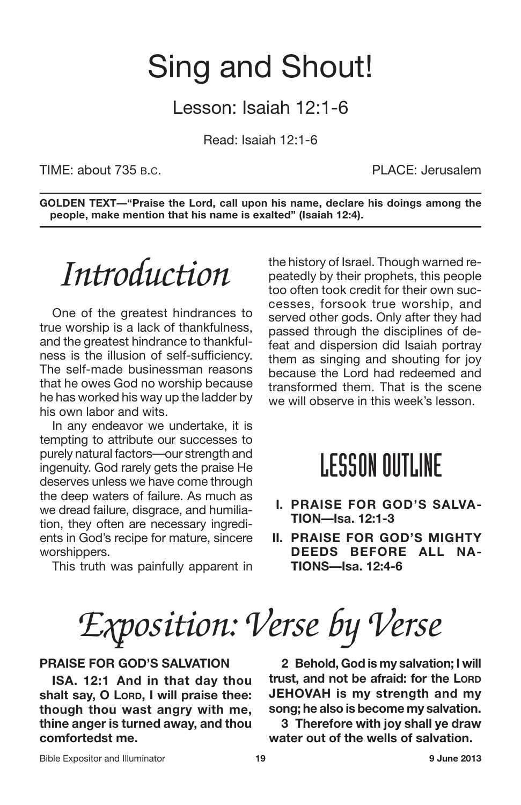### Sing and Shout!

Lesson: Isaiah 12:1-6

Read: Isaiah 12:1-6

TIME: about 735 B.C. PLACE: Jerusalem

**GOLDEN TEXT—"Praise the Lord, call upon his name, declare his doings among the people, make mention that his name is exalted" (Isaiah 12:4).**

## *Introduction*

One of the greatest hindrances to true worship is a lack of thankfulness, and the greatest hindrance to thankfulness is the illusion of self-sufficiency. The self-made businessman reasons that he owes God no worship because he has worked his way up the ladder by his own labor and wits.

In any endeavor we undertake, it is tempting to attribute our successes to purely natural factors—our strength and ingenuity. God rarely gets the praise He deserves unless we have come through the deep waters of failure. As much as we dread failure, disgrace, and humiliation, they often are necessary ingredients in God's recipe for mature, sincere worshippers.

This truth was painfully apparent in

the history of Israel. Though warned repeatedly by their prophets, this people too often took credit for their own successes, forsook true worship, and served other gods. Only after they had passed through the disciplines of defeat and dispersion did Isaiah portray them as singing and shouting for joy because the Lord had redeemed and transformed them. That is the scene we will observe in this week's lesson.

### **LESSON OUTLINE**

- **I. PRAISE FOR GOD'S SALVA-TION—Isa. 12:1-3**
- **II. PRAISE FOR GOD'S MIGHTY DEEDS BEFORE ALL NA-TIONS—Isa. 12:4-6**

*Exposition: Verse by Verse*

#### **PRAISE FOR GOD'S SALVATION**

**ISA. 12:1 And in that day thou shalt say, O LORD, I will praise thee: though thou wast angry with me, thine anger is turned away, and thou comfortedst me.**

**2 Behold, God is my salvation; I will trust, and not be afraid: for the LORD JEHOVAH is my strength and my song; he also is become my salvation.**

**3 Therefore with joy shall ye draw water out of the wells of salvation.**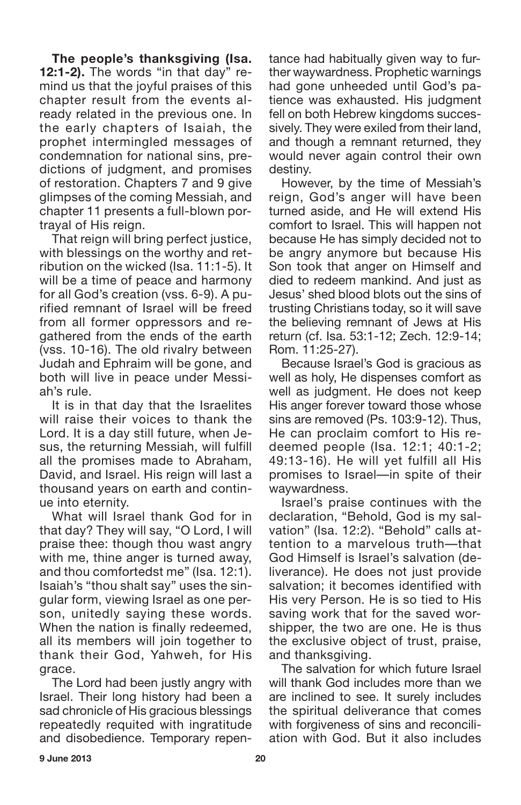**The people's thanksgiving (Isa. 12:1-2).** The words "in that day" remind us that the joyful praises of this chapter result from the events already related in the previous one. In the early chapters of Isaiah, the prophet intermingled messages of condemnation for national sins, predictions of judgment, and promises of restoration. Chapters 7 and 9 give glimpses of the coming Messiah, and chapter 11 presents a full-blown portrayal of His reign.

That reign will bring perfect justice, with blessings on the worthy and retribution on the wicked (Isa. 11:1-5). It will be a time of peace and harmony for all God's creation (vss. 6-9). A purified remnant of Israel will be freed from all former oppressors and regathered from the ends of the earth (vss. 10-16). The old rivalry between Judah and Ephraim will be gone, and both will live in peace under Messiah's rule.

It is in that day that the Israelites will raise their voices to thank the Lord. It is a day still future, when Jesus, the returning Messiah, will fulfill all the promises made to Abraham, David, and Israel. His reign will last a thousand years on earth and continue into eternity.

What will Israel thank God for in that day? They will say, "O Lord, I will praise thee: though thou wast angry with me, thine anger is turned away, and thou comfortedst me" (Isa. 12:1). Isaiah's "thou shalt say" uses the singular form, viewing Israel as one person, unitedly saying these words. When the nation is finally redeemed, all its members will join together to thank their God, Yahweh, for His grace.

The Lord had been justly angry with Israel. Their long history had been a sad chronicle of His gracious blessings repeatedly requited with ingratitude and disobedience. Temporary repentance had habitually given way to further waywardness. Prophetic warnings had gone unheeded until God's patience was exhausted. His judgment fell on both Hebrew kingdoms successively. They were exiled from their land, and though a remnant returned, they would never again control their own destiny.

However, by the time of Messiah's reign, God's anger will have been turned aside, and He will extend His comfort to Israel. This will happen not because He has simply decided not to be angry anymore but because His Son took that anger on Himself and died to redeem mankind. And just as Jesus' shed blood blots out the sins of trusting Christians today, so it will save the believing remnant of Jews at His return (cf. Isa. 53:1-12; Zech. 12:9-14; Rom. 11:25-27).

Because Israel's God is gracious as well as holy, He dispenses comfort as well as judgment. He does not keep His anger forever toward those whose sins are removed (Ps. 103:9-12). Thus, He can proclaim comfort to His redeemed people (Isa. 12:1; 40:1-2; 49:13-16). He will yet fulfill all His promises to Israel—in spite of their waywardness.

Israel's praise continues with the declaration, "Behold, God is my salvation" (Isa. 12:2). "Behold" calls attention to a marvelous truth—that God Himself is Israel's salvation (deliverance). He does not just provide salvation; it becomes identified with His very Person. He is so tied to His saving work that for the saved worshipper, the two are one. He is thus the exclusive object of trust, praise, and thanksgiving.

The salvation for which future Israel will thank God includes more than we are inclined to see. It surely includes the spiritual deliverance that comes with forgiveness of sins and reconciliation with God. But it also includes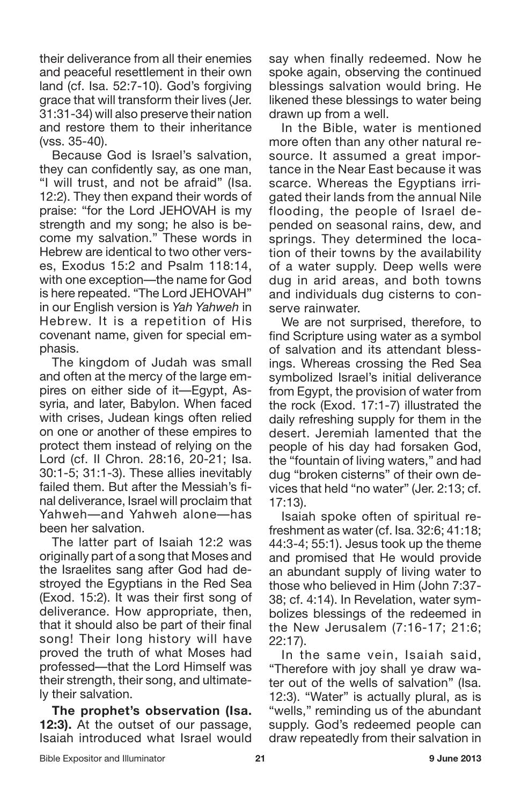their deliverance from all their enemies and peaceful resettlement in their own land (cf. Isa. 52:7-10). God's forgiving grace that will transform their lives (Jer. 31:31-34) will also preserve their nation and restore them to their inheritance (vss. 35-40).

Because God is Israel's salvation, they can confidently say, as one man, "I will trust, and not be afraid" (Isa. 12:2). They then expand their words of praise: "for the Lord JEHOVAH is my strength and my song; he also is become my salvation." These words in Hebrew are identical to two other verses, Exodus 15:2 and Psalm 118:14, with one exception—the name for God is here repeated. "The Lord JEHOVAH" in our English version is *Yah Yahweh* in Hebrew. It is a repetition of His covenant name, given for special emphasis.

The kingdom of Judah was small and often at the mercy of the large empires on either side of it—Egypt, Assyria, and later, Babylon. When faced with crises, Judean kings often relied on one or another of these empires to protect them instead of relying on the Lord (cf. II Chron. 28:16, 20-21; Isa. 30:1-5; 31:1-3). These allies inevitably failed them. But after the Messiah's final deliverance, Israel will proclaim that Yahweh—and Yahweh alone—has been her salvation.

The latter part of Isaiah 12:2 was originally part of a song that Moses and the Israelites sang after God had destroyed the Egyptians in the Red Sea (Exod. 15:2). It was their first song of deliverance. How appropriate, then, that it should also be part of their final song! Their long history will have proved the truth of what Moses had professed—that the Lord Himself was their strength, their song, and ultimately their salvation.

**The prophet's observation (Isa. 12:3).** At the outset of our passage, Isaiah introduced what Israel would say when finally redeemed. Now he spoke again, observing the continued blessings salvation would bring. He likened these blessings to water being drawn up from a well.

In the Bible, water is mentioned more often than any other natural resource. It assumed a great importance in the Near East because it was scarce. Whereas the Egyptians irrigated their lands from the annual Nile flooding, the people of Israel depended on seasonal rains, dew, and springs. They determined the location of their towns by the availability of a water supply. Deep wells were dug in arid areas, and both towns and individuals dug cisterns to conserve rainwater.

We are not surprised, therefore, to find Scripture using water as a symbol of salvation and its attendant blessings. Whereas crossing the Red Sea symbolized Israel's initial deliverance from Egypt, the provision of water from the rock (Exod. 17:1-7) illustrated the daily refreshing supply for them in the desert. Jeremiah lamented that the people of his day had forsaken God, the "fountain of living waters," and had dug "broken cisterns" of their own devices that held "no water" (Jer. 2:13; cf. 17:13).

Isaiah spoke often of spiritual refreshment as water (cf. Isa. 32:6; 41:18; 44:3-4; 55:1). Jesus took up the theme and promised that He would provide an abundant supply of living water to those who believed in Him (John 7:37- 38; cf. 4:14). In Revelation, water symbolizes blessings of the redeemed in the New Jerusalem (7:16-17; 21:6; 22:17).

In the same vein, Isaiah said, "Therefore with joy shall ye draw water out of the wells of salvation" (Isa. 12:3). "Water" is actually plural, as is "wells," reminding us of the abundant supply. God's redeemed people can draw repeatedly from their salvation in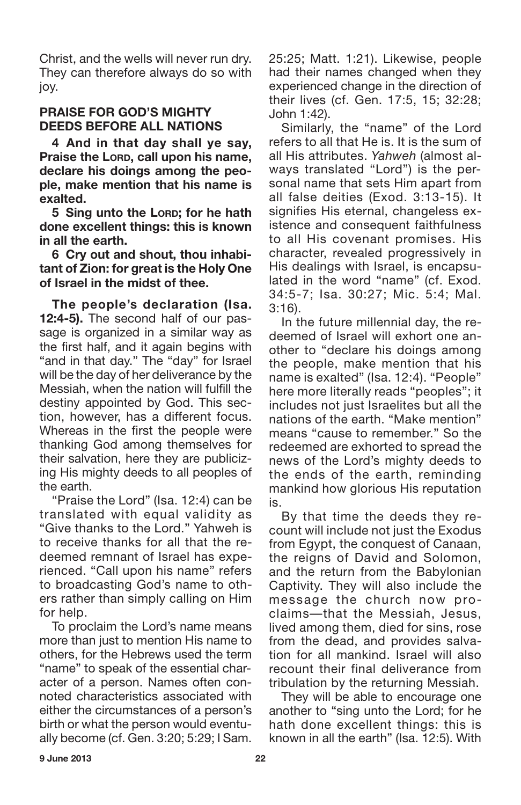Christ, and the wells will never run dry. They can therefore always do so with joy.

#### **PRAISE FOR GOD'S MIGHTY DEEDS BEFORE ALL NATIONS**

**4 And in that day shall ye say, Praise the LORD, call upon his name, declare his doings among the people, make mention that his name is exalted.**

**5 Sing unto the LORD; for he hath done excellent things: this is known in all the earth.**

**6 Cry out and shout, thou inhabitant of Zion: for great is the Holy One of Israel in the midst of thee.**

**The people's declaration (Isa. 12:4-5).** The second half of our passage is organized in a similar way as the first half, and it again begins with "and in that day." The "day" for Israel will be the day of her deliverance by the Messiah, when the nation will fulfill the destiny appointed by God. This section, however, has a different focus. Whereas in the first the people were thanking God among themselves for their salvation, here they are publicizing His mighty deeds to all peoples of the earth.

"Praise the Lord" (Isa. 12:4) can be translated with equal validity as "Give thanks to the Lord." Yahweh is to receive thanks for all that the redeemed remnant of Israel has experienced. "Call upon his name" refers to broadcasting God's name to others rather than simply calling on Him for help.

To proclaim the Lord's name means more than just to mention His name to others, for the Hebrews used the term "name" to speak of the essential character of a person. Names often connoted characteristics associated with either the circumstances of a person's birth or what the person would eventually become (cf. Gen. 3:20; 5:29; I Sam.

25:25; Matt. 1:21). Likewise, people had their names changed when they experienced change in the direction of their lives (cf. Gen. 17:5, 15; 32:28; John 1:42).

Similarly, the "name" of the Lord refers to all that He is. It is the sum of all His attributes. *Yahweh* (almost always translated "Lord") is the personal name that sets Him apart from all false deities (Exod. 3:13-15). It signifies His eternal, changeless existence and consequent faithfulness to all His covenant promises. His character, revealed progressively in His dealings with Israel, is encapsulated in the word "name" (cf. Exod. 34:5-7; Isa. 30:27; Mic. 5:4; Mal. 3:16).

In the future millennial day, the redeemed of Israel will exhort one another to "declare his doings among the people, make mention that his name is exalted" (Isa. 12:4). "People" here more literally reads "peoples"; it includes not just Israelites but all the nations of the earth. "Make mention" means "cause to remember." So the redeemed are exhorted to spread the news of the Lord's mighty deeds to the ends of the earth, reminding mankind how glorious His reputation is.

By that time the deeds they recount will include not just the Exodus from Egypt, the conquest of Canaan, the reigns of David and Solomon, and the return from the Babylonian Captivity. They will also include the message the church now proclaims—that the Messiah, Jesus, lived among them, died for sins, rose from the dead, and provides salvation for all mankind. Israel will also recount their final deliverance from tribulation by the returning Messiah.

They will be able to encourage one another to "sing unto the Lord; for he hath done excellent things: this is known in all the earth" (Isa. 12:5). With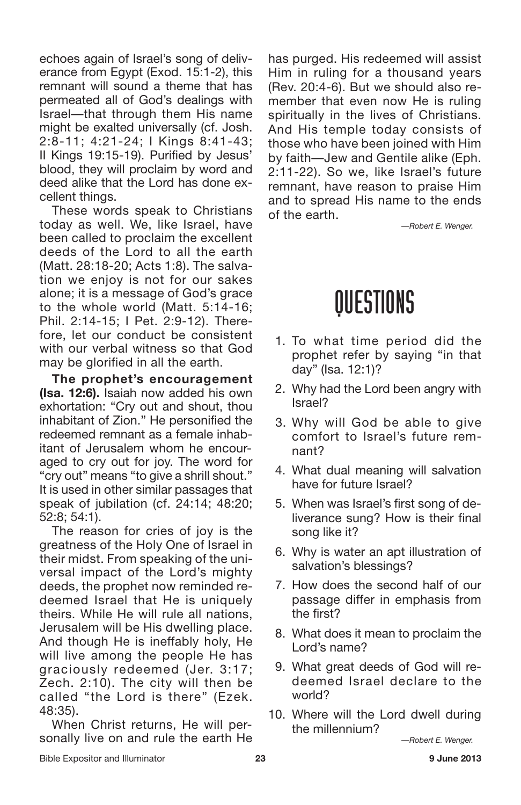echoes again of Israel's song of deliverance from Egypt (Exod. 15:1-2), this remnant will sound a theme that has permeated all of God's dealings with Israel—that through them His name might be exalted universally (cf. Josh. 2:8-11; 4:21-24; I Kings 8:41-43; II Kings 19:15-19). Purified by Jesus' blood, they will proclaim by word and deed alike that the Lord has done excellent things.

These words speak to Christians today as well. We, like Israel, have been called to proclaim the excellent deeds of the Lord to all the earth (Matt. 28:18-20; Acts 1:8). The salvation we enjoy is not for our sakes alone; it is a message of God's grace to the whole world (Matt. 5:14-16; Phil. 2:14-15; I Pet. 2:9-12). Therefore, let our conduct be consistent with our verbal witness so that God may be glorified in all the earth.

**The prophet's encouragement (Isa. 12:6).** Isaiah now added his own exhortation: "Cry out and shout, thou inhabitant of Zion." He personified the redeemed remnant as a female inhabitant of Jerusalem whom he encouraged to cry out for joy. The word for "cry out" means "to give a shrill shout." It is used in other similar passages that speak of jubilation (cf. 24:14; 48:20; 52:8; 54:1).

The reason for cries of joy is the greatness of the Holy One of Israel in their midst. From speaking of the universal impact of the Lord's mighty deeds, the prophet now reminded redeemed Israel that He is uniquely theirs. While He will rule all nations, Jerusalem will be His dwelling place. And though He is ineffably holy, He will live among the people He has graciously redeemed (Jer. 3:17; Zech. 2:10). The city will then be called "the Lord is there" (Ezek. 48:35).

When Christ returns, He will personally live on and rule the earth He has purged. His redeemed will assist Him in ruling for a thousand years (Rev. 20:4-6). But we should also remember that even now He is ruling spiritually in the lives of Christians. And His temple today consists of those who have been joined with Him by faith—Jew and Gentile alike (Eph. 2:11-22). So we, like Israel's future remnant, have reason to praise Him and to spread His name to the ends of the earth.

*—Robert E. Wenger.*

### QUESTIONS

- 1. To what time period did the prophet refer by saying "in that day" (Isa. 12:1)?
- 2. Why had the Lord been angry with Israel?
- 3. Why will God be able to give comfort to Israel's future remnant?
- 4. What dual meaning will salvation have for future Israel?
- 5. When was Israel's first song of deliverance sung? How is their final song like it?
- 6. Why is water an apt illustration of salvation's blessings?
- 7. How does the second half of our passage differ in emphasis from the first?
- 8. What does it mean to proclaim the Lord's name?
- 9. What great deeds of God will redeemed Israel declare to the world?
- 10. Where will the Lord dwell during the millennium?

*—Robert E. Wenger.*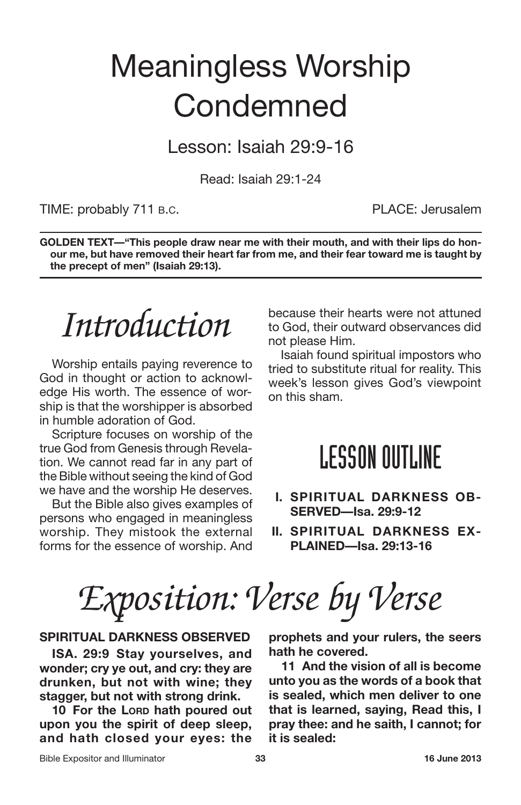## Meaningless Worship **Condemned**

Lesson: Isaiah 29:9-16

Read: Isaiah 29:1-24

#### TIME: probably 711 B.C. THE PLACE: Jerusalem

**GOLDEN TEXT—"This people draw near me with their mouth, and with their lips do honour me, but have removed their heart far from me, and their fear toward me is taught by the precept of men" (Isaiah 29:13).**

*Introduction*

Worship entails paying reverence to God in thought or action to acknowledge His worth. The essence of worship is that the worshipper is absorbed in humble adoration of God.

Scripture focuses on worship of the true God from Genesis through Revelation. We cannot read far in any part of the Bible without seeing the kind of God we have and the worship He deserves.

But the Bible also gives examples of persons who engaged in meaningless worship. They mistook the external forms for the essence of worship. And because their hearts were not attuned to God, their outward observances did not please Him.

Isaiah found spiritual impostors who tried to substitute ritual for reality. This week's lesson gives God's viewpoint on this sham.

### LESSON OUTLINE

- **I. SPIRITUAL DARKNESS OB-SERVED—Isa. 29:9-12**
- **II. SPIRITUAL DARKNESS EX-PLAINED—Isa. 29:13-16**

*Exposition: Verse by Verse*

#### **SPIRITUAL DARKNESS OBSERVED**

**ISA. 29:9 Stay yourselves, and wonder; cry ye out, and cry: they are drunken, but not with wine; they stagger, but not with strong drink.**

**10 For the LORD hath poured out upon you the spirit of deep sleep, and hath closed your eyes: the** **prophets and your rulers, the seers hath he covered.**

**11 And the vision of all is become unto you as the words of a book that is sealed, which men deliver to one that is learned, saying, Read this, I pray thee: and he saith, I cannot; for it is sealed:**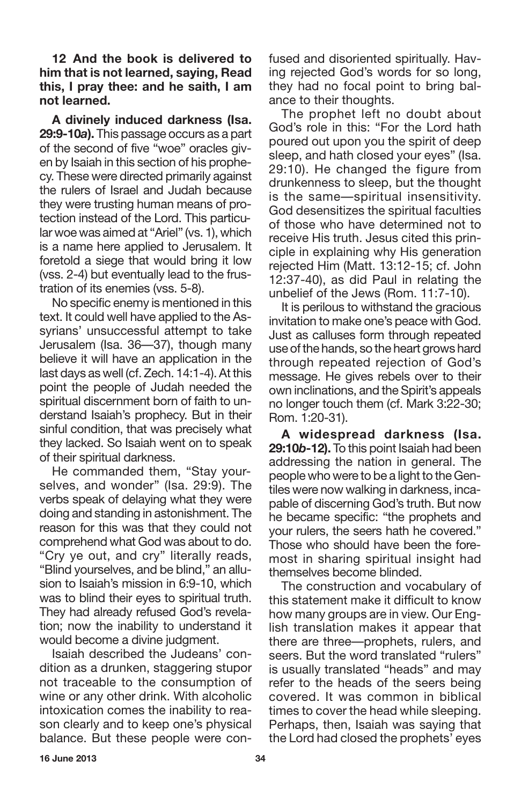**12 And the book is delivered to him that is not learned, saying, Read this, I pray thee: and he saith, I am not learned.**

**A divinely induced darkness (Isa. 29:9-10***a***).** This passage occurs as a part of the second of five "woe" oracles given by Isaiah in this section of his prophecy. These were directed primarily against the rulers of Israel and Judah because they were trusting human means of protection instead of the Lord. This particular woe was aimed at "Ariel" (vs. 1), which is a name here applied to Jerusalem. It foretold a siege that would bring it low (vss. 2-4) but eventually lead to the frustration of its enemies (vss. 5-8).

No specific enemy is mentioned in this text. It could well have applied to the Assyrians' unsuccessful attempt to take Jerusalem (Isa. 36—37), though many believe it will have an application in the last days as well (cf. Zech. 14:1-4). At this point the people of Judah needed the spiritual discernment born of faith to understand Isaiah's prophecy. But in their sinful condition, that was precisely what they lacked. So Isaiah went on to speak of their spiritual darkness.

He commanded them, "Stay yourselves, and wonder" (Isa. 29:9). The verbs speak of delaying what they were doing and standing in astonishment. The reason for this was that they could not comprehend what God was about to do. "Cry ye out, and cry" literally reads, "Blind yourselves, and be blind," an allusion to Isaiah's mission in 6:9-10, which was to blind their eyes to spiritual truth. They had already refused God's revelation; now the inability to understand it would become a divine judgment.

Isaiah described the Judeans' condition as a drunken, staggering stupor not traceable to the consumption of wine or any other drink. With alcoholic intoxication comes the inability to reason clearly and to keep one's physical balance. But these people were confused and disoriented spiritually. Having rejected God's words for so long, they had no focal point to bring balance to their thoughts.

The prophet left no doubt about God's role in this: "For the Lord hath poured out upon you the spirit of deep sleep, and hath closed your eyes" (Isa. 29:10). He changed the figure from drunkenness to sleep, but the thought is the same—spiritual insensitivity. God desensitizes the spiritual faculties of those who have determined not to receive His truth. Jesus cited this principle in explaining why His generation rejected Him (Matt. 13:12-15; cf. John 12:37-40), as did Paul in relating the unbelief of the Jews (Rom. 11:7-10).

It is perilous to withstand the gracious invitation to make one's peace with God. Just as calluses form through repeated use of the hands, so the heart grows hard through repeated rejection of God's message. He gives rebels over to their own inclinations, and the Spirit's appeals no longer touch them (cf. Mark 3:22-30; Rom. 1:20-31).

**A widespread darkness (Isa. 29:10***b***-12).** To this point Isaiah had been addressing the nation in general. The people who were to be a light to the Gentiles were now walking in darkness, incapable of discerning God's truth. But now he became specific: "the prophets and your rulers, the seers hath he covered." Those who should have been the foremost in sharing spiritual insight had themselves become blinded.

The construction and vocabulary of this statement make it difficult to know how many groups are in view. Our English translation makes it appear that there are three—prophets, rulers, and seers. But the word translated "rulers" is usually translated "heads" and may refer to the heads of the seers being covered. It was common in biblical times to cover the head while sleeping. Perhaps, then, Isaiah was saying that the Lord had closed the prophets' eyes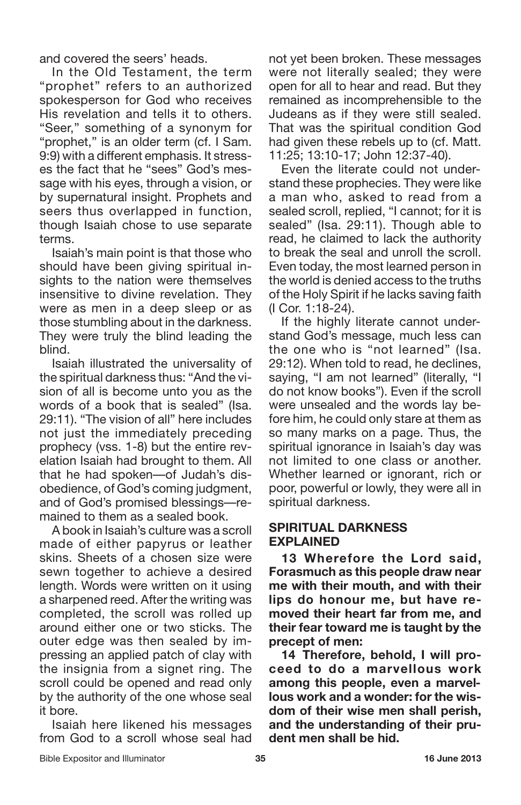and covered the seers' heads.

In the Old Testament, the term "prophet" refers to an authorized spokesperson for God who receives His revelation and tells it to others. "Seer," something of a synonym for "prophet," is an older term (cf. I Sam. 9:9) with a different emphasis. It stresses the fact that he "sees" God's message with his eyes, through a vision, or by supernatural insight. Prophets and seers thus overlapped in function. though Isaiah chose to use separate terms.

Isaiah's main point is that those who should have been giving spiritual insights to the nation were themselves insensitive to divine revelation. They were as men in a deep sleep or as those stumbling about in the darkness. They were truly the blind leading the blind.

Isaiah illustrated the universality of the spiritual darkness thus: "And the vision of all is become unto you as the words of a book that is sealed" (Isa. 29:11). "The vision of all" here includes not just the immediately preceding prophecy (vss. 1-8) but the entire revelation Isaiah had brought to them. All that he had spoken—of Judah's disobedience, of God's coming judgment, and of God's promised blessings—remained to them as a sealed book.

A book in Isaiah's culture was a scroll made of either papyrus or leather skins. Sheets of a chosen size were sewn together to achieve a desired length. Words were written on it using a sharpened reed. After the writing was completed, the scroll was rolled up around either one or two sticks. The outer edge was then sealed by impressing an applied patch of clay with the insignia from a signet ring. The scroll could be opened and read only by the authority of the one whose seal it bore.

Isaiah here likened his messages from God to a scroll whose seal had not yet been broken. These messages were not literally sealed; they were open for all to hear and read. But they remained as incomprehensible to the Judeans as if they were still sealed. That was the spiritual condition God had given these rebels up to (cf. Matt. 11:25; 13:10-17; John 12:37-40).

Even the literate could not understand these prophecies. They were like a man who, asked to read from a sealed scroll, replied, "I cannot; for it is sealed" (Isa. 29:11). Though able to read, he claimed to lack the authority to break the seal and unroll the scroll. Even today, the most learned person in the world is denied access to the truths of the Holy Spirit if he lacks saving faith (I Cor. 1:18-24).

If the highly literate cannot understand God's message, much less can the one who is "not learned" (Isa. 29:12). When told to read, he declines, saying, "I am not learned" (literally, "I do not know books"). Even if the scroll were unsealed and the words lay before him, he could only stare at them as so many marks on a page. Thus, the spiritual ignorance in Isaiah's day was not limited to one class or another. Whether learned or ignorant, rich or poor, powerful or lowly, they were all in spiritual darkness.

#### **SPIRITUAL DARKNESS EXPLAINED**

**13 Wherefore the Lord said, Forasmuch as this people draw near me with their mouth, and with their lips do honour me, but have removed their heart far from me, and their fear toward me is taught by the precept of men:**

**14 Therefore, behold, I will proceed to do a marvellous work among this people, even a marvellous work and a wonder: for the wisdom of their wise men shall perish, and the understanding of their prudent men shall be hid.**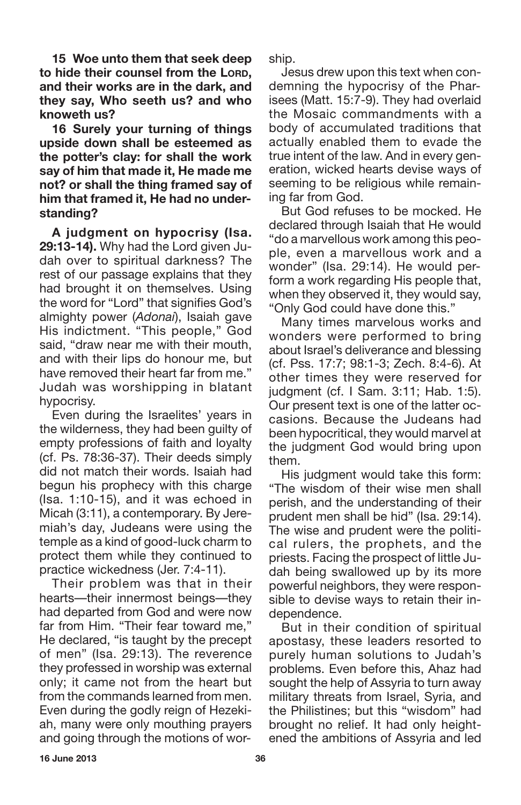**15 Woe unto them that seek deep to hide their counsel from the LORD, and their works are in the dark, and they say, Who seeth us? and who knoweth us?**

**16 Surely your turning of things upside down shall be esteemed as the potter's clay: for shall the work say of him that made it, He made me not? or shall the thing framed say of him that framed it, He had no understanding?**

**A judgment on hypocrisy (Isa. 29:13-14).** Why had the Lord given Judah over to spiritual darkness? The rest of our passage explains that they had brought it on themselves. Using the word for "Lord" that signifies God's almighty power (*Adonai*), Isaiah gave His indictment. "This people," God said, "draw near me with their mouth, and with their lips do honour me, but have removed their heart far from me." Judah was worshipping in blatant hypocrisy.

Even during the Israelites' years in the wilderness, they had been guilty of empty professions of faith and loyalty (cf. Ps. 78:36-37). Their deeds simply did not match their words. Isaiah had begun his prophecy with this charge (Isa. 1:10-15), and it was echoed in Micah (3:11), a contemporary. By Jeremiah's day, Judeans were using the temple as a kind of good-luck charm to protect them while they continued to practice wickedness (Jer. 7:4-11).

Their problem was that in their hearts—their innermost beings—they had departed from God and were now far from Him. "Their fear toward me," He declared, "is taught by the precept of men" (Isa. 29:13). The reverence they professed in worship was external only; it came not from the heart but from the commands learned from men. Even during the godly reign of Hezekiah, many were only mouthing prayers and going through the motions of worship.

Jesus drew upon this text when condemning the hypocrisy of the Pharisees (Matt. 15:7-9). They had overlaid the Mosaic commandments with a body of accumulated traditions that actually enabled them to evade the true intent of the law. And in every generation, wicked hearts devise ways of seeming to be religious while remaining far from God.

But God refuses to be mocked. He declared through Isaiah that He would "do a marvellous work among this people, even a marvellous work and a wonder" (Isa. 29:14). He would perform a work regarding His people that, when they observed it, they would say, "Only God could have done this."

Many times marvelous works and wonders were performed to bring about Israel's deliverance and blessing (cf. Pss. 17:7; 98:1-3; Zech. 8:4-6). At other times they were reserved for judgment (cf. I Sam. 3:11; Hab. 1:5). Our present text is one of the latter occasions. Because the Judeans had been hypocritical, they would marvel at the judgment God would bring upon them.

His judgment would take this form: "The wisdom of their wise men shall perish, and the understanding of their prudent men shall be hid" (Isa. 29:14). The wise and prudent were the political rulers, the prophets, and the priests. Facing the prospect of little Judah being swallowed up by its more powerful neighbors, they were responsible to devise ways to retain their independence.

But in their condition of spiritual apostasy, these leaders resorted to purely human solutions to Judah's problems. Even before this, Ahaz had sought the help of Assyria to turn away military threats from Israel, Syria, and the Philistines; but this "wisdom" had brought no relief. It had only heightened the ambitions of Assyria and led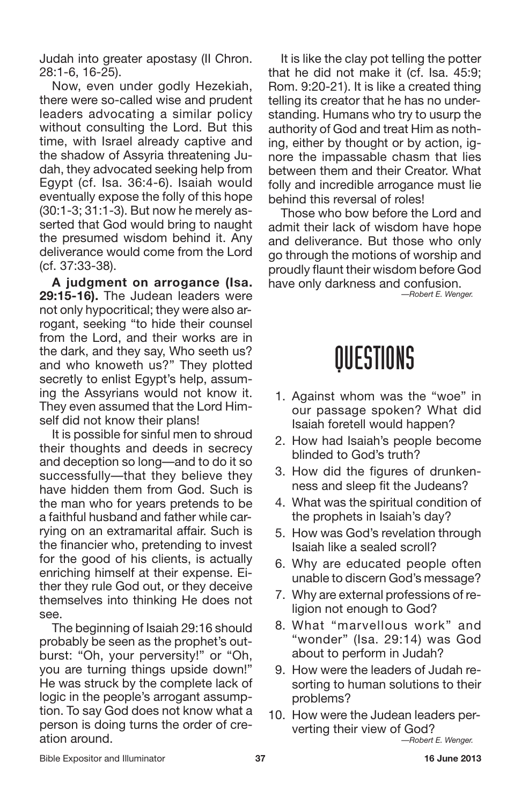Judah into greater apostasy (II Chron. 28:1-6, 16-25).

Now, even under godly Hezekiah, there were so-called wise and prudent leaders advocating a similar policy without consulting the Lord. But this time, with Israel already captive and the shadow of Assyria threatening Judah, they advocated seeking help from Egypt (cf. Isa. 36:4-6). Isaiah would eventually expose the folly of this hope (30:1-3; 31:1-3). But now he merely asserted that God would bring to naught the presumed wisdom behind it. Any deliverance would come from the Lord (cf. 37:33-38).

**A judgment on arrogance (Isa. 29:15-16).** The Judean leaders were not only hypocritical; they were also arrogant, seeking "to hide their counsel from the Lord, and their works are in the dark, and they say, Who seeth us? and who knoweth us?" They plotted secretly to enlist Egypt's help, assuming the Assyrians would not know it. They even assumed that the Lord Himself did not know their plans!

It is possible for sinful men to shroud their thoughts and deeds in secrecy and deception so long—and to do it so successfully—that they believe they have hidden them from God. Such is the man who for years pretends to be a faithful husband and father while carrying on an extramarital affair. Such is the financier who, pretending to invest for the good of his clients, is actually enriching himself at their expense. Either they rule God out, or they deceive themselves into thinking He does not see.

The beginning of Isaiah 29:16 should probably be seen as the prophet's outburst: "Oh, your perversity!" or "Oh, you are turning things upside down!" He was struck by the complete lack of logic in the people's arrogant assumption. To say God does not know what a person is doing turns the order of creation around.

It is like the clay pot telling the potter that he did not make it (cf. Isa. 45:9; Rom. 9:20-21). It is like a created thing telling its creator that he has no understanding. Humans who try to usurp the authority of God and treat Him as nothing, either by thought or by action, ignore the impassable chasm that lies between them and their Creator. What folly and incredible arrogance must lie behind this reversal of roles!

Those who bow before the Lord and admit their lack of wisdom have hope and deliverance. But those who only go through the motions of worship and proudly flaunt their wisdom before God have only darkness and confusion.

*—Robert E. Wenger.*

### QUESTIONS

- 1. Against whom was the "woe" in our passage spoken? What did Isaiah foretell would happen?
- 2. How had Isaiah's people become blinded to God's truth?
- 3. How did the figures of drunkenness and sleep fit the Judeans?
- 4. What was the spiritual condition of the prophets in Isaiah's day?
- 5. How was God's revelation through Isaiah like a sealed scroll?
- 6. Why are educated people often unable to discern God's message?
- 7. Why are external professions of religion not enough to God?
- 8. What "marvellous work" and "wonder" (Isa. 29:14) was God about to perform in Judah?
- 9. How were the leaders of Judah resorting to human solutions to their problems?
- 10. How were the Judean leaders perverting their view of God?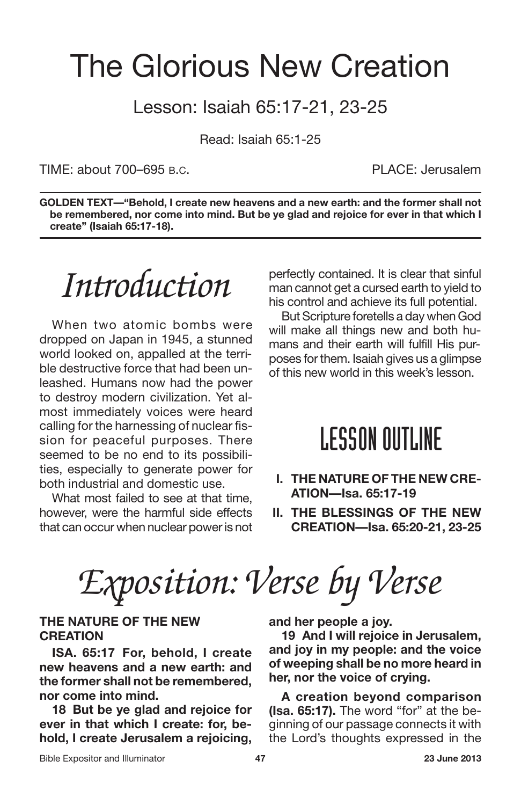### The Glorious New Creation

#### Lesson: Isaiah 65:17-21, 23-25

Read: Isaiah 65:1-25

TIME: about 700–695 B.C. PLACE: Jerusalem

**GOLDEN TEXT—"Behold, I create new heavens and a new earth: and the former shall not be remembered, nor come into mind. But be ye glad and rejoice for ever in that which I create" (Isaiah 65:17-18).**

*Introduction*

When two atomic bombs were dropped on Japan in 1945, a stunned world looked on, appalled at the terrible destructive force that had been unleashed. Humans now had the power to destroy modern civilization. Yet almost immediately voices were heard calling for the harnessing of nuclear fission for peaceful purposes. There seemed to be no end to its possibilities, especially to generate power for both industrial and domestic use.

What most failed to see at that time, however, were the harmful side effects that can occur when nuclear power is not perfectly contained. It is clear that sinful man cannot get a cursed earth to yield to his control and achieve its full potential.

But Scripture foretells a day when God will make all things new and both humans and their earth will fulfill His purposes for them. Isaiah gives us a glimpse of this new world in this week's lesson.

#### **LESSON OUTLINE**

- **I. THE NATURE OF THE NEW CRE-ATION—Isa. 65:17-19**
- **II. THE BLESSINGS OF THE NEW CREATION—Isa. 65:20-21, 23-25**

*Exposition: Verse by Verse*

#### **THE NATURE OF THE NEW CREATION**

**ISA. 65:17 For, behold, I create new heavens and a new earth: and the former shall not be remembered, nor come into mind.**

**18 But be ye glad and rejoice for ever in that which I create: for, behold, I create Jerusalem a rejoicing,** **and her people a joy.**

**19 And I will rejoice in Jerusalem, and joy in my people: and the voice of weeping shall be no more heard in her, nor the voice of crying.**

**A creation beyond comparison (Isa. 65:17).** The word "for" at the beginning of our passage connects it with the Lord's thoughts expressed in the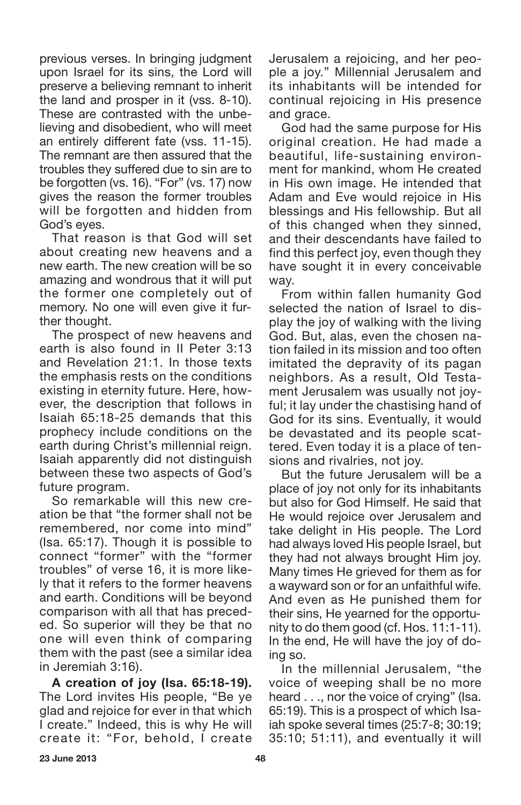previous verses. In bringing judgment upon Israel for its sins, the Lord will preserve a believing remnant to inherit the land and prosper in it (vss. 8-10). These are contrasted with the unbelieving and disobedient, who will meet an entirely different fate (vss. 11-15). The remnant are then assured that the troubles they suffered due to sin are to be forgotten (vs. 16). "For" (vs. 17) now gives the reason the former troubles will be forgotten and hidden from God's eyes.

That reason is that God will set about creating new heavens and a new earth. The new creation will be so amazing and wondrous that it will put the former one completely out of memory. No one will even give it further thought.

The prospect of new heavens and earth is also found in II Peter 3:13 and Revelation 21:1. In those texts the emphasis rests on the conditions existing in eternity future. Here, however, the description that follows in Isaiah 65:18-25 demands that this prophecy include conditions on the earth during Christ's millennial reign. Isaiah apparently did not distinguish between these two aspects of God's future program.

So remarkable will this new creation be that "the former shall not be remembered, nor come into mind" (Isa. 65:17). Though it is possible to connect "former" with the "former troubles" of verse 16, it is more likely that it refers to the former heavens and earth. Conditions will be beyond comparison with all that has preceded. So superior will they be that no one will even think of comparing them with the past (see a similar idea in Jeremiah 3:16).

**A creation of joy (Isa. 65:18-19).** The Lord invites His people, "Be ye glad and rejoice for ever in that which I create." Indeed, this is why He will create it: "For, behold, I create Jerusalem a rejoicing, and her people a joy." Millennial Jerusalem and its inhabitants will be intended for continual rejoicing in His presence and grace.

God had the same purpose for His original creation. He had made a beautiful, life-sustaining environment for mankind, whom He created in His own image. He intended that Adam and Eve would rejoice in His blessings and His fellowship. But all of this changed when they sinned, and their descendants have failed to find this perfect joy, even though they have sought it in every conceivable way.

From within fallen humanity God selected the nation of Israel to display the joy of walking with the living God. But, alas, even the chosen nation failed in its mission and too often imitated the depravity of its pagan neighbors. As a result, Old Testament Jerusalem was usually not joyful; it lay under the chastising hand of God for its sins. Eventually, it would be devastated and its people scattered. Even today it is a place of tensions and rivalries, not joy.

But the future Jerusalem will be a place of joy not only for its inhabitants but also for God Himself. He said that He would rejoice over Jerusalem and take delight in His people. The Lord had always loved His people Israel, but they had not always brought Him joy. Many times He grieved for them as for a wayward son or for an unfaithful wife. And even as He punished them for their sins, He yearned for the opportunity to do them good (cf. Hos. 11:1-11). In the end, He will have the joy of doing so.

In the millennial Jerusalem, "the voice of weeping shall be no more heard . . ., nor the voice of crying" (Isa. 65:19). This is a prospect of which Isaiah spoke several times (25:7-8; 30:19; 35:10; 51:11), and eventually it will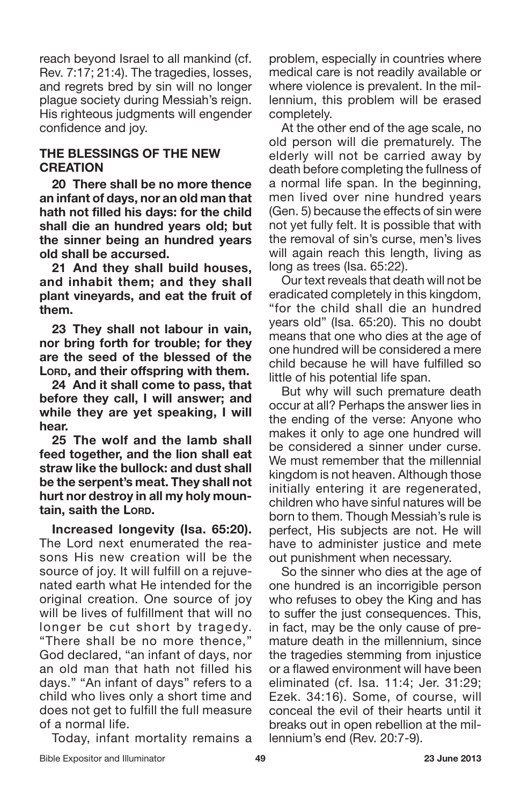reach beyond Israel to all mankind (cf. Rev. 7:17; 21:4). The tragedies, losses, and regrets bred by sin will no longer plague society during Messiah's reign. His righteous judgments will engender confidence and joy.

#### **THE BLESSINGS OF THE NEW CREATION**

**20 There shall be no more thence an infant of days, nor an old man that hath not filled his days: for the child shall die an hundred years old; but the sinner being an hundred years old shall be accursed.**

**21 And they shall build houses, and inhabit them; and they shall plant vineyards, and eat the fruit of them.**

**23 They shall not labour in vain, nor bring forth for trouble; for they are the seed of the blessed of the LORD, and their offspring with them.**

**24 And it shall come to pass, that before they call, I will answer; and while they are yet speaking, I will hear.**

**25 The wolf and the lamb shall feed together, and the lion shall eat straw like the bullock: and dust shall be the serpent's meat. They shall not hurt nor destroy in all my holy mountain, saith the LORD.**

**Increased longevity (Isa. 65:20).** The Lord next enumerated the reasons His new creation will be the source of joy. It will fulfill on a rejuvenated earth what He intended for the original creation. One source of joy will be lives of fulfillment that will no longer be cut short by tragedy. "There shall be no more thence," God declared, "an infant of days, nor an old man that hath not filled his days." "An infant of days" refers to a child who lives only a short time and does not get to fulfill the full measure of a normal life.

Today, infant mortality remains a

problem, especially in countries where medical care is not readily available or where violence is prevalent. In the millennium, this problem will be erased completely.

At the other end of the age scale, no old person will die prematurely. The elderly will not be carried away by death before completing the fullness of a normal life span. In the beginning, men lived over nine hundred years (Gen. 5) because the effects of sin were not yet fully felt. It is possible that with the removal of sin's curse, men's lives will again reach this length, living as long as trees (Isa. 65:22).

Our text reveals that death will not be eradicated completely in this kingdom, "for the child shall die an hundred years old" (Isa. 65:20). This no doubt means that one who dies at the age of one hundred will be considered a mere child because he will have fulfilled so little of his potential life span.

But why will such premature death occur at all? Perhaps the answer lies in the ending of the verse: Anyone who makes it only to age one hundred will be considered a sinner under curse. We must remember that the millennial kingdom is not heaven. Although those initially entering it are regenerated, children who have sinful natures will be born to them. Though Messiah's rule is perfect, His subjects are not. He will have to administer justice and mete out punishment when necessary.

So the sinner who dies at the age of one hundred is an incorrigible person who refuses to obey the King and has to suffer the just consequences. This, in fact, may be the only cause of premature death in the millennium, since the tragedies stemming from injustice or a flawed environment will have been eliminated (cf. Isa. 11:4; Jer. 31:29; Ezek. 34:16). Some, of course, will conceal the evil of their hearts until it breaks out in open rebellion at the millennium's end (Rev. 20:7-9).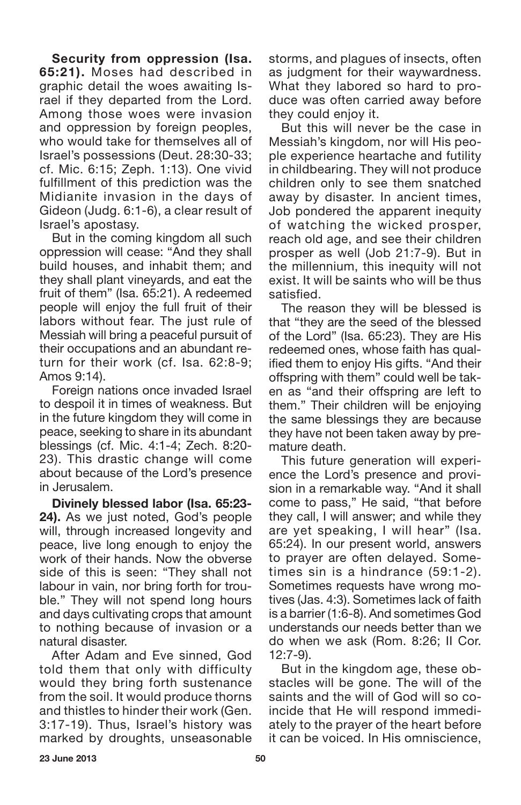**Security from oppression (Isa. 65:21).** Moses had described in graphic detail the woes awaiting Israel if they departed from the Lord. Among those woes were invasion and oppression by foreign peoples, who would take for themselves all of Israel's possessions (Deut. 28:30-33; cf. Mic. 6:15; Zeph. 1:13). One vivid fulfillment of this prediction was the Midianite invasion in the days of Gideon (Judg. 6:1-6), a clear result of Israel's apostasy.

But in the coming kingdom all such oppression will cease: "And they shall build houses, and inhabit them; and they shall plant vineyards, and eat the fruit of them" (Isa. 65:21). A redeemed people will enjoy the full fruit of their labors without fear. The just rule of Messiah will bring a peaceful pursuit of their occupations and an abundant return for their work (cf. Isa. 62:8-9; Amos 9:14).

Foreign nations once invaded Israel to despoil it in times of weakness. But in the future kingdom they will come in peace, seeking to share in its abundant blessings (cf. Mic. 4:1-4; Zech. 8:20- 23). This drastic change will come about because of the Lord's presence in Jerusalem.

**Divinely blessed labor (Isa. 65:23- 24).** As we just noted, God's people will, through increased longevity and peace, live long enough to enjoy the work of their hands. Now the obverse side of this is seen: "They shall not labour in vain, nor bring forth for trouble." They will not spend long hours and days cultivating crops that amount to nothing because of invasion or a natural disaster.

After Adam and Eve sinned, God told them that only with difficulty would they bring forth sustenance from the soil. It would produce thorns and thistles to hinder their work (Gen. 3:17-19). Thus, Israel's history was marked by droughts, unseasonable storms, and plagues of insects, often as judgment for their waywardness. What they labored so hard to produce was often carried away before they could enjoy it.

But this will never be the case in Messiah's kingdom, nor will His people experience heartache and futility in childbearing. They will not produce children only to see them snatched away by disaster. In ancient times, Job pondered the apparent inequity of watching the wicked prosper, reach old age, and see their children prosper as well (Job 21:7-9). But in the millennium, this inequity will not exist. It will be saints who will be thus satisfied.

The reason they will be blessed is that "they are the seed of the blessed of the Lord" (Isa. 65:23). They are His redeemed ones, whose faith has qualified them to enjoy His gifts. "And their offspring with them" could well be taken as "and their offspring are left to them." Their children will be enjoying the same blessings they are because they have not been taken away by premature death.

This future generation will experience the Lord's presence and provision in a remarkable way. "And it shall come to pass," He said, "that before they call, I will answer; and while they are yet speaking, I will hear" (Isa. 65:24). In our present world, answers to prayer are often delayed. Sometimes sin is a hindrance (59:1-2). Sometimes requests have wrong motives (Jas. 4:3). Sometimes lack of faith is a barrier (1:6-8). And sometimes God understands our needs better than we do when we ask (Rom. 8:26; II Cor. 12:7-9).

But in the kingdom age, these obstacles will be gone. The will of the saints and the will of God will so coincide that He will respond immediately to the prayer of the heart before it can be voiced. In His omniscience,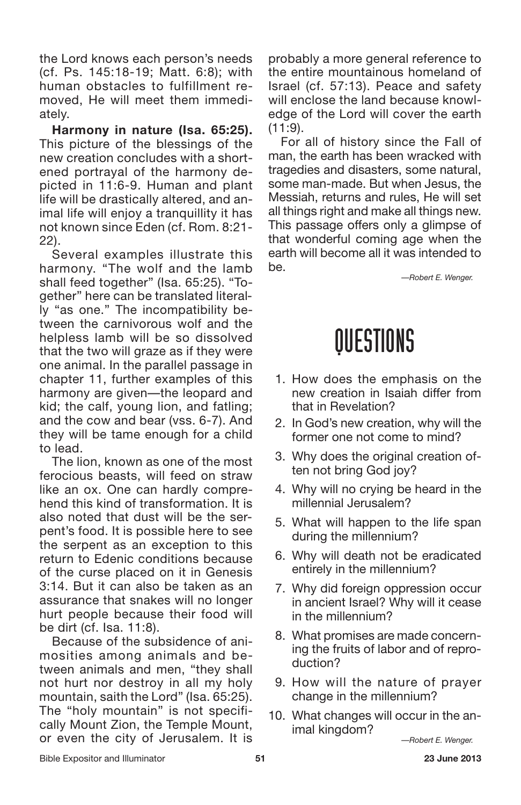the Lord knows each person's needs (cf. Ps. 145:18-19; Matt. 6:8); with human obstacles to fulfillment removed, He will meet them immediately.

**Harmony in nature (Isa. 65:25).** This picture of the blessings of the new creation concludes with a shortened portrayal of the harmony depicted in 11:6-9. Human and plant life will be drastically altered, and animal life will enjoy a tranquillity it has not known since Eden (cf. Rom. 8:21- 22).

Several examples illustrate this harmony. "The wolf and the lamb shall feed together" (Isa. 65:25). "Together" here can be translated literally "as one." The incompatibility between the carnivorous wolf and the helpless lamb will be so dissolved that the two will graze as if they were one animal. In the parallel passage in chapter 11, further examples of this harmony are given—the leopard and kid; the calf, young lion, and fatling; and the cow and bear (vss. 6-7). And they will be tame enough for a child to lead.

The lion, known as one of the most ferocious beasts, will feed on straw like an ox. One can hardly comprehend this kind of transformation. It is also noted that dust will be the serpent's food. It is possible here to see the serpent as an exception to this return to Edenic conditions because of the curse placed on it in Genesis 3:14. But it can also be taken as an assurance that snakes will no longer hurt people because their food will be dirt (cf. Isa. 11:8).

Because of the subsidence of animosities among animals and between animals and men, "they shall not hurt nor destroy in all my holy mountain, saith the Lord" (Isa. 65:25). The "holy mountain" is not specifically Mount Zion, the Temple Mount, or even the city of Jerusalem. It is probably a more general reference to the entire mountainous homeland of Israel (cf. 57:13). Peace and safety will enclose the land because knowledge of the Lord will cover the earth  $(11:9)$ .

For all of history since the Fall of man, the earth has been wracked with tragedies and disasters, some natural, some man-made. But when Jesus, the Messiah, returns and rules, He will set all things right and make all things new. This passage offers only a glimpse of that wonderful coming age when the earth will become all it was intended to be.

*—Robert E. Wenger.*

### QUESTIONS

- 1. How does the emphasis on the new creation in Isaiah differ from that in Revelation?
- 2. In God's new creation, why will the former one not come to mind?
- 3. Why does the original creation often not bring God joy?
- 4. Why will no crying be heard in the millennial Jerusalem?
- 5. What will happen to the life span during the millennium?
- 6. Why will death not be eradicated entirely in the millennium?
- 7. Why did foreign oppression occur in ancient Israel? Why will it cease in the millennium?
- 8. What promises are made concerning the fruits of labor and of reproduction?
- 9. How will the nature of prayer change in the millennium?
- 10. What changes will occur in the animal kingdom?

*—Robert E. Wenger.*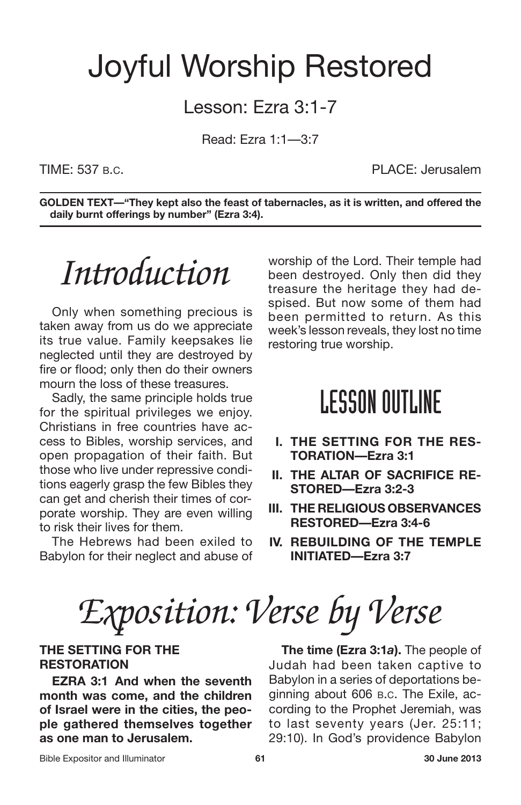### Joyful Worship Restored

#### Lesson: Ezra 3:1-7

Read: Ezra 1:1—3:7

TIME: 537 B.C. PLACE: Jerusalem

**GOLDEN TEXT—"They kept also the feast of tabernacles, as it is written, and offered the daily burnt offerings by number" (Ezra 3:4).**

### *Introduction*

Only when something precious is taken away from us do we appreciate its true value. Family keepsakes lie neglected until they are destroyed by fire or flood; only then do their owners mourn the loss of these treasures.

Sadly, the same principle holds true for the spiritual privileges we enjoy. Christians in free countries have access to Bibles, worship services, and open propagation of their faith. But those who live under repressive conditions eagerly grasp the few Bibles they can get and cherish their times of corporate worship. They are even willing to risk their lives for them.

The Hebrews had been exiled to Babylon for their neglect and abuse of

worship of the Lord. Their temple had been destroyed. Only then did they treasure the heritage they had despised. But now some of them had been permitted to return. As this week's lesson reveals, they lost no time restoring true worship.

### **LESSON OUTLINE**

- **I. THE SETTING FOR THE RES-TORATION—Ezra 3:1**
- **II. THE ALTAR OF SACRIFICE RE-STORED—Ezra 3:2-3**
- **III. THE RELIGIOUS OBSERVANCES RESTORED—Ezra 3:4-6**
- **IV. REBUILDING OF THE TEMPLE INITIATED—Ezra 3:7**

# *Exposition: Verse by Verse*

#### **THE SETTING FOR THE RESTORATION**

**EZRA 3:1 And when the seventh month was come, and the children of Israel were in the cities, the people gathered themselves together as one man to Jerusalem.**

**The time (Ezra 3:1***a***).** The people of Judah had been taken captive to Babylon in a series of deportations beginning about 606 B.C. The Exile, according to the Prophet Jeremiah, was to last seventy years (Jer. 25:11; 29:10). In God's providence Babylon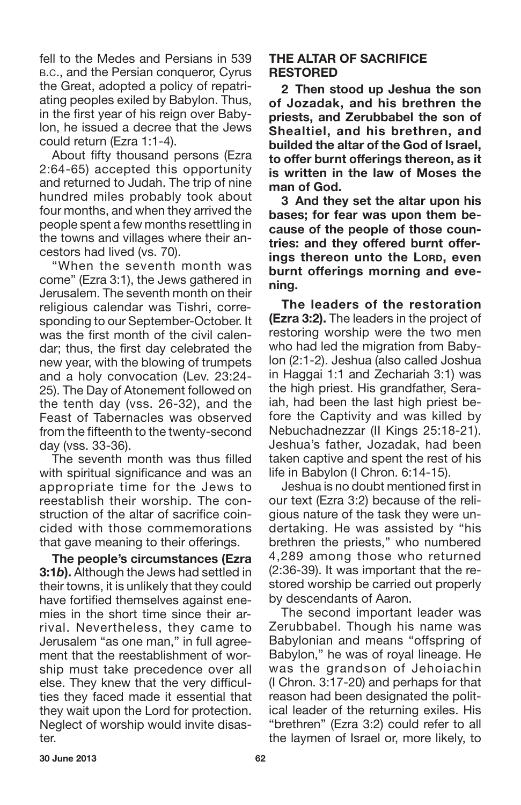fell to the Medes and Persians in 539 B.C., and the Persian conqueror, Cyrus the Great, adopted a policy of repatriating peoples exiled by Babylon. Thus, in the first year of his reign over Babylon, he issued a decree that the Jews could return (Ezra 1:1-4).

About fifty thousand persons (Ezra 2:64-65) accepted this opportunity and returned to Judah. The trip of nine hundred miles probably took about four months, and when they arrived the people spent a few months resettling in the towns and villages where their ancestors had lived (vs. 70).

"When the seventh month was come" (Ezra 3:1), the Jews gathered in Jerusalem. The seventh month on their religious calendar was Tishri, corresponding to our September-October. It was the first month of the civil calendar; thus, the first day celebrated the new year, with the blowing of trumpets and a holy convocation (Lev. 23:24- 25). The Day of Atonement followed on the tenth day (vss. 26-32), and the Feast of Tabernacles was observed from the fifteenth to the twenty-second day (vss. 33-36).

The seventh month was thus filled with spiritual significance and was an appropriate time for the Jews to reestablish their worship. The construction of the altar of sacrifice coincided with those commemorations that gave meaning to their offerings.

**The people's circumstances (Ezra 3:1***b***).** Although the Jews had settled in their towns, it is unlikely that they could have fortified themselves against enemies in the short time since their arrival. Nevertheless, they came to Jerusalem "as one man," in full agreement that the reestablishment of worship must take precedence over all else. They knew that the very difficulties they faced made it essential that they wait upon the Lord for protection. Neglect of worship would invite disaster.

#### **THE ALTAR OF SACRIFICE RESTORED**

**2 Then stood up Jeshua the son of Jozadak, and his brethren the priests, and Zerubbabel the son of Shealtiel, and his brethren, and builded the altar of the God of Israel, to offer burnt offerings thereon, as it is written in the law of Moses the man of God.**

**3 And they set the altar upon his bases; for fear was upon them because of the people of those countries: and they offered burnt offerings thereon unto the LORD, even burnt offerings morning and evening.**

**The leaders of the restoration (Ezra 3:2).** The leaders in the project of restoring worship were the two men who had led the migration from Babylon (2:1-2). Jeshua (also called Joshua in Haggai 1:1 and Zechariah 3:1) was the high priest. His grandfather, Seraiah, had been the last high priest before the Captivity and was killed by Nebuchadnezzar (II Kings 25:18-21). Jeshua's father, Jozadak, had been taken captive and spent the rest of his life in Babylon (I Chron. 6:14-15).

Jeshua is no doubt mentioned first in our text (Ezra 3:2) because of the religious nature of the task they were undertaking. He was assisted by "his brethren the priests," who numbered 4,289 among those who returned (2:36-39). It was important that the restored worship be carried out properly by descendants of Aaron.

The second important leader was Zerubbabel. Though his name was Babylonian and means "offspring of Babylon," he was of royal lineage. He was the grandson of Jehoiachin (I Chron. 3:17-20) and perhaps for that reason had been designated the political leader of the returning exiles. His "brethren" (Ezra 3:2) could refer to all the laymen of Israel or, more likely, to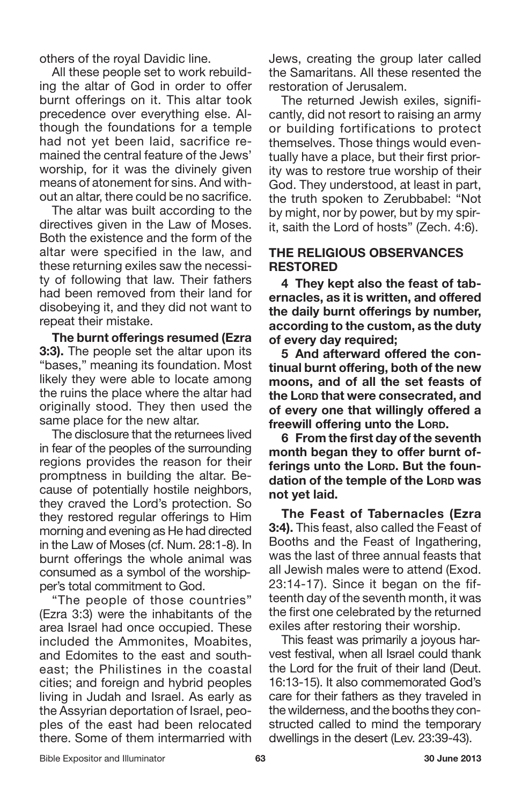others of the royal Davidic line.

All these people set to work rebuilding the altar of God in order to offer burnt offerings on it. This altar took precedence over everything else. Although the foundations for a temple had not yet been laid, sacrifice remained the central feature of the Jews' worship, for it was the divinely given means of atonement for sins. And without an altar, there could be no sacrifice.

The altar was built according to the directives given in the Law of Moses. Both the existence and the form of the altar were specified in the law, and these returning exiles saw the necessity of following that law. Their fathers had been removed from their land for disobeying it, and they did not want to repeat their mistake.

**The burnt offerings resumed (Ezra 3:3).** The people set the altar upon its "bases," meaning its foundation. Most likely they were able to locate among the ruins the place where the altar had originally stood. They then used the same place for the new altar.

The disclosure that the returnees lived in fear of the peoples of the surrounding regions provides the reason for their promptness in building the altar. Because of potentially hostile neighbors, they craved the Lord's protection. So they restored regular offerings to Him morning and evening as He had directed in the Law of Moses (cf. Num. 28:1-8). In burnt offerings the whole animal was consumed as a symbol of the worshipper's total commitment to God.

"The people of those countries" (Ezra 3:3) were the inhabitants of the area Israel had once occupied. These included the Ammonites, Moabites, and Edomites to the east and southeast; the Philistines in the coastal cities; and foreign and hybrid peoples living in Judah and Israel. As early as the Assyrian deportation of Israel, peoples of the east had been relocated there. Some of them intermarried with Jews, creating the group later called the Samaritans. All these resented the restoration of Jerusalem.

The returned Jewish exiles, significantly, did not resort to raising an army or building fortifications to protect themselves. Those things would eventually have a place, but their first priority was to restore true worship of their God. They understood, at least in part, the truth spoken to Zerubbabel: "Not by might, nor by power, but by my spirit, saith the Lord of hosts" (Zech. 4:6).

#### **THE RELIGIOUS OBSERVANCES RESTORED**

**4 They kept also the feast of tabernacles, as it is written, and offered the daily burnt offerings by number, according to the custom, as the duty of every day required;**

**5 And afterward offered the continual burnt offering, both of the new moons, and of all the set feasts of the LORD that were consecrated, and of every one that willingly offered a freewill offering unto the LORD.**

**6 From the first day of the seventh month began they to offer burnt offerings unto the LORD. But the foundation of the temple of the LORD was not yet laid.**

**The Feast of Tabernacles (Ezra 3:4).** This feast, also called the Feast of Booths and the Feast of Ingathering, was the last of three annual feasts that all Jewish males were to attend (Exod. 23:14-17). Since it began on the fifteenth day of the seventh month, it was the first one celebrated by the returned exiles after restoring their worship.

This feast was primarily a joyous harvest festival, when all Israel could thank the Lord for the fruit of their land (Deut. 16:13-15). It also commemorated God's care for their fathers as they traveled in the wilderness, and the booths they constructed called to mind the temporary dwellings in the desert (Lev. 23:39-43).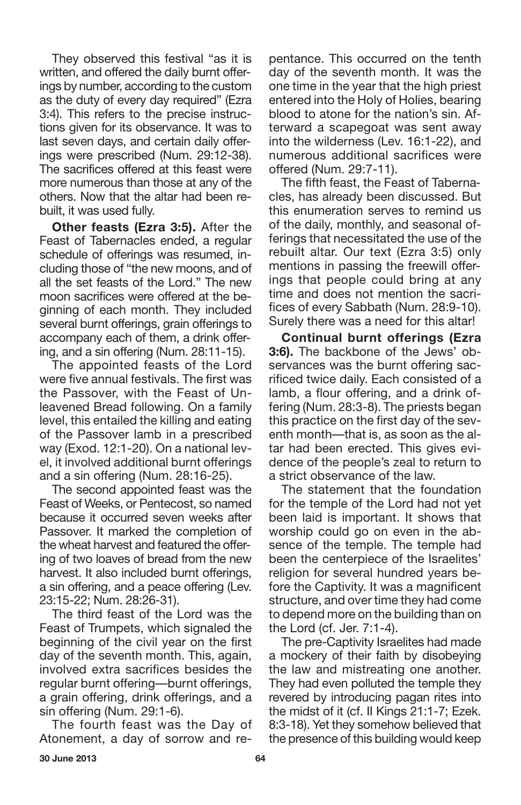They observed this festival "as it is written, and offered the daily burnt offerings by number, according to the custom as the duty of every day required" (Ezra 3:4). This refers to the precise instructions given for its observance. It was to last seven days, and certain daily offerings were prescribed (Num. 29:12-38). The sacrifices offered at this feast were more numerous than those at any of the others. Now that the altar had been rebuilt, it was used fully.

**Other feasts (Ezra 3:5).** After the Feast of Tabernacles ended, a regular schedule of offerings was resumed, including those of "the new moons, and of all the set feasts of the Lord." The new moon sacrifices were offered at the beginning of each month. They included several burnt offerings, grain offerings to accompany each of them, a drink offering, and a sin offering (Num. 28:11-15).

The appointed feasts of the Lord were five annual festivals. The first was the Passover, with the Feast of Unleavened Bread following. On a family level, this entailed the killing and eating of the Passover lamb in a prescribed way (Exod. 12:1-20). On a national level, it involved additional burnt offerings and a sin offering (Num. 28:16-25).

The second appointed feast was the Feast of Weeks, or Pentecost, so named because it occurred seven weeks after Passover. It marked the completion of the wheat harvest and featured the offering of two loaves of bread from the new harvest. It also included burnt offerings, a sin offering, and a peace offering (Lev. 23:15-22; Num. 28:26-31).

The third feast of the Lord was the Feast of Trumpets, which signaled the beginning of the civil year on the first day of the seventh month. This, again, involved extra sacrifices besides the regular burnt offering—burnt offerings, a grain offering, drink offerings, and a sin offering (Num. 29:1-6).

The fourth feast was the Day of Atonement, a day of sorrow and repentance. This occurred on the tenth day of the seventh month. It was the one time in the year that the high priest entered into the Holy of Holies, bearing blood to atone for the nation's sin. Afterward a scapegoat was sent away into the wilderness (Lev. 16:1-22), and numerous additional sacrifices were offered (Num. 29:7-11).

The fifth feast, the Feast of Tabernacles, has already been discussed. But this enumeration serves to remind us of the daily, monthly, and seasonal offerings that necessitated the use of the rebuilt altar. Our text (Ezra 3:5) only mentions in passing the freewill offerings that people could bring at any time and does not mention the sacrifices of every Sabbath (Num. 28:9-10). Surely there was a need for this altar!

**Continual burnt offerings (Ezra 3:6).** The backbone of the Jews' observances was the burnt offering sacrificed twice daily. Each consisted of a lamb, a flour offering, and a drink offering (Num. 28:3-8). The priests began this practice on the first day of the seventh month—that is, as soon as the altar had been erected. This gives evidence of the people's zeal to return to a strict observance of the law.

The statement that the foundation for the temple of the Lord had not yet been laid is important. It shows that worship could go on even in the absence of the temple. The temple had been the centerpiece of the Israelites' religion for several hundred years before the Captivity. It was a magnificent structure, and over time they had come to depend more on the building than on the Lord (cf. Jer. 7:1-4).

The pre-Captivity Israelites had made a mockery of their faith by disobeying the law and mistreating one another. They had even polluted the temple they revered by introducing pagan rites into the midst of it (cf. II Kings 21:1-7; Ezek. 8:3-18). Yet they somehow believed that the presence of this building would keep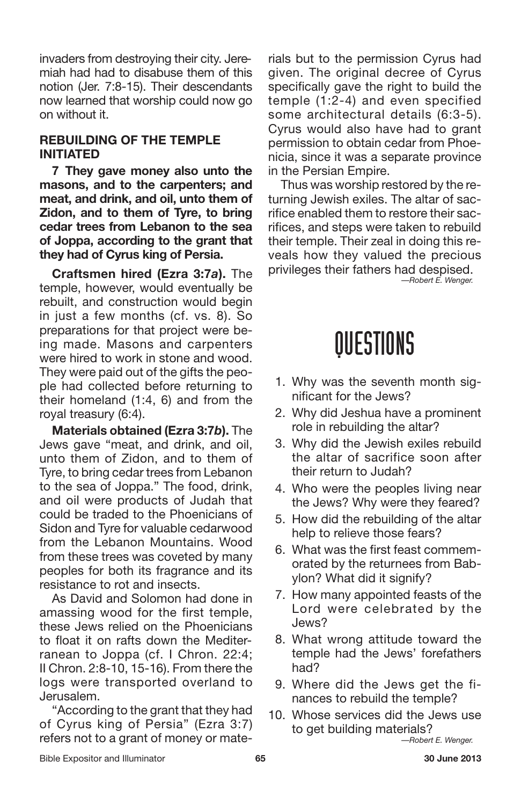invaders from destroying their city. Jeremiah had had to disabuse them of this notion (Jer. 7:8-15). Their descendants now learned that worship could now go on without it.

#### **REBUILDING OF THE TEMPLE INITIATED**

**7 They gave money also unto the masons, and to the carpenters; and meat, and drink, and oil, unto them of Zidon, and to them of Tyre, to bring cedar trees from Lebanon to the sea of Joppa, according to the grant that they had of Cyrus king of Persia.**

**Craftsmen hired (Ezra 3:7***a***).** The temple, however, would eventually be rebuilt, and construction would begin in just a few months (cf. vs. 8). So preparations for that project were being made. Masons and carpenters were hired to work in stone and wood. They were paid out of the gifts the people had collected before returning to their homeland (1:4, 6) and from the royal treasury (6:4).

**Materials obtained (Ezra 3:7***b***).** The Jews gave "meat, and drink, and oil, unto them of Zidon, and to them of Tyre, to bring cedar trees from Lebanon to the sea of Joppa." The food, drink, and oil were products of Judah that could be traded to the Phoenicians of Sidon and Tyre for valuable cedarwood from the Lebanon Mountains. Wood from these trees was coveted by many peoples for both its fragrance and its resistance to rot and insects.

As David and Solomon had done in amassing wood for the first temple, these Jews relied on the Phoenicians to float it on rafts down the Mediterranean to Joppa (cf. I Chron. 22:4; II Chron. 2:8-10, 15-16). From there the logs were transported overland to Jerusalem.

"According to the grant that they had of Cyrus king of Persia" (Ezra 3:7) refers not to a grant of money or materials but to the permission Cyrus had given. The original decree of Cyrus specifically gave the right to build the temple (1:2-4) and even specified some architectural details (6:3-5). Cyrus would also have had to grant permission to obtain cedar from Phoenicia, since it was a separate province in the Persian Empire.

Thus was worship restored by the returning Jewish exiles. The altar of sacrifice enabled them to restore their sacrifices, and steps were taken to rebuild their temple. Their zeal in doing this reveals how they valued the precious privileges their fathers had despised. *—Robert E. Wenger.*

### QUESTIONS

- 1. Why was the seventh month significant for the Jews?
- 2. Why did Jeshua have a prominent role in rebuilding the altar?
- 3. Why did the Jewish exiles rebuild the altar of sacrifice soon after their return to Judah?
- 4. Who were the peoples living near the Jews? Why were they feared?
- 5. How did the rebuilding of the altar help to relieve those fears?
- 6. What was the first feast commemorated by the returnees from Babylon? What did it signify?
- 7. How many appointed feasts of the Lord were celebrated by the Jews?
- 8. What wrong attitude toward the temple had the Jews' forefathers had?
- 9. Where did the Jews get the finances to rebuild the temple?
- 10. Whose services did the Jews use to get building materials?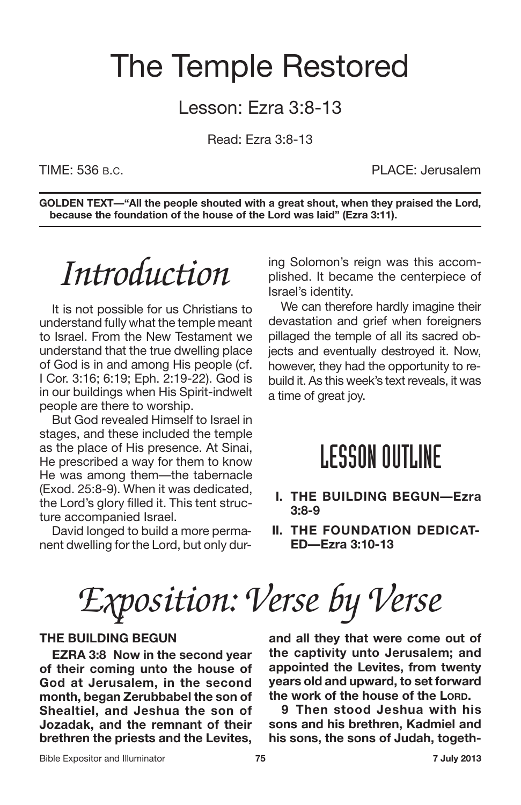### The Temple Restored

#### Lesson: Ezra 3:8-13

Read: Ezra 3:8-13

TIME: 536 B.C. **PLACE: Jerusalem** 

**GOLDEN TEXT—"All the people shouted with a great shout, when they praised the Lord, because the foundation of the house of the Lord was laid" (Ezra 3:11).**

### *Introduction*

It is not possible for us Christians to understand fully what the temple meant to Israel. From the New Testament we understand that the true dwelling place of God is in and among His people (cf. I Cor. 3:16; 6:19; Eph. 2:19-22). God is in our buildings when His Spirit-indwelt people are there to worship.

But God revealed Himself to Israel in stages, and these included the temple as the place of His presence. At Sinai, He prescribed a way for them to know He was among them—the tabernacle (Exod. 25:8-9). When it was dedicated, the Lord's glory filled it. This tent structure accompanied Israel.

David longed to build a more permanent dwelling for the Lord, but only during Solomon's reign was this accomplished. It became the centerpiece of Israel's identity.

We can therefore hardly imagine their devastation and grief when foreigners pillaged the temple of all its sacred objects and eventually destroyed it. Now, however, they had the opportunity to rebuild it. As this week's text reveals, it was a time of great joy.

#### **LESSON OUTLINE**

- **I. THE BUILDING BEGUN—Ezra 3:8-9**
- **II. THE FOUNDATION DEDICAT-ED—Ezra 3:10-13**

*Exposition: Verse by Verse*

#### **THE BUILDING BEGUN**

**EZRA 3:8 Now in the second year of their coming unto the house of God at Jerusalem, in the second month, began Zerubbabel the son of Shealtiel, and Jeshua the son of Jozadak, and the remnant of their brethren the priests and the Levites,** **and all they that were come out of the captivity unto Jerusalem; and appointed the Levites, from twenty years old and upward, to set forward the work of the house of the LORD.**

**9 Then stood Jeshua with his sons and his brethren, Kadmiel and his sons, the sons of Judah, togeth-**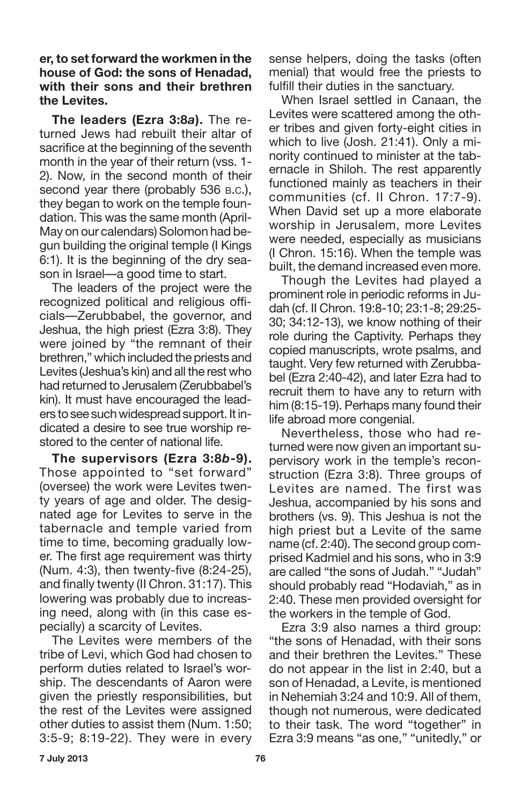**er, to set forward the workmen in the house of God: the sons of Henadad, with their sons and their brethren the Levites.**

**The leaders (Ezra 3:8***a***).** The returned Jews had rebuilt their altar of sacrifice at the beginning of the seventh month in the year of their return (vss. 1- 2). Now, in the second month of their second year there (probably 536 B.C.), they began to work on the temple foundation. This was the same month (April-May on our calendars) Solomon had begun building the original temple (I Kings 6:1). It is the beginning of the dry season in Israel—a good time to start.

The leaders of the project were the recognized political and religious officials—Zerubbabel, the governor, and Jeshua, the high priest (Ezra 3:8). They were joined by "the remnant of their brethren," which included the priests and Levites (Jeshua's kin) and all the rest who had returned to Jerusalem (Zerubbabel's kin). It must have encouraged the leaders to see such widespread support. It indicated a desire to see true worship restored to the center of national life.

**The supervisors (Ezra 3:8***b***-9).** Those appointed to "set forward" (oversee) the work were Levites twenty years of age and older. The designated age for Levites to serve in the tabernacle and temple varied from time to time, becoming gradually lower. The first age requirement was thirty (Num. 4:3), then twenty-five (8:24-25), and finally twenty (II Chron. 31:17). This lowering was probably due to increasing need, along with (in this case especially) a scarcity of Levites.

The Levites were members of the tribe of Levi, which God had chosen to perform duties related to Israel's worship. The descendants of Aaron were given the priestly responsibilities, but the rest of the Levites were assigned other duties to assist them (Num. 1:50; 3:5-9; 8:19-22). They were in every sense helpers, doing the tasks (often menial) that would free the priests to fulfill their duties in the sanctuary.

When Israel settled in Canaan, the Levites were scattered among the other tribes and given forty-eight cities in which to live (Josh. 21:41). Only a minority continued to minister at the tabernacle in Shiloh. The rest apparently functioned mainly as teachers in their communities (cf. II Chron. 17:7-9). When David set up a more elaborate worship in Jerusalem, more Levites were needed, especially as musicians (I Chron. 15:16). When the temple was built, the demand increased even more.

Though the Levites had played a prominent role in periodic reforms in Judah (cf. II Chron. 19:8-10; 23:1-8; 29:25- 30; 34:12-13), we know nothing of their role during the Captivity. Perhaps they copied manuscripts, wrote psalms, and taught. Very few returned with Zerubbabel (Ezra 2:40-42), and later Ezra had to recruit them to have any to return with him (8:15-19). Perhaps many found their life abroad more congenial.

Nevertheless, those who had returned were now given an important supervisory work in the temple's reconstruction (Ezra 3:8). Three groups of Levites are named. The first was Jeshua, accompanied by his sons and brothers (vs. 9). This Jeshua is not the high priest but a Levite of the same name (cf. 2:40). The second group comprised Kadmiel and his sons, who in 3:9 are called "the sons of Judah." "Judah" should probably read "Hodaviah," as in 2:40. These men provided oversight for the workers in the temple of God.

Ezra 3:9 also names a third group: "the sons of Henadad, with their sons and their brethren the Levites." These do not appear in the list in 2:40, but a son of Henadad, a Levite, is mentioned in Nehemiah 3:24 and 10:9. All of them, though not numerous, were dedicated to their task. The word "together" in Ezra 3:9 means "as one," "unitedly," or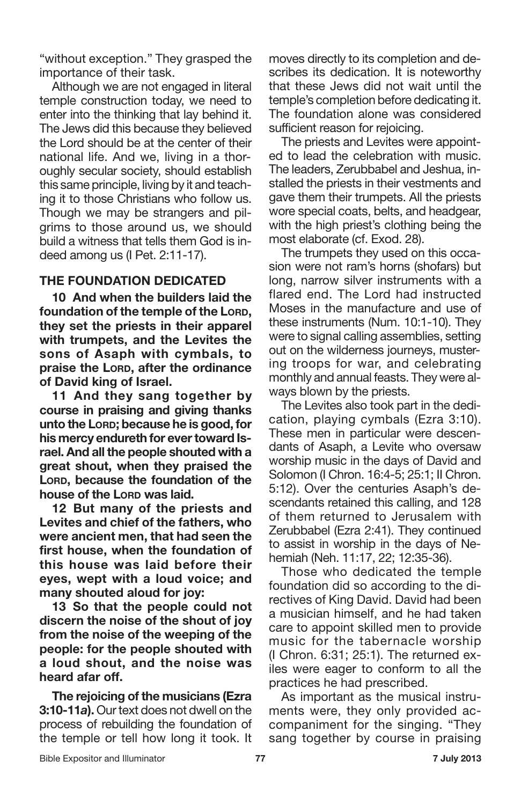"without exception." They grasped the importance of their task.

Although we are not engaged in literal temple construction today, we need to enter into the thinking that lay behind it. The Jews did this because they believed the Lord should be at the center of their national life. And we, living in a thoroughly secular society, should establish this same principle, living by it and teaching it to those Christians who follow us. Though we may be strangers and pilgrims to those around us, we should build a witness that tells them God is indeed among us (I Pet. 2:11-17).

#### **THE FOUNDATION DEDICATED**

**10 And when the builders laid the foundation of the temple of the LORD, they set the priests in their apparel with trumpets, and the Levites the sons of Asaph with cymbals, to praise the LORD, after the ordinance of David king of Israel.**

**11 And they sang together by course in praising and giving thanks unto the LORD; because he is good, for his mercy endureth for evertoward Israel. And all the people shouted with a great shout, when they praised the LORD, because the foundation of the house of the LORD was laid.**

**12 But many of the priests and Levites and chief of the fathers, who were ancient men, that had seen the first house, when the foundation of this house was laid before their eyes, wept with a loud voice; and many shouted aloud for joy:**

**13 So that the people could not discern the noise of the shout of joy from the noise of the weeping of the people: for the people shouted with a loud shout, and the noise was heard afar off.**

**The rejoicing of the musicians (Ezra 3:10-11a).** Our text does not dwell on the process of rebuilding the foundation of the temple or tell how long it took. It moves directly to its completion and describes its dedication. It is noteworthy that these Jews did not wait until the temple's completion before dedicating it. The foundation alone was considered sufficient reason for rejoicing.

The priests and Levites were appointed to lead the celebration with music. The leaders, Zerubbabel and Jeshua, installed the priests in their vestments and gave them their trumpets. All the priests wore special coats, belts, and headgear, with the high priest's clothing being the most elaborate (cf. Exod. 28).

The trumpets they used on this occasion were not ram's horns (shofars) but long, narrow silver instruments with a flared end. The Lord had instructed Moses in the manufacture and use of these instruments (Num. 10:1-10). They were to signal calling assemblies, setting out on the wilderness journeys, mustering troops for war, and celebrating monthly and annual feasts. They were always blown by the priests.

The Levites also took part in the dedication, playing cymbals (Ezra 3:10). These men in particular were descendants of Asaph, a Levite who oversaw worship music in the days of David and Solomon (I Chron. 16:4-5; 25:1; II Chron. 5:12). Over the centuries Asaph's descendants retained this calling, and 128 of them returned to Jerusalem with Zerubbabel (Ezra 2:41). They continued to assist in worship in the days of Nehemiah (Neh. 11:17, 22; 12:35-36).

Those who dedicated the temple foundation did so according to the directives of King David. David had been a musician himself, and he had taken care to appoint skilled men to provide music for the tabernacle worship (I Chron. 6:31; 25:1). The returned exiles were eager to conform to all the practices he had prescribed.

As important as the musical instruments were, they only provided accompaniment for the singing. "They sang together by course in praising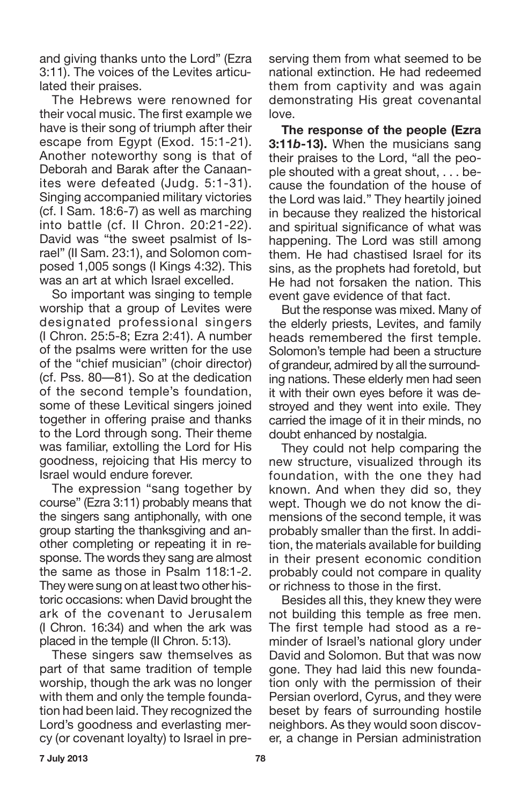and giving thanks unto the Lord" (Ezra 3:11). The voices of the Levites articulated their praises.

The Hebrews were renowned for their vocal music. The first example we have is their song of triumph after their escape from Egypt (Exod. 15:1-21). Another noteworthy song is that of Deborah and Barak after the Canaanites were defeated (Judg. 5:1-31). Singing accompanied military victories (cf. I Sam. 18:6-7) as well as marching into battle (cf. II Chron. 20:21-22). David was "the sweet psalmist of Israel" (II Sam. 23:1), and Solomon composed 1,005 songs (I Kings 4:32). This was an art at which Israel excelled.

So important was singing to temple worship that a group of Levites were designated professional singers (I Chron. 25:5-8; Ezra 2:41). A number of the psalms were written for the use of the "chief musician" (choir director) (cf. Pss. 80—81). So at the dedication of the second temple's foundation, some of these Levitical singers joined together in offering praise and thanks to the Lord through song. Their theme was familiar, extolling the Lord for His goodness, rejoicing that His mercy to Israel would endure forever.

The expression "sang together by course" (Ezra 3:11) probably means that the singers sang antiphonally, with one group starting the thanksgiving and another completing or repeating it in response. The words they sang are almost the same as those in Psalm 118:1-2. They were sung on at least two other historic occasions: when David brought the ark of the covenant to Jerusalem (I Chron. 16:34) and when the ark was placed in the temple (II Chron. 5:13).

These singers saw themselves as part of that same tradition of temple worship, though the ark was no longer with them and only the temple foundation had been laid. They recognized the Lord's goodness and everlasting mercy (or covenant loyalty) to Israel in preserving them from what seemed to be national extinction. He had redeemed them from captivity and was again demonstrating His great covenantal love.

**The response of the people (Ezra 3:11***b***-13).** When the musicians sang their praises to the Lord, "all the people shouted with a great shout, . . . because the foundation of the house of the Lord was laid." They heartily joined in because they realized the historical and spiritual significance of what was happening. The Lord was still among them. He had chastised Israel for its sins, as the prophets had foretold, but He had not forsaken the nation. This event gave evidence of that fact.

But the response was mixed. Many of the elderly priests, Levites, and family heads remembered the first temple. Solomon's temple had been a structure of grandeur, admired by all the surrounding nations. These elderly men had seen it with their own eyes before it was destroyed and they went into exile. They carried the image of it in their minds, no doubt enhanced by nostalgia.

They could not help comparing the new structure, visualized through its foundation, with the one they had known. And when they did so, they wept. Though we do not know the dimensions of the second temple, it was probably smaller than the first. In addition, the materials available for building in their present economic condition probably could not compare in quality or richness to those in the first.

Besides all this, they knew they were not building this temple as free men. The first temple had stood as a reminder of Israel's national glory under David and Solomon. But that was now gone. They had laid this new foundation only with the permission of their Persian overlord, Cyrus, and they were beset by fears of surrounding hostile neighbors. As they would soon discover, a change in Persian administration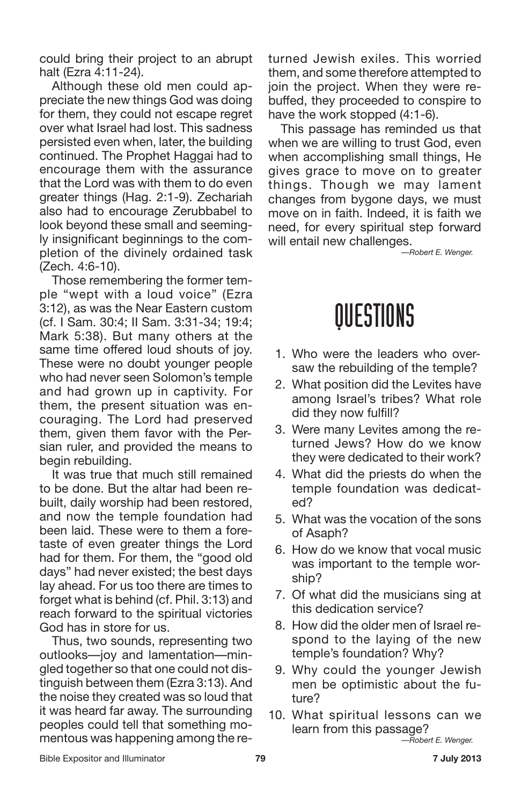could bring their project to an abrupt halt (Ezra 4:11-24).

Although these old men could appreciate the new things God was doing for them, they could not escape regret over what Israel had lost. This sadness persisted even when, later, the building continued. The Prophet Haggai had to encourage them with the assurance that the Lord was with them to do even greater things (Hag. 2:1-9). Zechariah also had to encourage Zerubbabel to look beyond these small and seemingly insignificant beginnings to the completion of the divinely ordained task (Zech. 4:6-10).

Those remembering the former temple "wept with a loud voice" (Ezra 3:12), as was the Near Eastern custom (cf. I Sam. 30:4; II Sam. 3:31-34; 19:4; Mark 5:38). But many others at the same time offered loud shouts of joy. These were no doubt younger people who had never seen Solomon's temple and had grown up in captivity. For them, the present situation was encouraging. The Lord had preserved them, given them favor with the Persian ruler, and provided the means to begin rebuilding.

It was true that much still remained to be done. But the altar had been rebuilt, daily worship had been restored, and now the temple foundation had been laid. These were to them a foretaste of even greater things the Lord had for them. For them, the "good old days" had never existed; the best days lay ahead. For us too there are times to forget what is behind (cf. Phil. 3:13) and reach forward to the spiritual victories God has in store for us.

Thus, two sounds, representing two outlooks—joy and lamentation—mingled together so that one could not distinguish between them (Ezra 3:13). And the noise they created was so loud that it was heard far away. The surrounding peoples could tell that something momentous was happening among the returned Jewish exiles. This worried them, and some therefore attempted to join the project. When they were rebuffed, they proceeded to conspire to have the work stopped (4:1-6).

This passage has reminded us that when we are willing to trust God, even when accomplishing small things, He gives grace to move on to greater things. Though we may lament changes from bygone days, we must move on in faith. Indeed, it is faith we need, for every spiritual step forward will entail new challenges.

*—Robert E. Wenger.*

### QUESTIONS

- 1. Who were the leaders who oversaw the rebuilding of the temple?
- 2. What position did the Levites have among Israel's tribes? What role did they now fulfill?
- 3. Were many Levites among the returned Jews? How do we know they were dedicated to their work?
- 4. What did the priests do when the temple foundation was dedicated?
- 5. What was the vocation of the sons of Asaph?
- 6. How do we know that vocal music was important to the temple worship?
- 7. Of what did the musicians sing at this dedication service?
- 8. How did the older men of Israel respond to the laying of the new temple's foundation? Why?
- 9. Why could the younger Jewish men be optimistic about the future?
- 10. What spiritual lessons can we learn from this passage? *—Robert E. Wenger.*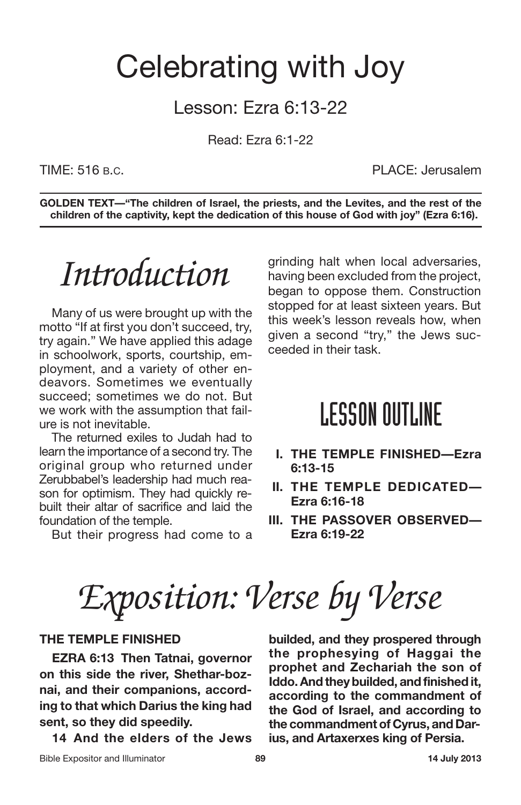### Celebrating with Joy

#### Lesson: Ezra 6:13-22

Read: Ezra 6:1-22

TIME: 516 B.C. PLACE: Jerusalem

**GOLDEN TEXT—"The children of Israel, the priests, and the Levites, and the rest of the children of the captivity, kept the dedication of this house of God with joy" (Ezra 6:16).**

## *Introduction*

Many of us were brought up with the motto "If at first you don't succeed, try, try again." We have applied this adage in schoolwork, sports, courtship, employment, and a variety of other endeavors. Sometimes we eventually succeed; sometimes we do not. But we work with the assumption that failure is not inevitable.

The returned exiles to Judah had to learn the importance of a second try. The original group who returned under Zerubbabel's leadership had much reason for optimism. They had quickly rebuilt their altar of sacrifice and laid the foundation of the temple.

But their progress had come to a

grinding halt when local adversaries, having been excluded from the project, began to oppose them. Construction stopped for at least sixteen years. But this week's lesson reveals how, when given a second "try," the Jews succeeded in their task.

### **LESSON OUTLINE**

- **I. THE TEMPLE FINISHED—Ezra 6:13-15**
- **II. THE TEMPLE DEDICATED— Ezra 6:16-18**
- **III. THE PASSOVER OBSERVED— Ezra 6:19-22**

*Exposition: Verse by Verse*

#### **THE TEMPLE FINISHED**

**EZRA 6:13 Then Tatnai, governor on this side the river, Shethar-boznai, and their companions, according to that which Darius the king had sent, so they did speedily.**

**14 And the elders of the Jews**

**builded, and they prospered through the prophesying of Haggai the prophet and Zechariah the son of Iddo.Andtheybuilded, andfinishedit, according to the commandment of the God of Israel, and according to the commandment of Cyrus, and Darius, and Artaxerxes king of Persia.**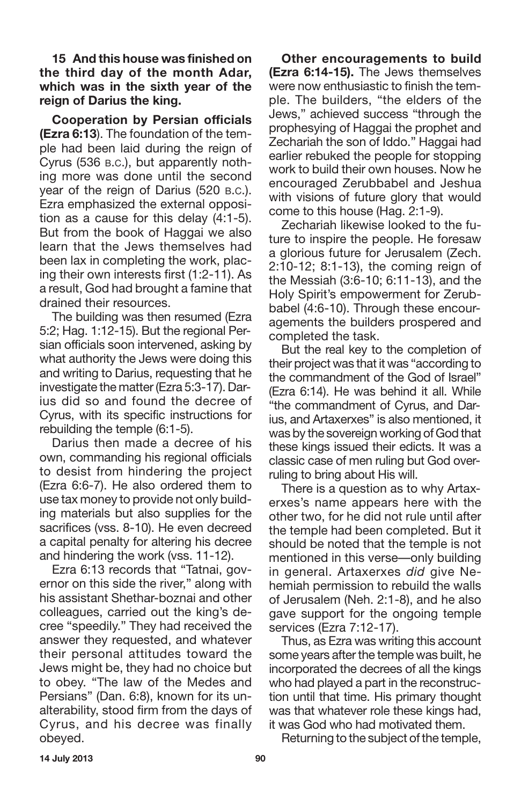**15 And this house was finished on the third day of the month Adar, which was in the sixth year of the reign of Darius the king.**

**Cooperation by Persian officials (Ezra 6:13**). The foundation of the temple had been laid during the reign of Cyrus (536 B.C.), but apparently nothing more was done until the second year of the reign of Darius (520 B.C.). Ezra emphasized the external opposition as a cause for this delay (4:1-5). But from the book of Haggai we also learn that the Jews themselves had been lax in completing the work, placing their own interests first (1:2-11). As a result, God had brought a famine that drained their resources.

The building was then resumed (Ezra 5:2; Hag. 1:12-15). But the regional Persian officials soon intervened, asking by what authority the Jews were doing this and writing to Darius, requesting that he investigate the matter(Ezra 5:3-17). Darius did so and found the decree of Cyrus, with its specific instructions for rebuilding the temple (6:1-5).

Darius then made a decree of his own, commanding his regional officials to desist from hindering the project (Ezra 6:6-7). He also ordered them to use tax money to provide not only building materials but also supplies for the sacrifices (vss. 8-10). He even decreed a capital penalty for altering his decree and hindering the work (vss. 11-12).

Ezra 6:13 records that "Tatnai, governor on this side the river," along with his assistant Shethar-boznai and other colleagues, carried out the king's decree "speedily." They had received the answer they requested, and whatever their personal attitudes toward the Jews might be, they had no choice but to obey. "The law of the Medes and Persians" (Dan. 6:8), known for its unalterability, stood firm from the days of Cyrus, and his decree was finally obeyed.

**Other encouragements to build (Ezra 6:14-15).** The Jews themselves were now enthusiastic to finish the temple. The builders, "the elders of the Jews," achieved success "through the prophesying of Haggai the prophet and Zechariah the son of Iddo." Haggai had earlier rebuked the people for stopping work to build their own houses. Now he encouraged Zerubbabel and Jeshua with visions of future glory that would come to this house (Hag. 2:1-9).

Zechariah likewise looked to the future to inspire the people. He foresaw a glorious future for Jerusalem (Zech. 2:10-12; 8:1-13), the coming reign of the Messiah (3:6-10; 6:11-13), and the Holy Spirit's empowerment for Zerubbabel (4:6-10). Through these encouragements the builders prospered and completed the task.

But the real key to the completion of their project was that it was "according to the commandment of the God of Israel" (Ezra 6:14). He was behind it all. While "the commandment of Cyrus, and Darius, and Artaxerxes" is also mentioned, it was by the sovereign working of God that these kings issued their edicts. It was a classic case of men ruling but God overruling to bring about His will.

There is a question as to why Artaxerxes's name appears here with the other two, for he did not rule until after the temple had been completed. But it should be noted that the temple is not mentioned in this verse—only building in general. Artaxerxes *did* give Nehemiah permission to rebuild the walls of Jerusalem (Neh. 2:1-8), and he also gave support for the ongoing temple services (Ezra 7:12-17).

Thus, as Ezra was writing this account some years after the temple was built, he incorporated the decrees of all the kings who had played a part in the reconstruction until that time. His primary thought was that whatever role these kings had, it was God who had motivated them.

Returning to the subject of the temple,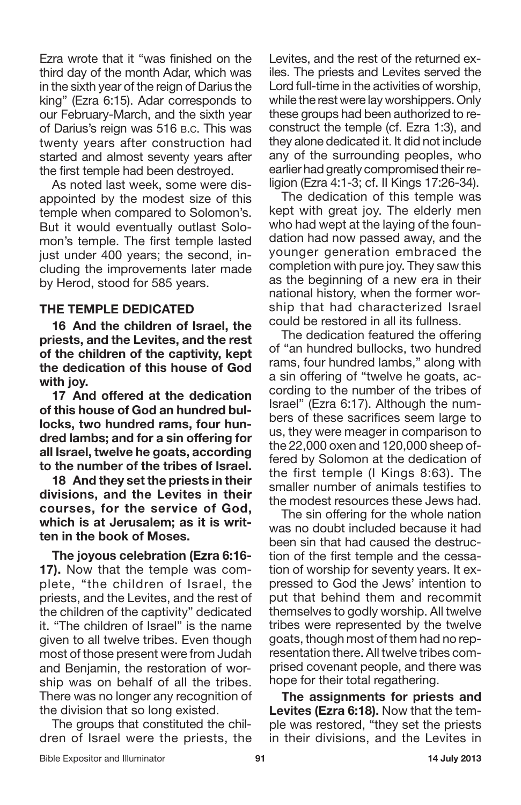Ezra wrote that it "was finished on the third day of the month Adar, which was in the sixth year of the reign of Darius the king" (Ezra 6:15). Adar corresponds to our February-March, and the sixth year of Darius's reign was 516 B.C. This was twenty years after construction had started and almost seventy years after the first temple had been destroyed.

As noted last week, some were disappointed by the modest size of this temple when compared to Solomon's. But it would eventually outlast Solomon's temple. The first temple lasted just under 400 years; the second, including the improvements later made by Herod, stood for 585 years.

#### **THE TEMPLE DEDICATED**

**16 And the children of Israel, the priests, and the Levites, and the rest of the children of the captivity, kept the dedication of this house of God with joy.**

**17 And offered at the dedication of this house of God an hundred bullocks, two hundred rams, four hundred lambs; and for a sin offering for all Israel, twelve he goats, according to the number of the tribes of Israel.**

**18 And they set the priests in their divisions, and the Levites in their courses, for the service of God, which is at Jerusalem; as it is written in the book of Moses.**

**The joyous celebration (Ezra 6:16- 17).** Now that the temple was complete, "the children of Israel, the priests, and the Levites, and the rest of the children of the captivity" dedicated it. "The children of Israel" is the name given to all twelve tribes. Even though most of those present were from Judah and Benjamin, the restoration of worship was on behalf of all the tribes. There was no longer any recognition of the division that so long existed.

The groups that constituted the children of Israel were the priests, the Levites, and the rest of the returned exiles. The priests and Levites served the Lord full-time in the activities of worship, while the rest were lay worshippers. Only these groups had been authorized to reconstruct the temple (cf. Ezra 1:3), and they alone dedicated it. It did not include any of the surrounding peoples, who earlier had greatly compromised their religion (Ezra 4:1-3; cf. II Kings 17:26-34).

The dedication of this temple was kept with great joy. The elderly men who had wept at the laying of the foundation had now passed away, and the younger generation embraced the completion with pure joy. They saw this as the beginning of a new era in their national history, when the former worship that had characterized Israel could be restored in all its fullness.

The dedication featured the offering of "an hundred bullocks, two hundred rams, four hundred lambs," along with a sin offering of "twelve he goats, according to the number of the tribes of Israel" (Ezra 6:17). Although the numbers of these sacrifices seem large to us, they were meager in comparison to the 22,000 oxen and 120,000 sheep offered by Solomon at the dedication of the first temple (I Kings 8:63). The smaller number of animals testifies to the modest resources these Jews had.

The sin offering for the whole nation was no doubt included because it had been sin that had caused the destruction of the first temple and the cessation of worship for seventy years. It expressed to God the Jews' intention to put that behind them and recommit themselves to godly worship. All twelve tribes were represented by the twelve goats, though most of them had no representation there. All twelve tribes comprised covenant people, and there was hope for their total regathering.

**The assignments for priests and Levites (Ezra 6:18).** Now that the temple was restored, "they set the priests in their divisions, and the Levites in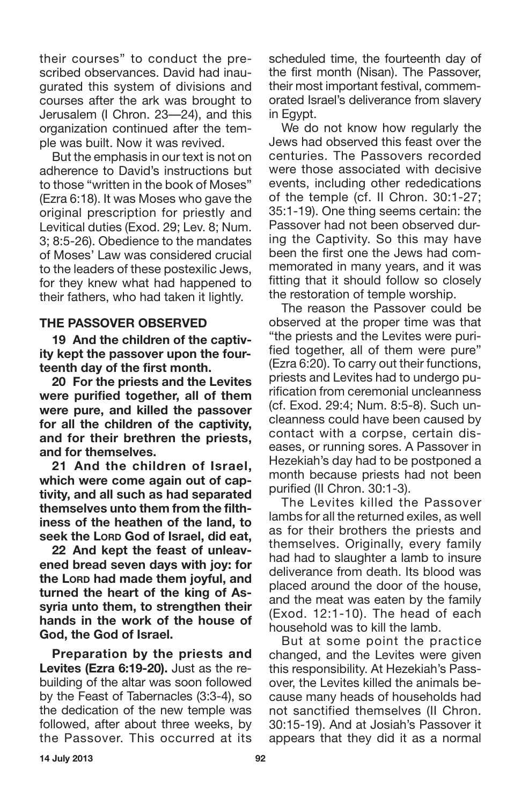their courses" to conduct the prescribed observances. David had inaugurated this system of divisions and courses after the ark was brought to Jerusalem (I Chron. 23—24), and this organization continued after the temple was built. Now it was revived.

But the emphasis in our text is not on adherence to David's instructions but to those "written in the book of Moses" (Ezra 6:18). It was Moses who gave the original prescription for priestly and Levitical duties (Exod. 29; Lev. 8; Num. 3; 8:5-26). Obedience to the mandates of Moses' Law was considered crucial to the leaders of these postexilic Jews, for they knew what had happened to their fathers, who had taken it lightly.

#### **THE PASSOVER OBSERVED**

**19 And the children of the captivity kept the passover upon the fourteenth day of the first month.**

**20 For the priests and the Levites were purified together, all of them were pure, and killed the passover for all the children of the captivity, and for their brethren the priests, and for themselves.**

**21 And the children of Israel, which were come again out of captivity, and all such as had separated themselves unto them from the filthiness of the heathen of the land, to seek the LORD God of Israel, did eat,**

**22 And kept the feast of unleavened bread seven days with joy: for the LORD had made them joyful, and turned the heart of the king of Assyria unto them, to strengthen their hands in the work of the house of God, the God of Israel.**

**Preparation by the priests and Levites (Ezra 6:19-20).** Just as the rebuilding of the altar was soon followed by the Feast of Tabernacles (3:3-4), so the dedication of the new temple was followed, after about three weeks, by the Passover. This occurred at its scheduled time, the fourteenth day of the first month (Nisan). The Passover, their most important festival, commemorated Israel's deliverance from slavery in Egypt.

We do not know how regularly the Jews had observed this feast over the centuries. The Passovers recorded were those associated with decisive events, including other rededications of the temple (cf. II Chron. 30:1-27; 35:1-19). One thing seems certain: the Passover had not been observed during the Captivity. So this may have been the first one the Jews had commemorated in many years, and it was fitting that it should follow so closely the restoration of temple worship.

The reason the Passover could be observed at the proper time was that "the priests and the Levites were purified together, all of them were pure" (Ezra 6:20). To carry out their functions, priests and Levites had to undergo purification from ceremonial uncleanness (cf. Exod. 29:4; Num. 8:5-8). Such uncleanness could have been caused by contact with a corpse, certain diseases, or running sores. A Passover in Hezekiah's day had to be postponed a month because priests had not been purified (II Chron. 30:1-3).

The Levites killed the Passover lambs for all the returned exiles, as well as for their brothers the priests and themselves. Originally, every family had had to slaughter a lamb to insure deliverance from death. Its blood was placed around the door of the house, and the meat was eaten by the family (Exod. 12:1-10). The head of each household was to kill the lamb.

But at some point the practice changed, and the Levites were given this responsibility. At Hezekiah's Passover, the Levites killed the animals because many heads of households had not sanctified themselves (II Chron. 30:15-19). And at Josiah's Passover it appears that they did it as a normal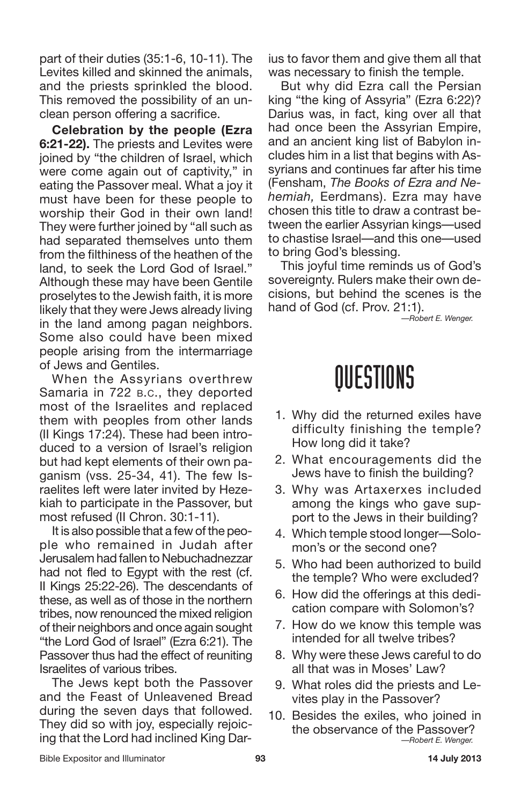part of their duties (35:1-6, 10-11). The Levites killed and skinned the animals, and the priests sprinkled the blood. This removed the possibility of an unclean person offering a sacrifice.

**Celebration by the people (Ezra 6:21-22).** The priests and Levites were joined by "the children of Israel, which were come again out of captivity," in eating the Passover meal. What a joy it must have been for these people to worship their God in their own land! They were further joined by "all such as had separated themselves unto them from the filthiness of the heathen of the land, to seek the Lord God of Israel." Although these may have been Gentile proselytes to the Jewish faith, it is more likely that they were Jews already living in the land among pagan neighbors. Some also could have been mixed people arising from the intermarriage of Jews and Gentiles.

When the Assyrians overthrew Samaria in 722 B.C., they deported most of the Israelites and replaced them with peoples from other lands (II Kings 17:24). These had been introduced to a version of Israel's religion but had kept elements of their own paganism (vss. 25-34, 41). The few Israelites left were later invited by Hezekiah to participate in the Passover, but most refused (II Chron. 30:1-11).

It is also possible that a few of the people who remained in Judah after Jerusalem had fallen to Nebuchadnezzar had not fled to Egypt with the rest (cf. II Kings 25:22-26). The descendants of these, as well as of those in the northern tribes, now renounced the mixed religion of their neighbors and once again sought "the Lord God of Israel" (Ezra 6:21). The Passover thus had the effect of reuniting Israelites of various tribes.

The Jews kept both the Passover and the Feast of Unleavened Bread during the seven days that followed. They did so with joy, especially rejoicing that the Lord had inclined King Darius to favor them and give them all that was necessary to finish the temple.

But why did Ezra call the Persian king "the king of Assyria" (Ezra 6:22)? Darius was, in fact, king over all that had once been the Assyrian Empire, and an ancient king list of Babylon includes him in a list that begins with Assyrians and continues far after his time (Fensham, *The Books of Ezra and Nehemiah,* Eerdmans). Ezra may have chosen this title to draw a contrast between the earlier Assyrian kings—used to chastise Israel—and this one—used to bring God's blessing.

This joyful time reminds us of God's sovereignty. Rulers make their own decisions, but behind the scenes is the hand of God (cf. Prov. 21:1).

*—Robert E. Wenger.*

### QUESTIONS

- 1. Why did the returned exiles have difficulty finishing the temple? How long did it take?
- 2. What encouragements did the Jews have to finish the building?
- 3. Why was Artaxerxes included among the kings who gave support to the Jews in their building?
- 4. Which temple stood longer—Solomon's or the second one?
- 5. Who had been authorized to build the temple? Who were excluded?
- 6. How did the offerings at this dedication compare with Solomon's?
- 7. How do we know this temple was intended for all twelve tribes?
- 8. Why were these Jews careful to do all that was in Moses' Law?
- 9. What roles did the priests and Levites play in the Passover?
- 10. Besides the exiles, who joined in the observance of the Passover? *—Robert E. Wenger.*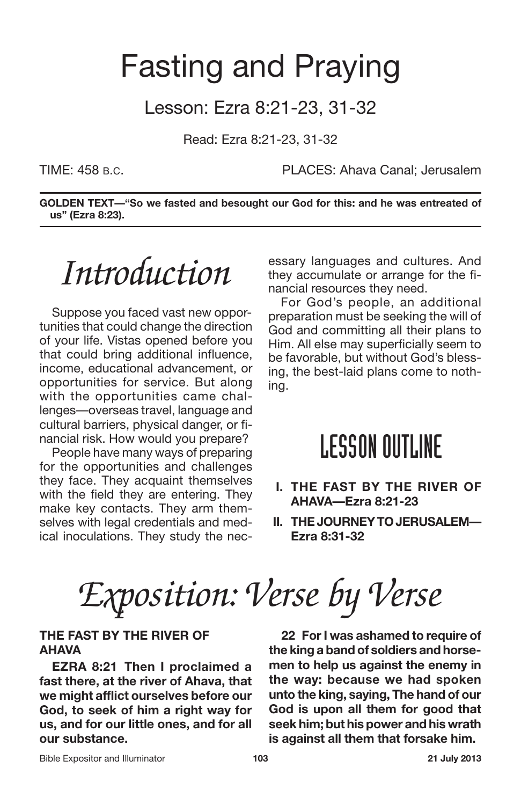### Fasting and Praying

#### Lesson: Ezra 8:21-23, 31-32

Read: Ezra 8:21-23, 31-32

TIME: 458 B.C. PLACES: Ahava Canal; Jerusalem

**GOLDEN TEXT—"So we fasted and besought our God for this: and he was entreated of us" (Ezra 8:23).**

## *Introduction*

Suppose you faced vast new opportunities that could change the direction of your life. Vistas opened before you that could bring additional influence, income, educational advancement, or opportunities for service. But along with the opportunities came challenges—overseas travel, language and cultural barriers, physical danger, or financial risk. How would you prepare?

People have many ways of preparing for the opportunities and challenges they face. They acquaint themselves with the field they are entering. They make key contacts. They arm themselves with legal credentials and medical inoculations. They study the necessary languages and cultures. And they accumulate or arrange for the financial resources they need.

For God's people, an additional preparation must be seeking the will of God and committing all their plans to Him. All else may superficially seem to be favorable, but without God's blessing, the best-laid plans come to nothing.

### **LESSON OUTLINE**

- **I. THE FAST BY THE RIVER OF AHAVA—Ezra 8:21-23**
- **II. THEJOURNEYTOJERUSALEM— Ezra 8:31-32**

*Exposition: Verse by Verse*

#### **THE FAST BY THE RIVER OF AHAVA**

**EZRA 8:21 Then I proclaimed a fast there, at the river of Ahava, that we might afflict ourselves before our God, to seek of him a right way for us, and for our little ones, and for all our substance.**

**22 ForI was ashamed to require of the king a band of soldiers and horsemen to help us against the enemy in the way: because we had spoken unto the king, saying, The hand of our God is upon all them for good that seek him; but his power and his wrath is against all them that forsake him.**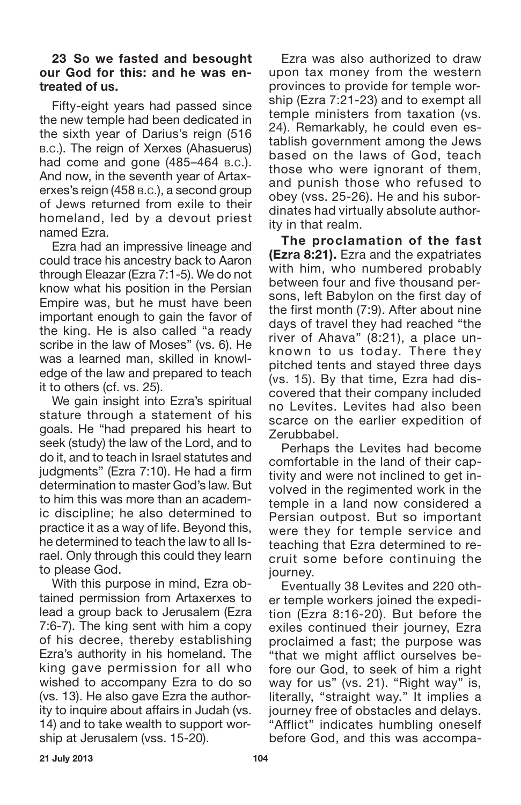#### **23 So we fasted and besought our God for this: and he was entreated of us.**

Fifty-eight years had passed since the new temple had been dedicated in the sixth year of Darius's reign (516 B.C.). The reign of Xerxes (Ahasuerus) had come and gone (485–464 B.C.). And now, in the seventh year of Artaxerxes's reign (458 B.C.), a second group of Jews returned from exile to their homeland, led by a devout priest named Ezra.

Ezra had an impressive lineage and could trace his ancestry back to Aaron through Eleazar (Ezra 7:1-5). We do not know what his position in the Persian Empire was, but he must have been important enough to gain the favor of the king. He is also called "a ready scribe in the law of Moses" (vs. 6). He was a learned man, skilled in knowledge of the law and prepared to teach it to others (cf. vs. 25).

We gain insight into Ezra's spiritual stature through a statement of his goals. He "had prepared his heart to seek (study) the law of the Lord, and to do it, and to teach in Israel statutes and judgments" (Ezra 7:10). He had a firm determination to master God's law. But to him this was more than an academic discipline; he also determined to practice it as a way of life. Beyond this, he determined to teach the law to all Israel. Only through this could they learn to please God.

With this purpose in mind, Ezra obtained permission from Artaxerxes to lead a group back to Jerusalem (Ezra 7:6-7). The king sent with him a copy of his decree, thereby establishing Ezra's authority in his homeland. The king gave permission for all who wished to accompany Ezra to do so (vs. 13). He also gave Ezra the authority to inquire about affairs in Judah (vs. 14) and to take wealth to support worship at Jerusalem (vss. 15-20).

Ezra was also authorized to draw upon tax money from the western provinces to provide for temple worship (Ezra 7:21-23) and to exempt all temple ministers from taxation (vs. 24). Remarkably, he could even establish government among the Jews based on the laws of God, teach those who were ignorant of them, and punish those who refused to obey (vss. 25-26). He and his subordinates had virtually absolute authority in that realm.

**The proclamation of the fast (Ezra 8:21).** Ezra and the expatriates with him, who numbered probably between four and five thousand persons, left Babylon on the first day of the first month (7:9). After about nine days of travel they had reached "the river of Ahava" (8:21), a place unknown to us today. There they pitched tents and stayed three days (vs. 15). By that time, Ezra had discovered that their company included no Levites. Levites had also been scarce on the earlier expedition of Zerubbabel.

Perhaps the Levites had become comfortable in the land of their captivity and were not inclined to get involved in the regimented work in the temple in a land now considered a Persian outpost. But so important were they for temple service and teaching that Ezra determined to recruit some before continuing the journey.

Eventually 38 Levites and 220 other temple workers joined the expedition (Ezra 8:16-20). But before the exiles continued their journey, Ezra proclaimed a fast; the purpose was "that we might afflict ourselves before our God, to seek of him a right way for us" (vs. 21). "Right way" is, literally, "straight way." It implies a journey free of obstacles and delays. "Afflict" indicates humbling oneself before God, and this was accompa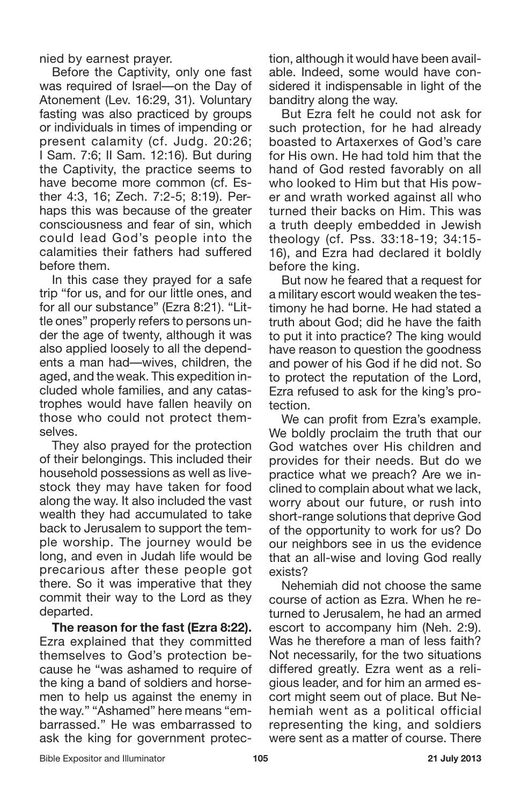nied by earnest prayer.

Before the Captivity, only one fast was required of Israel—on the Day of Atonement (Lev. 16:29, 31). Voluntary fasting was also practiced by groups or individuals in times of impending or present calamity (cf. Judg. 20:26; I Sam. 7:6; II Sam. 12:16). But during the Captivity, the practice seems to have become more common (cf. Esther 4:3, 16; Zech. 7:2-5; 8:19). Perhaps this was because of the greater consciousness and fear of sin, which could lead God's people into the calamities their fathers had suffered before them.

In this case they prayed for a safe trip "for us, and for our little ones, and for all our substance" (Ezra 8:21). "Little ones" properly refers to persons under the age of twenty, although it was also applied loosely to all the dependents a man had—wives, children, the aged, and the weak. This expedition included whole families, and any catastrophes would have fallen heavily on those who could not protect themselves.

They also prayed for the protection of their belongings. This included their household possessions as well as livestock they may have taken for food along the way. It also included the vast wealth they had accumulated to take back to Jerusalem to support the temple worship. The journey would be long, and even in Judah life would be precarious after these people got there. So it was imperative that they commit their way to the Lord as they departed.

**The reason for the fast (Ezra 8:22).** Ezra explained that they committed themselves to God's protection because he "was ashamed to require of the king a band of soldiers and horsemen to help us against the enemy in the way." "Ashamed" here means "embarrassed." He was embarrassed to ask the king for government protection, although it would have been available. Indeed, some would have considered it indispensable in light of the banditry along the way.

But Ezra felt he could not ask for such protection, for he had already boasted to Artaxerxes of God's care for His own. He had told him that the hand of God rested favorably on all who looked to Him but that His power and wrath worked against all who turned their backs on Him. This was a truth deeply embedded in Jewish theology (cf. Pss. 33:18-19; 34:15- 16), and Ezra had declared it boldly before the king.

But now he feared that a request for a military escort would weaken the testimony he had borne. He had stated a truth about God; did he have the faith to put it into practice? The king would have reason to question the goodness and power of his God if he did not. So to protect the reputation of the Lord, Ezra refused to ask for the king's protection.

We can profit from Ezra's example. We boldly proclaim the truth that our God watches over His children and provides for their needs. But do we practice what we preach? Are we inclined to complain about what we lack, worry about our future, or rush into short-range solutions that deprive God of the opportunity to work for us? Do our neighbors see in us the evidence that an all-wise and loving God really exists?

Nehemiah did not choose the same course of action as Ezra. When he returned to Jerusalem, he had an armed escort to accompany him (Neh. 2:9). Was he therefore a man of less faith? Not necessarily, for the two situations differed greatly. Ezra went as a religious leader, and for him an armed escort might seem out of place. But Nehemiah went as a political official representing the king, and soldiers were sent as a matter of course. There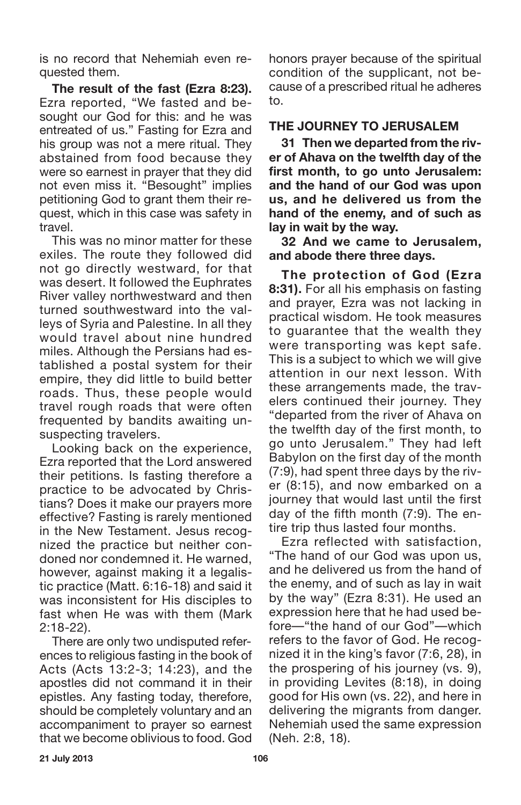is no record that Nehemiah even requested them.

**The result of the fast (Ezra 8:23).** Ezra reported, "We fasted and besought our God for this: and he was entreated of us." Fasting for Ezra and his group was not a mere ritual. They abstained from food because they were so earnest in prayer that they did not even miss it. "Besought" implies petitioning God to grant them their request, which in this case was safety in travel.

This was no minor matter for these exiles. The route they followed did not go directly westward, for that was desert. It followed the Euphrates River valley northwestward and then turned southwestward into the valleys of Syria and Palestine. In all they would travel about nine hundred miles. Although the Persians had established a postal system for their empire, they did little to build better roads. Thus, these people would travel rough roads that were often frequented by bandits awaiting unsuspecting travelers.

Looking back on the experience, Ezra reported that the Lord answered their petitions. Is fasting therefore a practice to be advocated by Christians? Does it make our prayers more effective? Fasting is rarely mentioned in the New Testament. Jesus recognized the practice but neither condoned nor condemned it. He warned, however, against making it a legalistic practice (Matt. 6:16-18) and said it was inconsistent for His disciples to fast when He was with them (Mark 2:18-22).

There are only two undisputed references to religious fasting in the book of Acts (Acts 13:2-3; 14:23), and the apostles did not command it in their epistles. Any fasting today, therefore, should be completely voluntary and an accompaniment to prayer so earnest that we become oblivious to food. God honors prayer because of the spiritual condition of the supplicant, not because of a prescribed ritual he adheres to.

#### **THE JOURNEY TO JERUSALEM**

**31 Then we departed from the river of Ahava on the twelfth day of the first month, to go unto Jerusalem: and the hand of our God was upon us, and he delivered us from the hand of the enemy, and of such as lay in wait by the way.**

**32 And we came to Jerusalem, and abode there three days.**

**The protection of God (Ezra 8:31).** For all his emphasis on fasting and prayer, Ezra was not lacking in practical wisdom. He took measures to guarantee that the wealth they were transporting was kept safe. This is a subject to which we will give attention in our next lesson. With these arrangements made, the travelers continued their journey. They "departed from the river of Ahava on the twelfth day of the first month, to go unto Jerusalem." They had left Babylon on the first day of the month (7:9), had spent three days by the river (8:15), and now embarked on a journey that would last until the first day of the fifth month (7:9). The entire trip thus lasted four months.

Ezra reflected with satisfaction, "The hand of our God was upon us, and he delivered us from the hand of the enemy, and of such as lay in wait by the way" (Ezra 8:31). He used an expression here that he had used before—"the hand of our God"—which refers to the favor of God. He recognized it in the king's favor (7:6, 28), in the prospering of his journey (vs. 9), in providing Levites (8:18), in doing good for His own (vs. 22), and here in delivering the migrants from danger. Nehemiah used the same expression (Neh. 2:8, 18).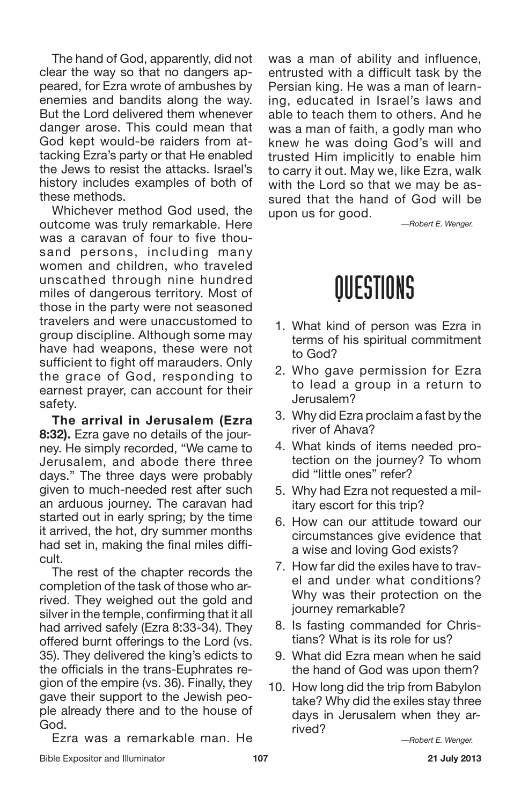The hand of God, apparently, did not clear the way so that no dangers appeared, for Ezra wrote of ambushes by enemies and bandits along the way. But the Lord delivered them whenever danger arose. This could mean that God kept would-be raiders from attacking Ezra's party or that He enabled the Jews to resist the attacks. Israel's history includes examples of both of these methods.

Whichever method God used, the outcome was truly remarkable. Here was a caravan of four to five thousand persons, including many women and children, who traveled unscathed through nine hundred miles of dangerous territory. Most of those in the party were not seasoned travelers and were unaccustomed to group discipline. Although some may have had weapons, these were not sufficient to fight off marauders. Only the grace of God, responding to earnest prayer, can account for their safety.

**The arrival in Jerusalem (Ezra 8:32).** Ezra gave no details of the journey. He simply recorded, "We came to Jerusalem, and abode there three days." The three days were probably given to much-needed rest after such an arduous journey. The caravan had started out in early spring; by the time it arrived, the hot, dry summer months had set in, making the final miles difficult.

The rest of the chapter records the completion of the task of those who arrived. They weighed out the gold and silver in the temple, confirming that it all had arrived safely (Ezra 8:33-34). They offered burnt offerings to the Lord (vs. 35). They delivered the king's edicts to the officials in the trans-Euphrates region of the empire (vs. 36). Finally, they gave their support to the Jewish people already there and to the house of God.

Ezra was a remarkable man. He

was a man of ability and influence, entrusted with a difficult task by the Persian king. He was a man of learning, educated in Israel's laws and able to teach them to others. And he was a man of faith, a godly man who knew he was doing God's will and trusted Him implicitly to enable him to carry it out. May we, like Ezra, walk with the Lord so that we may be assured that the hand of God will be upon us for good.

*—Robert E. Wenger.*

### QUESTIONS

- 1. What kind of person was Ezra in terms of his spiritual commitment to God?
- 2. Who gave permission for Ezra to lead a group in a return to Jerusalem?
- 3. Why did Ezra proclaim a fast by the river of Ahava?
- 4. What kinds of items needed protection on the journey? To whom did "little ones" refer?
- 5. Why had Ezra not requested a military escort for this trip?
- 6. How can our attitude toward our circumstances give evidence that a wise and loving God exists?
- 7. How far did the exiles have to travel and under what conditions? Why was their protection on the journey remarkable?
- 8. Is fasting commanded for Christians? What is its role for us?
- 9. What did Ezra mean when he said the hand of God was upon them?
- 10. How long did the trip from Babylon take? Why did the exiles stay three days in Jerusalem when they arrived?

*—Robert E. Wenger.*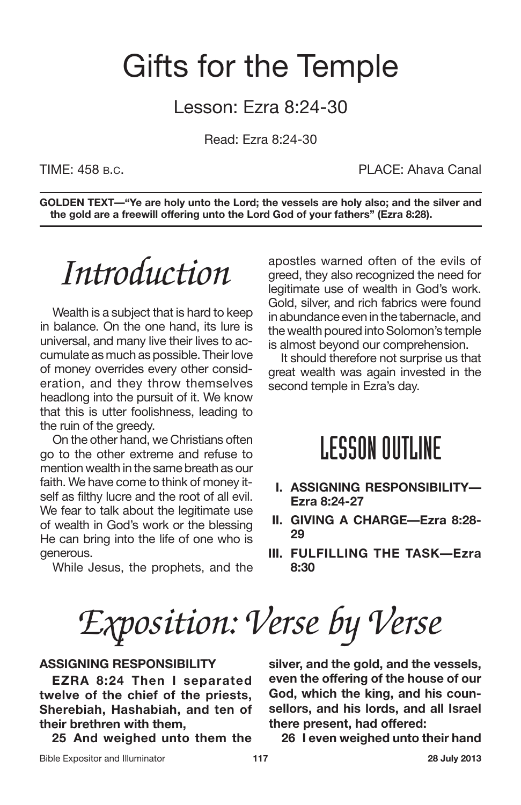### Gifts for the Temple

#### Lesson: Ezra 8:24-30

Read: Ezra 8:24-30

TIME: 458 B.C. PLACE: Ahava Canal

**GOLDEN TEXT—"Ye are holy unto the Lord; the vessels are holy also; and the silver and the gold are a freewill offering unto the Lord God of your fathers" (Ezra 8:28).**

## *Introduction*

Wealth is a subject that is hard to keep in balance. On the one hand, its lure is universal, and many live their lives to accumulate as much as possible. Their love of money overrides every other consideration, and they throw themselves headlong into the pursuit of it. We know that this is utter foolishness, leading to the ruin of the greedy.

On the other hand, we Christians often go to the other extreme and refuse to mention wealth in the same breath as our faith. We have come to think of money itself as filthy lucre and the root of all evil. We fear to talk about the legitimate use of wealth in God's work or the blessing He can bring into the life of one who is generous.

While Jesus, the prophets, and the

apostles warned often of the evils of greed, they also recognized the need for legitimate use of wealth in God's work. Gold, silver, and rich fabrics were found in abundance even in the tabernacle, and the wealth poured into Solomon's temple is almost beyond our comprehension.

It should therefore not surprise us that great wealth was again invested in the second temple in Ezra's day.

### **LESSON OUTLINE**

- **I. ASSIGNING RESPONSIBILITY— Ezra 8:24-27**
- **II. GIVING A CHARGE—Ezra 8:28- 29**
- **III. FULFILLING THE TASK—Ezra 8:30**

*Exposition: Verse by Verse*

#### **ASSIGNING RESPONSIBILITY**

**EZRA 8:24 Then I separated twelve of the chief of the priests, Sherebiah, Hashabiah, and ten of their brethren with them,**

**25 And weighed unto them the**

**silver, and the gold, and the vessels, even the offering of the house of our God, which the king, and his counsellors, and his lords, and all Israel there present, had offered:**

**26 I even weighed unto their hand**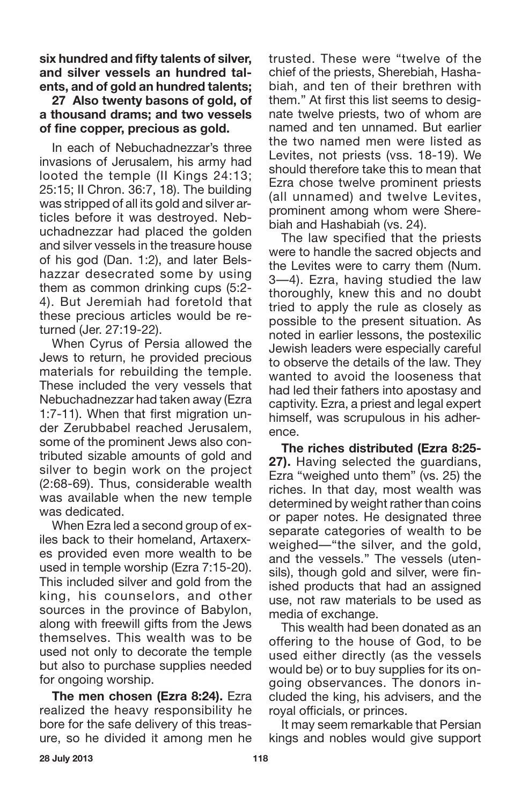**six hundred and fifty talents of silver, and silver vessels an hundred talents, and of gold an hundred talents;**

**27 Also twenty basons of gold, of a thousand drams; and two vessels of fine copper, precious as gold.**

In each of Nebuchadnezzar's three invasions of Jerusalem, his army had looted the temple (II Kings 24:13; 25:15; II Chron. 36:7, 18). The building was stripped of all its gold and silver articles before it was destroyed. Nebuchadnezzar had placed the golden and silver vessels in the treasure house of his god (Dan. 1:2), and later Belshazzar desecrated some by using them as common drinking cups (5:2- 4). But Jeremiah had foretold that these precious articles would be returned (Jer. 27:19-22).

When Cyrus of Persia allowed the Jews to return, he provided precious materials for rebuilding the temple. These included the very vessels that Nebuchadnezzar had taken away (Ezra 1:7-11). When that first migration under Zerubbabel reached Jerusalem, some of the prominent Jews also contributed sizable amounts of gold and silver to begin work on the project (2:68-69). Thus, considerable wealth was available when the new temple was dedicated.

When Ezra led a second group of exiles back to their homeland, Artaxerxes provided even more wealth to be used in temple worship (Ezra 7:15-20). This included silver and gold from the king, his counselors, and other sources in the province of Babylon, along with freewill gifts from the Jews themselves. This wealth was to be used not only to decorate the temple but also to purchase supplies needed for ongoing worship.

**The men chosen (Ezra 8:24).** Ezra realized the heavy responsibility he bore for the safe delivery of this treasure, so he divided it among men he trusted. These were "twelve of the chief of the priests, Sherebiah, Hashabiah, and ten of their brethren with them." At first this list seems to designate twelve priests, two of whom are named and ten unnamed. But earlier the two named men were listed as Levites, not priests (vss. 18-19). We should therefore take this to mean that Ezra chose twelve prominent priests (all unnamed) and twelve Levites, prominent among whom were Sherebiah and Hashabiah (vs. 24).

The law specified that the priests were to handle the sacred objects and the Levites were to carry them (Num. 3—4). Ezra, having studied the law thoroughly, knew this and no doubt tried to apply the rule as closely as possible to the present situation. As noted in earlier lessons, the postexilic Jewish leaders were especially careful to observe the details of the law. They wanted to avoid the looseness that had led their fathers into apostasy and captivity. Ezra, a priest and legal expert himself, was scrupulous in his adherence.

**The riches distributed (Ezra 8:25- 27).** Having selected the guardians, Ezra "weighed unto them" (vs. 25) the riches. In that day, most wealth was determined by weight rather than coins or paper notes. He designated three separate categories of wealth to be weighed—"the silver, and the gold, and the vessels." The vessels (utensils), though gold and silver, were finished products that had an assigned use, not raw materials to be used as media of exchange.

This wealth had been donated as an offering to the house of God, to be used either directly (as the vessels would be) or to buy supplies for its ongoing observances. The donors included the king, his advisers, and the royal officials, or princes.

It may seem remarkable that Persian kings and nobles would give support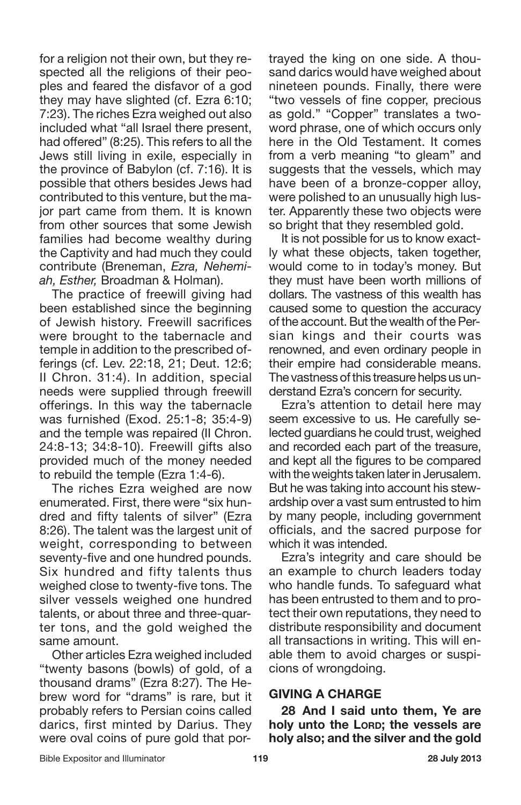for a religion not their own, but they respected all the religions of their peoples and feared the disfavor of a god they may have slighted (cf. Ezra 6:10; 7:23). The riches Ezra weighed out also included what "all Israel there present, had offered" (8:25). This refers to all the Jews still living in exile, especially in the province of Babylon (cf. 7:16). It is possible that others besides Jews had contributed to this venture, but the major part came from them. It is known from other sources that some Jewish families had become wealthy during the Captivity and had much they could contribute (Breneman, *Ezra, Nehemiah, Esther,* Broadman & Holman).

The practice of freewill giving had been established since the beginning of Jewish history. Freewill sacrifices were brought to the tabernacle and temple in addition to the prescribed offerings (cf. Lev. 22:18, 21; Deut. 12:6; II Chron. 31:4). In addition, special needs were supplied through freewill offerings. In this way the tabernacle was furnished (Exod. 25:1-8; 35:4-9) and the temple was repaired (II Chron. 24:8-13; 34:8-10). Freewill gifts also provided much of the money needed to rebuild the temple (Ezra 1:4-6).

The riches Ezra weighed are now enumerated. First, there were "six hundred and fifty talents of silver" (Ezra 8:26). The talent was the largest unit of weight, corresponding to between seventy-five and one hundred pounds. Six hundred and fifty talents thus weighed close to twenty-five tons. The silver vessels weighed one hundred talents, or about three and three-quarter tons, and the gold weighed the same amount.

Other articles Ezra weighed included "twenty basons (bowls) of gold, of a thousand drams" (Ezra 8:27). The Hebrew word for "drams" is rare, but it probably refers to Persian coins called darics, first minted by Darius. They were oval coins of pure gold that portrayed the king on one side. A thousand darics would have weighed about nineteen pounds. Finally, there were "two vessels of fine copper, precious as gold." "Copper" translates a twoword phrase, one of which occurs only here in the Old Testament. It comes from a verb meaning "to gleam" and suggests that the vessels, which may have been of a bronze-copper alloy, were polished to an unusually high luster. Apparently these two objects were so bright that they resembled gold.

It is not possible for us to know exactly what these objects, taken together, would come to in today's money. But they must have been worth millions of dollars. The vastness of this wealth has caused some to question the accuracy of the account. But the wealth of the Persian kings and their courts was renowned, and even ordinary people in their empire had considerable means. The vastness of this treasure helps us understand Ezra's concern for security.

Ezra's attention to detail here may seem excessive to us. He carefully selected guardians he could trust, weighed and recorded each part of the treasure, and kept all the figures to be compared with the weights taken later in Jerusalem. But he was taking into account his stewardship over a vast sum entrusted to him by many people, including government officials, and the sacred purpose for which it was intended.

Ezra's integrity and care should be an example to church leaders today who handle funds. To safeguard what has been entrusted to them and to protect their own reputations, they need to distribute responsibility and document all transactions in writing. This will enable them to avoid charges or suspicions of wrongdoing.

#### **GIVING A CHARGE**

**28 And I said unto them, Ye are holy unto the LORD; the vessels are holy also; and the silver and the gold**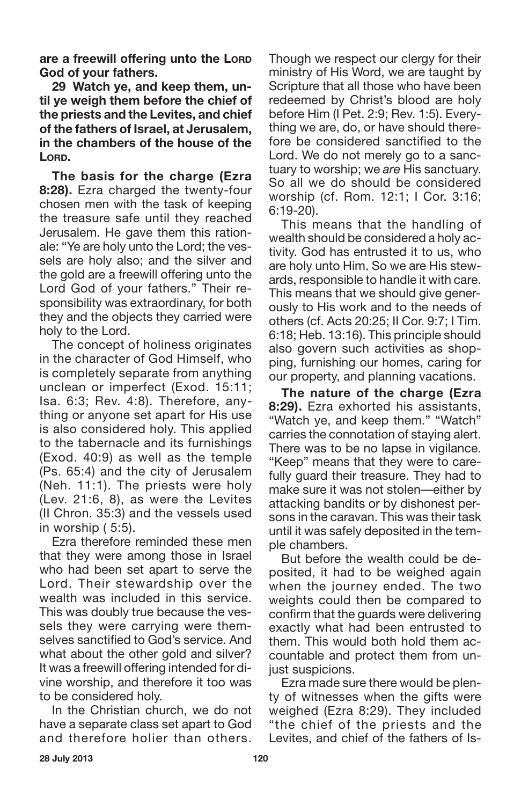**are a freewill offering unto the LORD God of your fathers.**

**29 Watch ye, and keep them, until ye weigh them before the chief of the priests and the Levites, and chief of the fathers of Israel, at Jerusalem, in the chambers of the house of the LORD.**

**The basis for the charge (Ezra 8:28).** Ezra charged the twenty-four chosen men with the task of keeping the treasure safe until they reached Jerusalem. He gave them this rationale: "Ye are holy unto the Lord; the vessels are holy also; and the silver and the gold are a freewill offering unto the Lord God of your fathers." Their responsibility was extraordinary, for both they and the objects they carried were holy to the Lord.

The concept of holiness originates in the character of God Himself, who is completely separate from anything unclean or imperfect (Exod. 15:11; Isa. 6:3; Rev. 4:8). Therefore, anything or anyone set apart for His use is also considered holy. This applied to the tabernacle and its furnishings (Exod. 40:9) as well as the temple (Ps. 65:4) and the city of Jerusalem (Neh. 11:1). The priests were holy (Lev. 21:6, 8), as were the Levites (II Chron. 35:3) and the vessels used in worship ( 5:5).

Ezra therefore reminded these men that they were among those in Israel who had been set apart to serve the Lord. Their stewardship over the wealth was included in this service. This was doubly true because the vessels they were carrying were themselves sanctified to God's service. And what about the other gold and silver? It was a freewill offering intended for divine worship, and therefore it too was to be considered holy.

In the Christian church, we do not have a separate class set apart to God and therefore holier than others.

Though we respect our clergy for their ministry of His Word, we are taught by Scripture that all those who have been redeemed by Christ's blood are holy before Him (I Pet. 2:9; Rev. 1:5). Everything we are, do, or have should therefore be considered sanctified to the Lord. We do not merely go to a sanctuary to worship; we *are* His sanctuary. So all we do should be considered worship (cf. Rom. 12:1; I Cor. 3:16; 6:19-20).

This means that the handling of wealth should be considered a holy activity. God has entrusted it to us, who are holy unto Him. So we are His stewards, responsible to handle it with care. This means that we should give generously to His work and to the needs of others (cf. Acts 20:25; II Cor. 9:7; I Tim. 6:18; Heb. 13:16). This principle should also govern such activities as shopping, furnishing our homes, caring for our property, and planning vacations.

**The nature of the charge (Ezra 8:29).** Ezra exhorted his assistants, "Watch ye, and keep them." "Watch" carries the connotation of staying alert. There was to be no lapse in vigilance. "Keep" means that they were to carefully guard their treasure. They had to make sure it was not stolen—either by attacking bandits or by dishonest persons in the caravan. This was their task until it was safely deposited in the temple chambers.

But before the wealth could be deposited, it had to be weighed again when the journey ended. The two weights could then be compared to confirm that the guards were delivering exactly what had been entrusted to them. This would both hold them accountable and protect them from unjust suspicions.

Ezra made sure there would be plenty of witnesses when the gifts were weighed (Ezra 8:29). They included "the chief of the priests and the Levites, and chief of the fathers of Is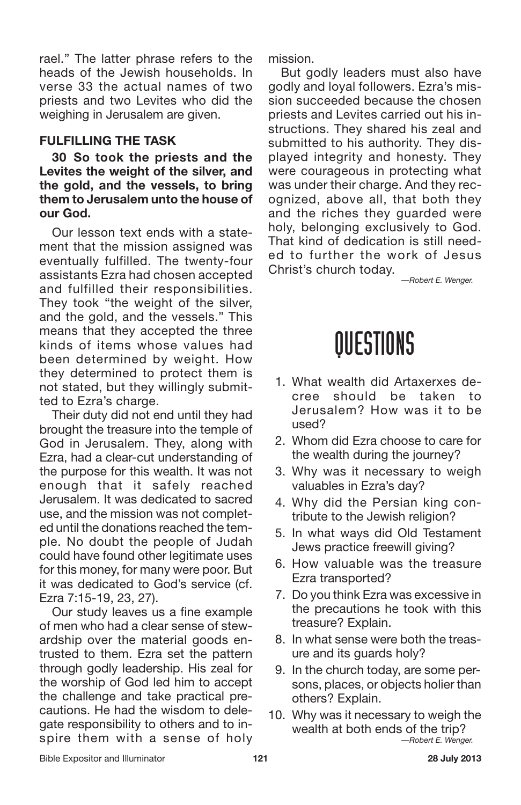rael." The latter phrase refers to the heads of the Jewish households. In verse 33 the actual names of two priests and two Levites who did the weighing in Jerusalem are given.

#### **FULFILLING THE TASK**

**30 So took the priests and the Levites the weight of the silver, and the gold, and the vessels, to bring them to Jerusalem unto the house of our God.**

Our lesson text ends with a statement that the mission assigned was eventually fulfilled. The twenty-four assistants Ezra had chosen accepted and fulfilled their responsibilities. They took "the weight of the silver, and the gold, and the vessels." This means that they accepted the three kinds of items whose values had been determined by weight. How they determined to protect them is not stated, but they willingly submitted to Ezra's charge.

Their duty did not end until they had brought the treasure into the temple of God in Jerusalem. They, along with Ezra, had a clear-cut understanding of the purpose for this wealth. It was not enough that it safely reached Jerusalem. It was dedicated to sacred use, and the mission was not completed until the donations reached the temple. No doubt the people of Judah could have found other legitimate uses for this money, for many were poor. But it was dedicated to God's service (cf. Ezra 7:15-19, 23, 27).

Our study leaves us a fine example of men who had a clear sense of stewardship over the material goods entrusted to them. Ezra set the pattern through godly leadership. His zeal for the worship of God led him to accept the challenge and take practical precautions. He had the wisdom to delegate responsibility to others and to inspire them with a sense of holy

mission.

But godly leaders must also have godly and loyal followers. Ezra's mission succeeded because the chosen priests and Levites carried out his instructions. They shared his zeal and submitted to his authority. They displayed integrity and honesty. They were courageous in protecting what was under their charge. And they recognized, above all, that both they and the riches they guarded were holy, belonging exclusively to God. That kind of dedication is still needed to further the work of Jesus Christ's church today.

*—Robert E. Wenger.*

### QUESTIONS

- 1. What wealth did Artaxerxes decree should be taken to Jerusalem? How was it to be used?
- 2. Whom did Ezra choose to care for the wealth during the journey?
- 3. Why was it necessary to weigh valuables in Ezra's day?
- 4. Why did the Persian king contribute to the Jewish religion?
- 5. In what ways did Old Testament Jews practice freewill giving?
- 6. How valuable was the treasure Ezra transported?
- 7. Do you think Ezra was excessive in the precautions he took with this treasure? Explain.
- 8. In what sense were both the treasure and its guards holy?
- 9. In the church today, are some persons, places, or objects holier than others? Explain.
- 10. Why was it necessary to weigh the wealth at both ends of the trip? *—Robert E. Wenger.*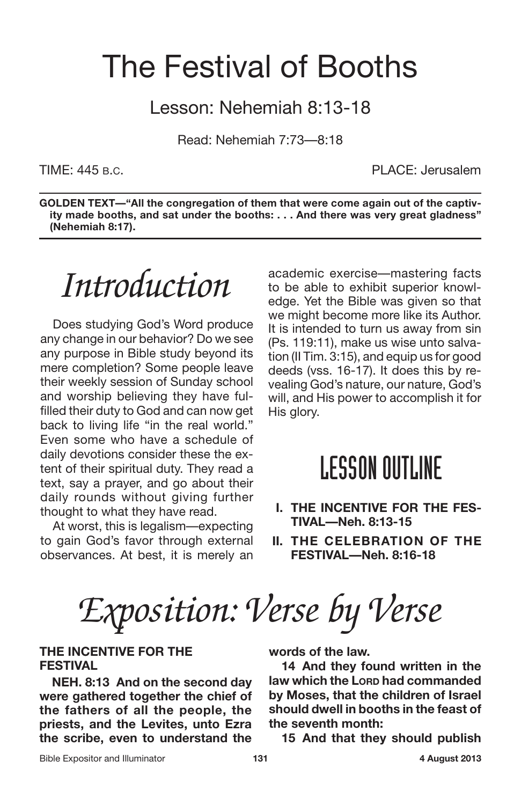### The Festival of Booths

Lesson: Nehemiah 8:13-18

Read: Nehemiah 7:73—8:18

TIME: 445 B.C. PLACE: Jerusalem

**GOLDEN TEXT—"All the congregation of them that were come again out of the captivity made booths, and sat under the booths: . . . And there was very great gladness" (Nehemiah 8:17).**

*Introduction*

Does studying God's Word produce any change in our behavior? Do we see any purpose in Bible study beyond its mere completion? Some people leave their weekly session of Sunday school and worship believing they have fulfilled their duty to God and can now get back to living life "in the real world." Even some who have a schedule of daily devotions consider these the extent of their spiritual duty. They read a text, say a prayer, and go about their daily rounds without giving further thought to what they have read.

At worst, this is legalism—expecting to gain God's favor through external observances. At best, it is merely an

academic exercise—mastering facts to be able to exhibit superior knowledge. Yet the Bible was given so that we might become more like its Author. It is intended to turn us away from sin (Ps. 119:11), make us wise unto salvation (II Tim. 3:15), and equip us for good deeds (vss. 16-17). It does this by revealing God's nature, our nature, God's will, and His power to accomplish it for His glory.

#### **LESSON OUTLINE**

- **I. THE INCENTIVE FOR THE FES-TIVAL—Neh. 8:13-15**
- **II. THE CELEBRATION OF THE FESTIVAL—Neh. 8:16-18**

*Exposition: Verse by Verse*

#### **THE INCENTIVE FOR THE FESTIVAL**

**NEH. 8:13 And on the second day were gathered together the chief of the fathers of all the people, the priests, and the Levites, unto Ezra the scribe, even to understand the** **words of the law.**

**14 And they found written in the law which the LORD had commanded by Moses, that the children of Israel should dwell in booths in the feast of the seventh month:**

**15 And that they should publish**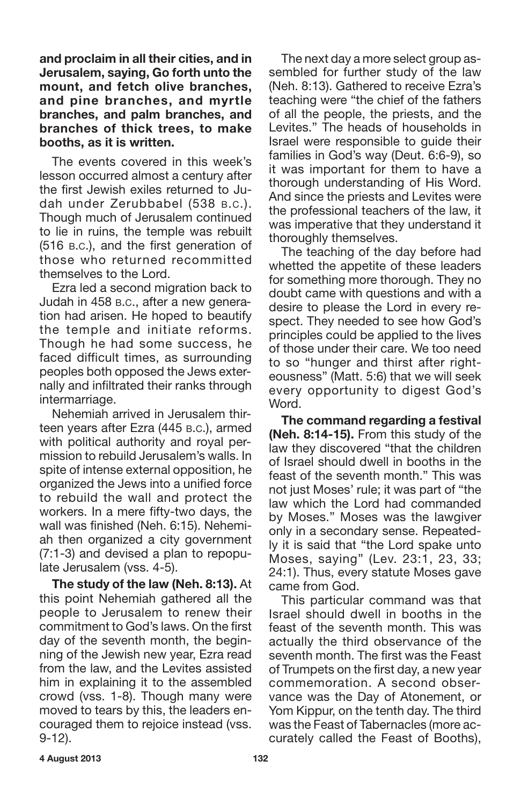**and proclaim in all their cities, and in Jerusalem, saying, Go forth unto the mount, and fetch olive branches, and pine branches, and myrtle branches, and palm branches, and branches of thick trees, to make booths, as it is written.**

The events covered in this week's lesson occurred almost a century after the first Jewish exiles returned to Judah under Zerubbabel (538 B.C.). Though much of Jerusalem continued to lie in ruins, the temple was rebuilt (516 B.C.), and the first generation of those who returned recommitted themselves to the Lord.

Ezra led a second migration back to Judah in 458 B.C., after a new generation had arisen. He hoped to beautify the temple and initiate reforms. Though he had some success, he faced difficult times, as surrounding peoples both opposed the Jews externally and infiltrated their ranks through intermarriage.

Nehemiah arrived in Jerusalem thirteen years after Ezra (445 B.C.), armed with political authority and royal permission to rebuild Jerusalem's walls. In spite of intense external opposition, he organized the Jews into a unified force to rebuild the wall and protect the workers. In a mere fifty-two days, the wall was finished (Neh. 6:15). Nehemiah then organized a city government (7:1-3) and devised a plan to repopulate Jerusalem (vss. 4-5).

**The study of the law (Neh. 8:13).** At this point Nehemiah gathered all the people to Jerusalem to renew their commitment to God's laws. On the first day of the seventh month, the beginning of the Jewish new year, Ezra read from the law, and the Levites assisted him in explaining it to the assembled crowd (vss. 1-8). Though many were moved to tears by this, the leaders encouraged them to rejoice instead (vss. 9-12).

The next day a more select group assembled for further study of the law (Neh. 8:13). Gathered to receive Ezra's teaching were "the chief of the fathers of all the people, the priests, and the Levites." The heads of households in Israel were responsible to guide their families in God's way (Deut. 6:6-9), so it was important for them to have a thorough understanding of His Word. And since the priests and Levites were the professional teachers of the law, it was imperative that they understand it thoroughly themselves.

The teaching of the day before had whetted the appetite of these leaders for something more thorough. They no doubt came with questions and with a desire to please the Lord in every respect. They needed to see how God's principles could be applied to the lives of those under their care. We too need to so "hunger and thirst after righteousness" (Matt. 5:6) that we will seek every opportunity to digest God's Word.

**The command regarding a festival (Neh. 8:14-15).** From this study of the law they discovered "that the children of Israel should dwell in booths in the feast of the seventh month." This was not just Moses' rule; it was part of "the law which the Lord had commanded by Moses." Moses was the lawgiver only in a secondary sense. Repeatedly it is said that "the Lord spake unto Moses, saying" (Lev. 23:1, 23, 33; 24:1). Thus, every statute Moses gave came from God.

This particular command was that Israel should dwell in booths in the feast of the seventh month. This was actually the third observance of the seventh month. The first was the Feast of Trumpets on the first day, a new year commemoration. A second observance was the Day of Atonement, or Yom Kippur, on the tenth day. The third was the Feast of Tabernacles (more accurately called the Feast of Booths),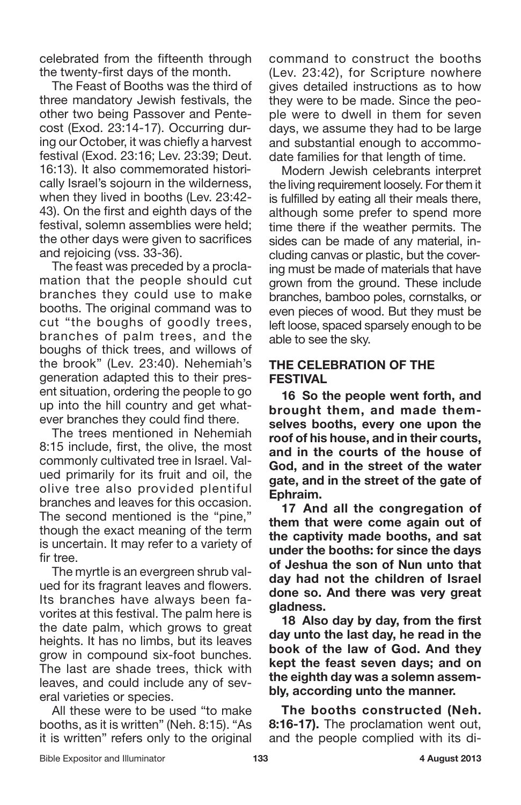celebrated from the fifteenth through the twenty-first days of the month.

The Feast of Booths was the third of three mandatory Jewish festivals, the other two being Passover and Pentecost (Exod. 23:14-17). Occurring during our October, it was chiefly a harvest festival (Exod. 23:16; Lev. 23:39; Deut. 16:13). It also commemorated historically Israel's sojourn in the wilderness, when they lived in booths (Lev. 23:42- 43). On the first and eighth days of the festival, solemn assemblies were held; the other days were given to sacrifices and rejoicing (vss. 33-36).

The feast was preceded by a proclamation that the people should cut branches they could use to make booths. The original command was to cut "the boughs of goodly trees, branches of palm trees, and the boughs of thick trees, and willows of the brook" (Lev. 23:40). Nehemiah's generation adapted this to their present situation, ordering the people to go up into the hill country and get whatever branches they could find there.

The trees mentioned in Nehemiah 8:15 include, first, the olive, the most commonly cultivated tree in Israel. Valued primarily for its fruit and oil, the olive tree also provided plentiful branches and leaves for this occasion. The second mentioned is the "pine," though the exact meaning of the term is uncertain. It may refer to a variety of fir tree.

The myrtle is an evergreen shrub valued for its fragrant leaves and flowers. Its branches have always been favorites at this festival. The palm here is the date palm, which grows to great heights. It has no limbs, but its leaves grow in compound six-foot bunches. The last are shade trees, thick with leaves, and could include any of several varieties or species.

All these were to be used "to make booths, as it is written" (Neh. 8:15). "As it is written" refers only to the original command to construct the booths (Lev. 23:42), for Scripture nowhere gives detailed instructions as to how they were to be made. Since the people were to dwell in them for seven days, we assume they had to be large and substantial enough to accommodate families for that length of time.

Modern Jewish celebrants interpret the living requirement loosely. For them it is fulfilled by eating all their meals there, although some prefer to spend more time there if the weather permits. The sides can be made of any material, including canvas or plastic, but the covering must be made of materials that have grown from the ground. These include branches, bamboo poles, cornstalks, or even pieces of wood. But they must be left loose, spaced sparsely enough to be able to see the sky.

#### **THE CELEBRATION OF THE FESTIVAL**

**16 So the people went forth, and brought them, and made themselves booths, every one upon the roof of his house, and in their courts, and in the courts of the house of God, and in the street of the water gate, and in the street of the gate of Ephraim.**

**17 And all the congregation of them that were come again out of the captivity made booths, and sat under the booths: for since the days of Jeshua the son of Nun unto that day had not the children of Israel done so. And there was very great gladness.**

**18 Also day by day, from the first day unto the last day, he read in the book of the law of God. And they kept the feast seven days; and on the eighth day was a solemn assembly, according unto the manner.**

**The booths constructed (Neh. 8:16-17).** The proclamation went out, and the people complied with its di-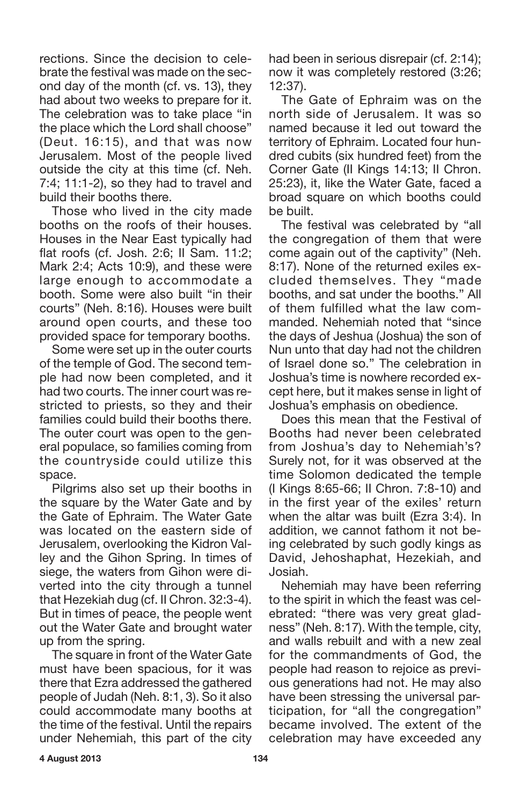rections. Since the decision to celebrate the festival was made on the second day of the month (cf. vs. 13), they had about two weeks to prepare for it. The celebration was to take place "in the place which the Lord shall choose" (Deut. 16:15), and that was now Jerusalem. Most of the people lived outside the city at this time (cf. Neh. 7:4; 11:1-2), so they had to travel and build their booths there.

Those who lived in the city made booths on the roofs of their houses. Houses in the Near East typically had flat roofs (cf. Josh. 2:6; II Sam. 11:2; Mark 2:4; Acts 10:9), and these were large enough to accommodate a booth. Some were also built "in their courts" (Neh. 8:16). Houses were built around open courts, and these too provided space for temporary booths.

Some were set up in the outer courts of the temple of God. The second temple had now been completed, and it had two courts. The inner court was restricted to priests, so they and their families could build their booths there. The outer court was open to the general populace, so families coming from the countryside could utilize this space.

Pilgrims also set up their booths in the square by the Water Gate and by the Gate of Ephraim. The Water Gate was located on the eastern side of Jerusalem, overlooking the Kidron Valley and the Gihon Spring. In times of siege, the waters from Gihon were diverted into the city through a tunnel that Hezekiah dug (cf. II Chron. 32:3-4). But in times of peace, the people went out the Water Gate and brought water up from the spring.

The square in front of the Water Gate must have been spacious, for it was there that Ezra addressed the gathered people of Judah (Neh. 8:1, 3). So it also could accommodate many booths at the time of the festival. Until the repairs under Nehemiah, this part of the city had been in serious disrepair (cf. 2:14); now it was completely restored (3:26; 12:37).

The Gate of Ephraim was on the north side of Jerusalem. It was so named because it led out toward the territory of Ephraim. Located four hundred cubits (six hundred feet) from the Corner Gate (II Kings 14:13; II Chron. 25:23), it, like the Water Gate, faced a broad square on which booths could be built.

The festival was celebrated by "all the congregation of them that were come again out of the captivity" (Neh. 8:17). None of the returned exiles excluded themselves. They "made booths, and sat under the booths." All of them fulfilled what the law commanded. Nehemiah noted that "since the days of Jeshua (Joshua) the son of Nun unto that day had not the children of Israel done so." The celebration in Joshua's time is nowhere recorded except here, but it makes sense in light of Joshua's emphasis on obedience.

Does this mean that the Festival of Booths had never been celebrated from Joshua's day to Nehemiah's? Surely not, for it was observed at the time Solomon dedicated the temple (I Kings 8:65-66; II Chron. 7:8-10) and in the first year of the exiles' return when the altar was built (Ezra 3:4). In addition, we cannot fathom it not being celebrated by such godly kings as David, Jehoshaphat, Hezekiah, and Josiah.

Nehemiah may have been referring to the spirit in which the feast was celebrated: "there was very great gladness" (Neh. 8:17). With the temple, city, and walls rebuilt and with a new zeal for the commandments of God, the people had reason to rejoice as previous generations had not. He may also have been stressing the universal participation, for "all the congregation" became involved. The extent of the celebration may have exceeded any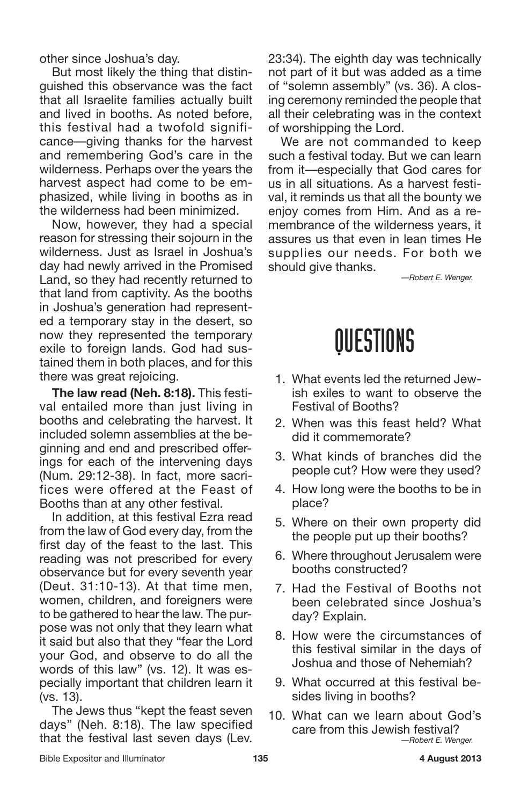other since Joshua's day.

But most likely the thing that distinguished this observance was the fact that all Israelite families actually built and lived in booths. As noted before, this festival had a twofold significance—giving thanks for the harvest and remembering God's care in the wilderness. Perhaps over the years the harvest aspect had come to be emphasized, while living in booths as in the wilderness had been minimized.

Now, however, they had a special reason for stressing their sojourn in the wilderness. Just as Israel in Joshua's day had newly arrived in the Promised Land, so they had recently returned to that land from captivity. As the booths in Joshua's generation had represented a temporary stay in the desert, so now they represented the temporary exile to foreign lands. God had sustained them in both places, and for this there was great rejoicing.

**The law read (Neh. 8:18).** This festival entailed more than just living in booths and celebrating the harvest. It included solemn assemblies at the beginning and end and prescribed offerings for each of the intervening days (Num. 29:12-38). In fact, more sacrifices were offered at the Feast of Booths than at any other festival.

In addition, at this festival Ezra read from the law of God every day, from the first day of the feast to the last. This reading was not prescribed for every observance but for every seventh year (Deut. 31:10-13). At that time men, women, children, and foreigners were to be gathered to hear the law. The purpose was not only that they learn what it said but also that they "fear the Lord your God, and observe to do all the words of this law" (vs. 12). It was especially important that children learn it (vs. 13).

The Jews thus "kept the feast seven days" (Neh. 8:18). The law specified that the festival last seven days (Lev. 23:34). The eighth day was technically not part of it but was added as a time of "solemn assembly" (vs. 36). A closing ceremony reminded the people that all their celebrating was in the context of worshipping the Lord.

We are not commanded to keep such a festival today. But we can learn from it—especially that God cares for us in all situations. As a harvest festival, it reminds us that all the bounty we enjoy comes from Him. And as a remembrance of the wilderness years, it assures us that even in lean times He supplies our needs. For both we should give thanks.

*—Robert E. Wenger.*

### QUESTIONS

- 1. What events led the returned Jewish exiles to want to observe the Festival of Booths?
- 2. When was this feast held? What did it commemorate?
- 3. What kinds of branches did the people cut? How were they used?
- 4. How long were the booths to be in place?
- 5. Where on their own property did the people put up their booths?
- 6. Where throughout Jerusalem were booths constructed?
- 7. Had the Festival of Booths not been celebrated since Joshua's day? Explain.
- 8. How were the circumstances of this festival similar in the days of Joshua and those of Nehemiah?
- 9. What occurred at this festival besides living in booths?
- 10. What can we learn about God's care from this Jewish festival? *—Robert E. Wenger.*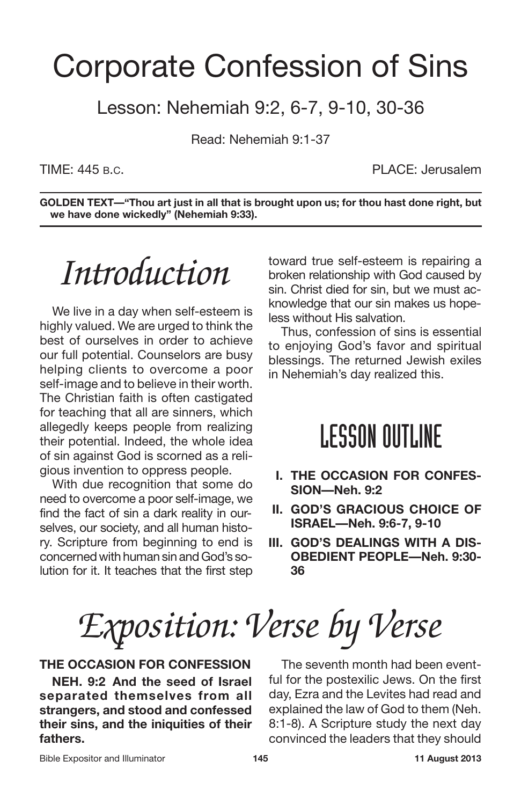### Corporate Confession of Sins

Lesson: Nehemiah 9:2, 6-7, 9-10, 30-36

Read: Nehemiah 9:1-37

TIME: 445 B.C. PLACE: Jerusalem

**GOLDEN TEXT—"Thou art just in all that is brought upon us; for thou hast done right, but we have done wickedly" (Nehemiah 9:33).**

## *Introduction*

We live in a day when self-esteem is highly valued. We are urged to think the best of ourselves in order to achieve our full potential. Counselors are busy helping clients to overcome a poor self-image and to believe in their worth. The Christian faith is often castigated for teaching that all are sinners, which allegedly keeps people from realizing their potential. Indeed, the whole idea of sin against God is scorned as a religious invention to oppress people.

With due recognition that some do need to overcome a poor self-image, we find the fact of sin a dark reality in ourselves, our society, and all human history. Scripture from beginning to end is concernedwith human sin andGod's solution for it. It teaches that the first step toward true self-esteem is repairing a broken relationship with God caused by sin. Christ died for sin, but we must acknowledge that our sin makes us hopeless without His salvation.

Thus, confession of sins is essential to enjoying God's favor and spiritual blessings. The returned Jewish exiles in Nehemiah's day realized this.

### **LESSON OUTLINE**

- **I. THE OCCASION FOR CONFES-SION—Neh. 9:2**
- **II. GOD'S GRACIOUS CHOICE OF ISRAEL—Neh. 9:6-7, 9-10**
- **III. GOD'S DEALINGS WITH A DIS-OBEDIENT PEOPLE—Neh. 9:30- 36**

*Exposition: Verse by Verse*

#### **THE OCCASION FOR CONFESSION**

**NEH. 9:2 And the seed of Israel separated themselves from all strangers, and stood and confessed their sins, and the iniquities of their fathers.**

The seventh month had been eventful for the postexilic Jews. On the first day, Ezra and the Levites had read and explained the law of God to them (Neh. 8:1-8). A Scripture study the next day convinced the leaders that they should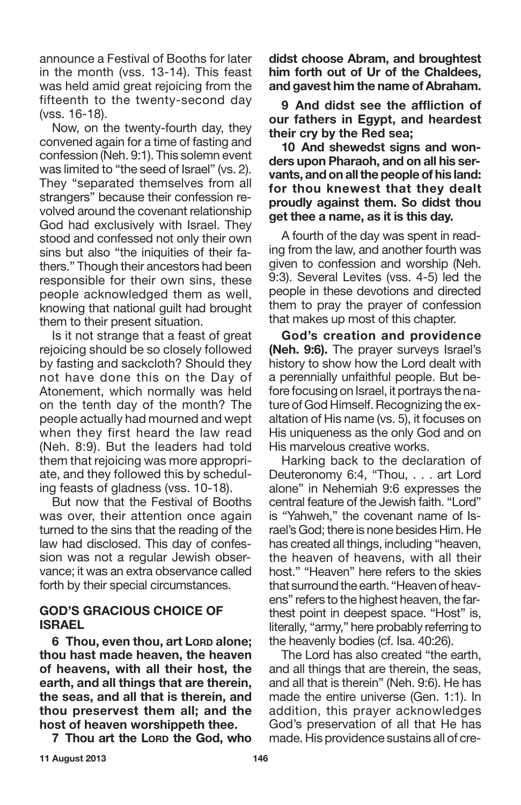announce a Festival of Booths for later in the month (vss. 13-14). This feast was held amid great rejoicing from the fifteenth to the twenty-second day (vss. 16-18).

Now, on the twenty-fourth day, they convened again for a time of fasting and confession (Neh. 9:1). This solemn event was limited to "the seed of Israel" (vs. 2). They "separated themselves from all strangers" because their confession revolved around the covenant relationship God had exclusively with Israel. They stood and confessed not only their own sins but also "the iniquities of their fathers." Though their ancestors had been responsible for their own sins, these people acknowledged them as well, knowing that national guilt had brought them to their present situation.

Is it not strange that a feast of great rejoicing should be so closely followed by fasting and sackcloth? Should they not have done this on the Day of Atonement, which normally was held on the tenth day of the month? The people actually had mourned and wept when they first heard the law read (Neh. 8:9). But the leaders had told them that rejoicing was more appropriate, and they followed this by scheduling feasts of gladness (vss. 10-18).

But now that the Festival of Booths was over, their attention once again turned to the sins that the reading of the law had disclosed. This day of confession was not a regular Jewish observance; it was an extra observance called forth by their special circumstances.

#### **GOD'S GRACIOUS CHOICE OF ISRAEL**

**6 Thou, even thou, art LORD alone; thou hast made heaven, the heaven of heavens, with all their host, the earth, and all things that are therein, the seas, and all that is therein, and thou preservest them all; and the host of heaven worshippeth thee.**

**7 Thou art the LORD the God, who**

**didst choose Abram, and broughtest him forth out of Ur of the Chaldees, and gavest him the name of Abraham.**

**9 And didst see the affliction of our fathers in Egypt, and heardest their cry by the Red sea;**

**10 And shewedst signs and wonders upon Pharaoh, and on all his servants, andon allthepeopleof his land: for thou knewest that they dealt proudly against them. So didst thou get thee a name, as it is this day.**

A fourth of the day was spent in reading from the law, and another fourth was given to confession and worship (Neh. 9:3). Several Levites (vss. 4-5) led the people in these devotions and directed them to pray the prayer of confession that makes up most of this chapter.

**God's creation and providence (Neh. 9:6).** The prayer surveys Israel's history to show how the Lord dealt with a perennially unfaithful people. But before focusing on Israel, it portrays the nature of God Himself. Recognizing the exaltation of His name (vs. 5), it focuses on His uniqueness as the only God and on His marvelous creative works.

Harking back to the declaration of Deuteronomy 6:4, "Thou, . . . art Lord alone" in Nehemiah 9:6 expresses the central feature of the Jewish faith. "Lord" is "Yahweh," the covenant name of Israel's God; there is none besides Him. He has created all things, including "heaven, the heaven of heavens, with all their host." "Heaven" here refers to the skies that surround the earth. "Heaven of heavens" refers to the highest heaven, the farthest point in deepest space. "Host" is, literally, "army," here probably referring to the heavenly bodies (cf. Isa. 40:26).

The Lord has also created "the earth, and all things that are therein, the seas, and all that is therein" (Neh. 9:6). He has made the entire universe (Gen. 1:1). In addition, this prayer acknowledges God's preservation of all that He has made. His providence sustains all of cre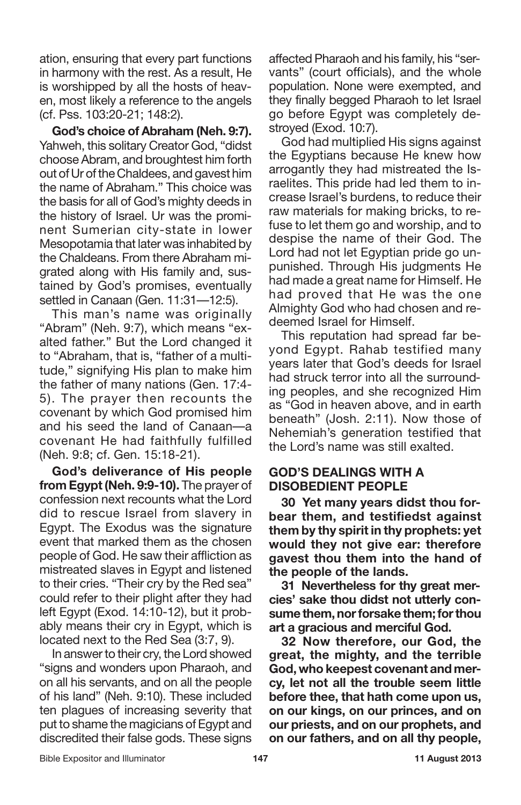ation, ensuring that every part functions in harmony with the rest. As a result, He is worshipped by all the hosts of heaven, most likely a reference to the angels (cf. Pss. 103:20-21; 148:2).

**God's choice of Abraham (Neh. 9:7).** Yahweh, this solitary Creator God, "didst choose Abram, and broughtest him forth out of Ur of the Chaldees, and gavest him the name of Abraham." This choice was the basis for all of God's mighty deeds in the history of Israel. Ur was the prominent Sumerian city-state in lower Mesopotamia that later was inhabited by the Chaldeans. From there Abraham migrated along with His family and, sustained by God's promises, eventually settled in Canaan (Gen. 11:31—12:5).

This man's name was originally "Abram" (Neh. 9:7), which means "exalted father." But the Lord changed it to "Abraham, that is, "father of a multitude," signifying His plan to make him the father of many nations (Gen. 17:4- 5). The prayer then recounts the covenant by which God promised him and his seed the land of Canaan—a covenant He had faithfully fulfilled (Neh. 9:8; cf. Gen. 15:18-21).

**God's deliverance of His people from Egypt(Neh. 9:9-10).** The prayer of confession next recounts what the Lord did to rescue Israel from slavery in Egypt. The Exodus was the signature event that marked them as the chosen people of God. He saw their affliction as mistreated slaves in Egypt and listened to their cries. "Their cry by the Red sea" could refer to their plight after they had left Egypt (Exod. 14:10-12), but it probably means their cry in Egypt, which is located next to the Red Sea (3:7, 9).

In answerto their cry, the Lord showed "signs and wonders upon Pharaoh, and on all his servants, and on all the people of his land" (Neh. 9:10). These included ten plagues of increasing severity that put to shame the magicians of Egypt and discredited their false gods. These signs affected Pharaoh and his family, his "servants" (court officials), and the whole population. None were exempted, and they finally begged Pharaoh to let Israel go before Egypt was completely destroyed (Exod. 10:7).

God had multiplied His signs against the Egyptians because He knew how arrogantly they had mistreated the Israelites. This pride had led them to increase Israel's burdens, to reduce their raw materials for making bricks, to refuse to let them go and worship, and to despise the name of their God. The Lord had not let Egyptian pride go unpunished. Through His judgments He had made a great name for Himself. He had proved that He was the one Almighty God who had chosen and redeemed Israel for Himself.

This reputation had spread far beyond Egypt. Rahab testified many years later that God's deeds for Israel had struck terror into all the surrounding peoples, and she recognized Him as "God in heaven above, and in earth beneath" (Josh. 2:11). Now those of Nehemiah's generation testified that the Lord's name was still exalted.

#### **GOD'S DEALINGS WITH A DISOBEDIENT PEOPLE**

**30 Yet many years didst thou forbear them, and testifiedst against them by thy spirit in thy prophets: yet would they not give ear: therefore gavest thou them into the hand of the people of the lands.**

**31 Nevertheless for thy great mercies' sake thou didst not utterly consumethem,norforsakethem;forthou art a gracious and merciful God.**

**32 Now therefore, our God, the great, the mighty, and the terrible God, who keepest covenant and mercy, let not all the trouble seem little before thee, that hath come upon us, on our kings, on our princes, and on our priests, and on our prophets, and on our fathers, and on all thy people,**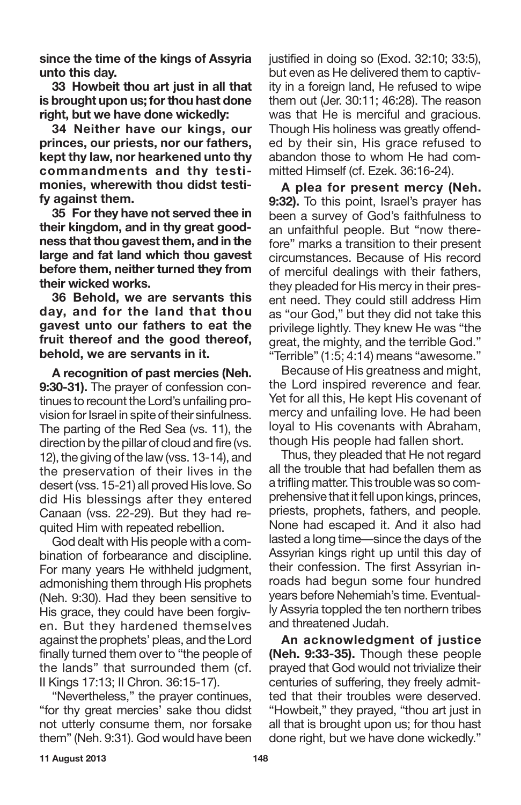**since the time of the kings of Assyria unto this day.**

**33 Howbeit thou art just in all that is brought upon us; forthou hast done right, but we have done wickedly:**

**34 Neither have our kings, our princes, our priests, nor our fathers, kept thy law, nor hearkened unto thy commandments and thy testimonies, wherewith thou didst testify against them.**

**35 For they have not served thee in their kingdom, and in thy great goodness that thou gavest them, and in the large and fat land which thou gavest before them, neither turned they from their wicked works.**

**36 Behold, we are servants this day, and for the land that thou gavest unto our fathers to eat the fruit thereof and the good thereof, behold, we are servants in it.**

**A recognition of past mercies (Neh. 9:30-31).** The prayer of confession continues to recount the Lord's unfailing provision for Israel in spite of their sinfulness. The parting of the Red Sea (vs. 11), the direction by the pillar of cloud and fire (vs. 12), the giving of the law (vss. 13-14), and the preservation of their lives in the desert (vss. 15-21) all proved His love. So did His blessings after they entered Canaan (vss. 22-29). But they had requited Him with repeated rebellion.

God dealt with His people with a combination of forbearance and discipline. For many years He withheld judgment, admonishing them through His prophets (Neh. 9:30). Had they been sensitive to His grace, they could have been forgiven. But they hardened themselves against the prophets' pleas, and the Lord finally turned them over to "the people of the lands" that surrounded them (cf. II Kings 17:13; II Chron. 36:15-17).

"Nevertheless," the prayer continues, "for thy great mercies' sake thou didst not utterly consume them, nor forsake them" (Neh. 9:31). God would have been justified in doing so (Exod. 32:10; 33:5), but even as He delivered them to captivity in a foreign land, He refused to wipe them out (Jer. 30:11; 46:28). The reason was that He is merciful and gracious. Though His holiness was greatly offended by their sin, His grace refused to abandon those to whom He had committed Himself (cf. Ezek. 36:16-24).

**A plea for present mercy (Neh. 9:32).** To this point, Israel's prayer has been a survey of God's faithfulness to an unfaithful people. But "now therefore" marks a transition to their present circumstances. Because of His record of merciful dealings with their fathers, they pleaded for His mercy in their present need. They could still address Him as "our God," but they did not take this privilege lightly. They knew He was "the great, the mighty, and the terrible God." "Terrible" (1:5; 4:14) means "awesome."

Because of His greatness and might, the Lord inspired reverence and fear. Yet for all this, He kept His covenant of mercy and unfailing love. He had been loyal to His covenants with Abraham, though His people had fallen short.

Thus, they pleaded that He not regard all the trouble that had befallen them as a trifling matter. This trouble was so comprehensive that it fell upon kings, princes, priests, prophets, fathers, and people. None had escaped it. And it also had lasted a long time—since the days of the Assyrian kings right up until this day of their confession. The first Assyrian inroads had begun some four hundred years before Nehemiah's time. Eventually Assyria toppled the ten northern tribes and threatened Judah.

**An acknowledgment of justice (Neh. 9:33-35).** Though these people prayed that God would not trivialize their centuries of suffering, they freely admitted that their troubles were deserved. "Howbeit," they prayed, "thou art just in all that is brought upon us; for thou hast done right, but we have done wickedly."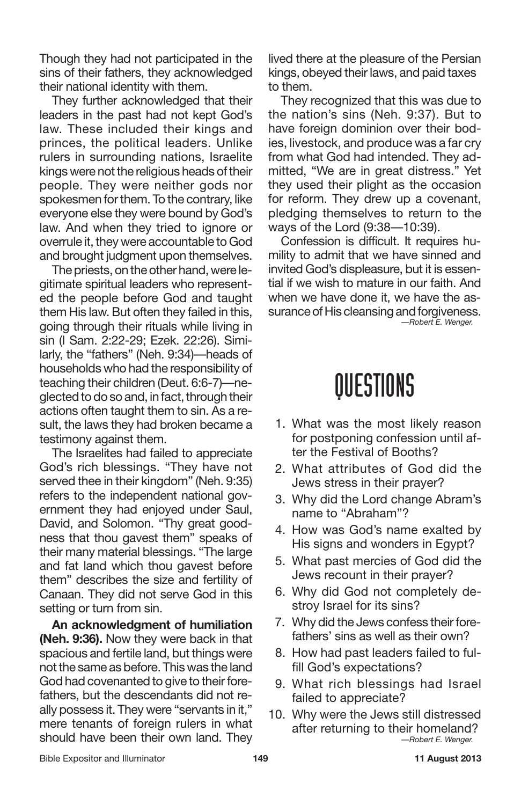Though they had not participated in the sins of their fathers, they acknowledged their national identity with them.

They further acknowledged that their leaders in the past had not kept God's law. These included their kings and princes, the political leaders. Unlike rulers in surrounding nations, Israelite kings were not the religious heads of their people. They were neither gods nor spokesmen for them. To the contrary, like everyone else they were bound by God's law. And when they tried to ignore or overrule it, they were accountable to God and brought judgment upon themselves.

The priests, on the other hand, were legitimate spiritual leaders who represented the people before God and taught them His law. But often they failed in this, going through their rituals while living in sin (I Sam. 2:22-29; Ezek. 22:26). Similarly, the "fathers" (Neh. 9:34)—heads of households who had the responsibility of teaching their children (Deut. 6:6-7)—neglected to do so and, in fact, through their actions often taught them to sin. As a result, the laws they had broken became a testimony against them.

The Israelites had failed to appreciate God's rich blessings. "They have not served thee in their kingdom" (Neh. 9:35) refers to the independent national government they had enjoyed under Saul, David, and Solomon. "Thy great goodness that thou gavest them" speaks of their many material blessings. "The large and fat land which thou gavest before them" describes the size and fertility of Canaan. They did not serve God in this setting or turn from sin.

**An acknowledgment of humiliation (Neh. 9:36).** Now they were back in that spacious and fertile land, but things were not the same as before. This was the land God had covenanted to give to their forefathers, but the descendants did not really possess it. They were "servants in it," mere tenants of foreign rulers in what should have been their own land. They

lived there at the pleasure of the Persian kings, obeyed their laws, and paid taxes to them.

They recognized that this was due to the nation's sins (Neh. 9:37). But to have foreign dominion over their bodies, livestock, and produce was a far cry from what God had intended. They admitted, "We are in great distress." Yet they used their plight as the occasion for reform. They drew up a covenant, pledging themselves to return to the ways of the Lord (9:38—10:39).

Confession is difficult. It requires humility to admit that we have sinned and invited God's displeasure, but it is essential if we wish to mature in our faith. And when we have done it, we have the assurance of His cleansing and forgiveness.

*—Robert E. Wenger.*

### QUESTIONS

- 1. What was the most likely reason for postponing confession until after the Festival of Booths?
- 2. What attributes of God did the Jews stress in their prayer?
- 3. Why did the Lord change Abram's name to "Abraham"?
- 4. How was God's name exalted by His signs and wonders in Egypt?
- 5. What past mercies of God did the Jews recount in their prayer?
- 6. Why did God not completely destroy Israel for its sins?
- 7. Why did the Jews confess their forefathers' sins as well as their own?
- 8. How had past leaders failed to fulfill God's expectations?
- 9. What rich blessings had Israel failed to appreciate?
- 10. Why were the Jews still distressed after returning to their homeland? *—Robert E. Wenger.*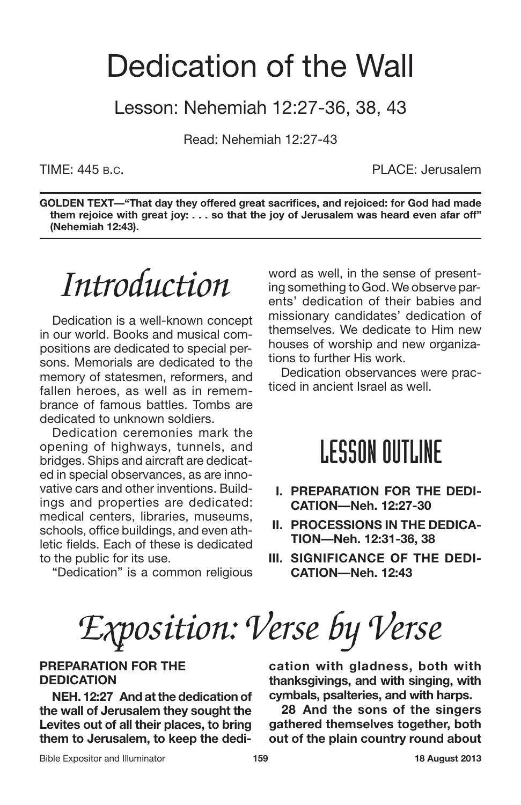### Dedication of the Wall

Lesson: Nehemiah 12:27-36, 38, 43

Read: Nehemiah 12:27-43

TIME: 445 B.C. PLACE: Jerusalem

**GOLDEN TEXT—"That day they offered great sacrifices, and rejoiced: for God had made them rejoice with great joy: . . . so that the joy of Jerusalem was heard even afar off" (Nehemiah 12:43).**

*Introduction*

Dedication is a well-known concept in our world. Books and musical compositions are dedicated to special persons. Memorials are dedicated to the memory of statesmen, reformers, and fallen heroes, as well as in remembrance of famous battles. Tombs are dedicated to unknown soldiers.

Dedication ceremonies mark the opening of highways, tunnels, and bridges. Ships and aircraft are dedicated in special observances, as are innovative cars and other inventions. Buildings and properties are dedicated: medical centers, libraries, museums, schools, office buildings, and even athletic fields. Each of these is dedicated to the public for its use.

"Dedication" is a common religious

word as well, in the sense of presenting something to God. We observe parents' dedication of their babies and missionary candidates' dedication of themselves. We dedicate to Him new houses of worship and new organizations to further His work.

Dedication observances were practiced in ancient Israel as well.

### **LESSON OUTLINE**

- **I. PREPARATION FOR THE DEDI-CATION—Neh. 12:27-30**
- **II. PROCESSIONS IN THE DEDICA-TION—Neh. 12:31-36, 38**
- **III. SIGNIFICANCE OF THE DEDI-CATION—Neh. 12:43**

*Exposition: Verse by Verse*

#### **PREPARATION FOR THE DEDICATION**

**NEH. 12:27 And atthe dedication of the wall of Jerusalem they sought the Levites out of all their places, to bring them to Jerusalem, to keep the dedi-** **cation with gladness, both with thanksgivings, and with singing, with cymbals, psalteries, and with harps.**

**28 And the sons of the singers gathered themselves together, both out of the plain country round about**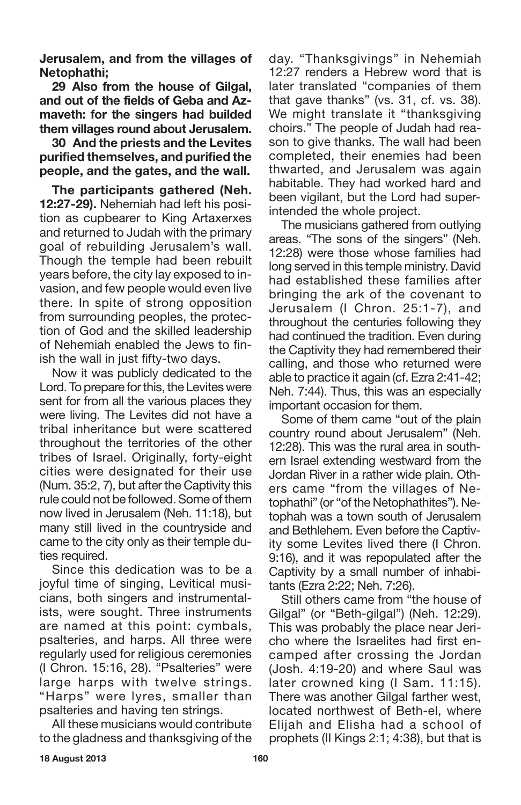**Jerusalem, and from the villages of Netophathi;**

**29 Also from the house of Gilgal, and out of the fields of Geba and Azmaveth: for the singers had builded them villages round about Jerusalem.**

**30 And the priests and the Levites purified themselves, and purified the people, and the gates, and the wall.**

**The participants gathered (Neh. 12:27-29).** Nehemiah had left his position as cupbearer to King Artaxerxes and returned to Judah with the primary goal of rebuilding Jerusalem's wall. Though the temple had been rebuilt years before, the city lay exposed to invasion, and few people would even live there. In spite of strong opposition from surrounding peoples, the protection of God and the skilled leadership of Nehemiah enabled the Jews to finish the wall in just fifty-two days.

Now it was publicly dedicated to the Lord. To prepare for this, the Levites were sent for from all the various places they were living. The Levites did not have a tribal inheritance but were scattered throughout the territories of the other tribes of Israel. Originally, forty-eight cities were designated for their use (Num. 35:2, 7), but after the Captivity this rule could not be followed. Some of them now lived in Jerusalem (Neh. 11:18), but many still lived in the countryside and came to the city only as their temple duties required.

Since this dedication was to be a joyful time of singing, Levitical musicians, both singers and instrumentalists, were sought. Three instruments are named at this point: cymbals, psalteries, and harps. All three were regularly used for religious ceremonies (I Chron. 15:16, 28). "Psalteries" were large harps with twelve strings. "Harps" were lyres, smaller than psalteries and having ten strings.

All these musicians would contribute to the gladness and thanksgiving of the day. "Thanksgivings" in Nehemiah 12:27 renders a Hebrew word that is later translated "companies of them that gave thanks" (vs. 31, cf. vs. 38). We might translate it "thanksgiving choirs." The people of Judah had reason to give thanks. The wall had been completed, their enemies had been thwarted, and Jerusalem was again habitable. They had worked hard and been vigilant, but the Lord had superintended the whole project.

The musicians gathered from outlying areas. "The sons of the singers" (Neh. 12:28) were those whose families had long served in this temple ministry. David had established these families after bringing the ark of the covenant to Jerusalem (I Chron. 25:1-7), and throughout the centuries following they had continued the tradition. Even during the Captivity they had remembered their calling, and those who returned were able to practice it again (cf. Ezra 2:41-42; Neh. 7:44). Thus, this was an especially important occasion for them.

Some of them came "out of the plain country round about Jerusalem" (Neh. 12:28). This was the rural area in southern Israel extending westward from the Jordan River in a rather wide plain. Others came "from the villages of Netophathi" (or "of the Netophathites"). Netophah was a town south of Jerusalem and Bethlehem. Even before the Captivity some Levites lived there (I Chron. 9:16), and it was repopulated after the Captivity by a small number of inhabitants (Ezra 2:22; Neh. 7:26).

Still others came from "the house of Gilgal" (or "Beth-gilgal") (Neh. 12:29). This was probably the place near Jericho where the Israelites had first encamped after crossing the Jordan (Josh. 4:19-20) and where Saul was later crowned king (I Sam. 11:15). There was another Gilgal farther west, located northwest of Beth-el, where Elijah and Elisha had a school of prophets (II Kings 2:1; 4:38), but that is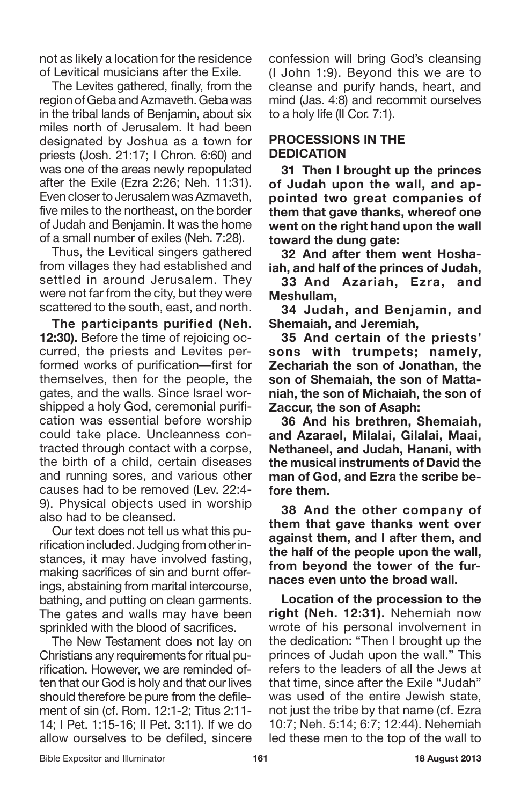not as likely a location for the residence of Levitical musicians after the Exile.

The Levites gathered, finally, from the region of Geba and Azmaveth. Geba was in the tribal lands of Benjamin, about six miles north of Jerusalem. It had been designated by Joshua as a town for priests (Josh. 21:17; I Chron. 6:60) and was one of the areas newly repopulated after the Exile (Ezra 2:26; Neh. 11:31). Even closer to Jerusalem was Azmayeth, five miles to the northeast, on the border of Judah and Benjamin. It was the home of a small number of exiles (Neh. 7:28).

Thus, the Levitical singers gathered from villages they had established and settled in around Jerusalem. They were not far from the city, but they were scattered to the south, east, and north.

**The participants purified (Neh. 12:30).** Before the time of rejoicing occurred, the priests and Levites performed works of purification—first for themselves, then for the people, the gates, and the walls. Since Israel worshipped a holy God, ceremonial purification was essential before worship could take place. Uncleanness contracted through contact with a corpse, the birth of a child, certain diseases and running sores, and various other causes had to be removed (Lev. 22:4- 9). Physical objects used in worship also had to be cleansed.

Our text does not tell us what this purification included. Judging from other instances, it may have involved fasting, making sacrifices of sin and burnt offerings, abstaining from marital intercourse, bathing, and putting on clean garments. The gates and walls may have been sprinkled with the blood of sacrifices.

The New Testament does not lay on Christians any requirements for ritual purification. However, we are reminded often that our God is holy and that our lives should therefore be pure from the defilement of sin (cf. Rom. 12:1-2; Titus 2:11- 14; I Pet. 1:15-16; II Pet. 3:11). If we do allow ourselves to be defiled, sincere confession will bring God's cleansing (I John 1:9). Beyond this we are to cleanse and purify hands, heart, and mind (Jas. 4:8) and recommit ourselves to a holy life (II Cor. 7:1).

#### **PROCESSIONS IN THE DEDICATION**

**31 Then I brought up the princes of Judah upon the wall, and appointed two great companies of them that gave thanks, whereof one went on the right hand upon the wall toward the dung gate:**

**32 And after them went Hoshaiah, and half of the princes of Judah,**

**33 And Azariah, Ezra, and Meshullam,**

**34 Judah, and Benjamin, and Shemaiah, and Jeremiah,**

**35 And certain of the priests' sons with trumpets; namely, Zechariah the son of Jonathan, the son of Shemaiah, the son of Mattaniah, the son of Michaiah, the son of Zaccur, the son of Asaph:**

**36 And his brethren, Shemaiah, and Azarael, Milalai, Gilalai, Maai, Nethaneel, and Judah, Hanani, with the musical instruments of David the man of God, and Ezra the scribe before them.**

**38 And the other company of them that gave thanks went over against them, and I after them, and the half of the people upon the wall, from beyond the tower of the furnaces even unto the broad wall.**

**Location of the procession to the right (Neh. 12:31).** Nehemiah now wrote of his personal involvement in the dedication: "Then I brought up the princes of Judah upon the wall." This refers to the leaders of all the Jews at that time, since after the Exile "Judah" was used of the entire Jewish state, not just the tribe by that name (cf. Ezra 10:7; Neh. 5:14; 6:7; 12:44). Nehemiah led these men to the top of the wall to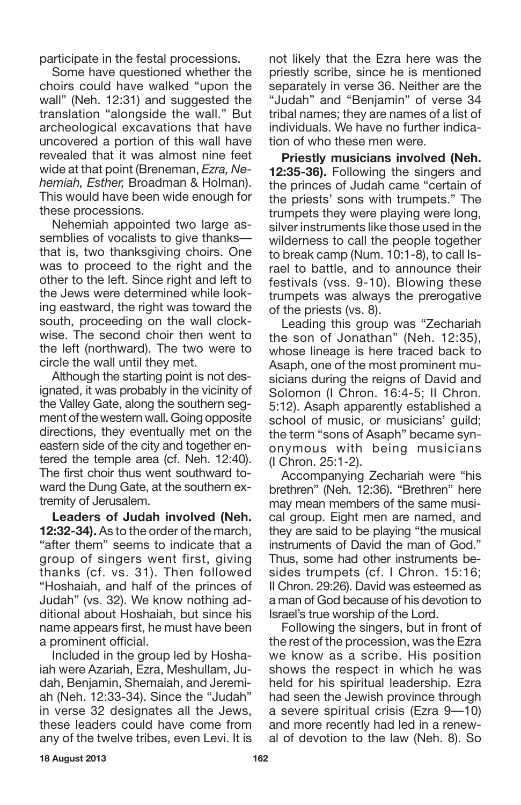participate in the festal processions.

Some have questioned whether the choirs could have walked "upon the wall" (Neh. 12:31) and suggested the translation "alongside the wall." But archeological excavations that have uncovered a portion of this wall have revealed that it was almost nine feet wide at that point (Breneman, *Ezra, Nehemiah, Esther,* Broadman & Holman). This would have been wide enough for these processions.

Nehemiah appointed two large assemblies of vocalists to give thanks that is, two thanksgiving choirs. One was to proceed to the right and the other to the left. Since right and left to the Jews were determined while looking eastward, the right was toward the south, proceeding on the wall clockwise. The second choir then went to the left (northward). The two were to circle the wall until they met.

Although the starting point is not designated, it was probably in the vicinity of the Valley Gate, along the southern segment of the western wall. Going opposite directions, they eventually met on the eastern side of the city and together entered the temple area (cf. Neh. 12:40). The first choir thus went southward toward the Dung Gate, at the southern extremity of Jerusalem.

**Leaders of Judah involved (Neh. 12:32-34).** As to the order of the march, "after them" seems to indicate that a group of singers went first, giving thanks (cf. vs. 31). Then followed "Hoshaiah, and half of the princes of Judah" (vs. 32). We know nothing additional about Hoshaiah, but since his name appears first, he must have been a prominent official.

Included in the group led by Hoshaiah were Azariah, Ezra, Meshullam, Judah, Benjamin, Shemaiah, and Jeremiah (Neh. 12:33-34). Since the "Judah" in verse 32 designates all the Jews, these leaders could have come from any of the twelve tribes, even Levi. It is not likely that the Ezra here was the priestly scribe, since he is mentioned separately in verse 36. Neither are the "Judah" and "Benjamin" of verse 34 tribal names; they are names of a list of individuals. We have no further indication of who these men were.

**Priestly musicians involved (Neh. 12:35-36).** Following the singers and the princes of Judah came "certain of the priests' sons with trumpets." The trumpets they were playing were long, silver instruments like those used in the wilderness to call the people together to break camp (Num. 10:1-8), to call Israel to battle, and to announce their festivals (vss. 9-10). Blowing these trumpets was always the prerogative of the priests (vs. 8).

Leading this group was "Zechariah the son of Jonathan" (Neh. 12:35), whose lineage is here traced back to Asaph, one of the most prominent musicians during the reigns of David and Solomon (I Chron. 16:4-5; II Chron. 5:12). Asaph apparently established a school of music, or musicians' guild; the term "sons of Asaph" became synonymous with being musicians (I Chron. 25:1-2).

Accompanying Zechariah were "his brethren" (Neh. 12:36). "Brethren" here may mean members of the same musical group. Eight men are named, and they are said to be playing "the musical instruments of David the man of God." Thus, some had other instruments besides trumpets (cf. I Chron. 15:16; II Chron. 29:26). David was esteemed as a man of God because of his devotion to Israel's true worship of the Lord.

Following the singers, but in front of the rest of the procession, was the Ezra we know as a scribe. His position shows the respect in which he was held for his spiritual leadership. Ezra had seen the Jewish province through a severe spiritual crisis (Ezra 9—10) and more recently had led in a renewal of devotion to the law (Neh. 8). So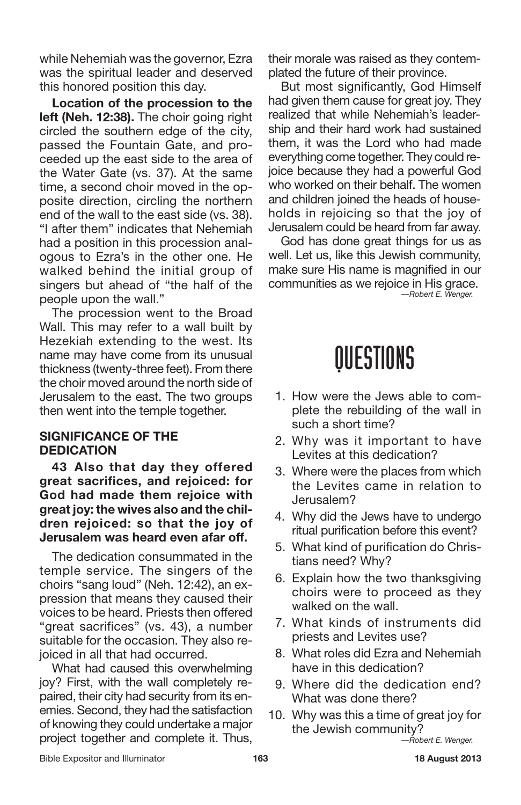while Nehemiah was the governor, Ezra was the spiritual leader and deserved this honored position this day.

**Location of the procession to the left (Neh. 12:38).** The choir going right circled the southern edge of the city, passed the Fountain Gate, and proceeded up the east side to the area of the Water Gate (vs. 37). At the same time, a second choir moved in the opposite direction, circling the northern end of the wall to the east side (vs. 38). "I after them" indicates that Nehemiah had a position in this procession analogous to Ezra's in the other one. He walked behind the initial group of singers but ahead of "the half of the people upon the wall."

The procession went to the Broad Wall. This may refer to a wall built by Hezekiah extending to the west. Its name may have come from its unusual thickness (twenty-three feet). From there the choir moved around the north side of Jerusalem to the east. The two groups then went into the temple together.

#### **SIGNIFICANCE OF THE DEDICATION**

**43 Also that day they offered great sacrifices, and rejoiced: for God had made them rejoice with great joy: the wives also and the children rejoiced: so that the joy of Jerusalem was heard even afar off.**

The dedication consummated in the temple service. The singers of the choirs "sang loud" (Neh. 12:42), an expression that means they caused their voices to be heard. Priests then offered "great sacrifices" (vs. 43), a number suitable for the occasion. They also rejoiced in all that had occurred.

What had caused this overwhelming joy? First, with the wall completely repaired, their city had security from its enemies. Second, they had the satisfaction of knowing they could undertake a major project together and complete it. Thus, their morale was raised as they contemplated the future of their province.

But most significantly, God Himself had given them cause for great joy. They realized that while Nehemiah's leadership and their hard work had sustained them, it was the Lord who had made everything come together. They could rejoice because they had a powerful God who worked on their behalf. The women and children joined the heads of households in rejoicing so that the joy of Jerusalem could be heard from far away.

God has done great things for us as well. Let us, like this Jewish community, make sure His name is magnified in our communities as we rejoice in His grace. *—Robert E. Wenger.*

### QUESTIONS

- 1. How were the Jews able to complete the rebuilding of the wall in such a short time?
- 2. Why was it important to have Levites at this dedication?
- 3. Where were the places from which the Levites came in relation to Jerusalem?
- 4. Why did the Jews have to undergo ritual purification before this event?
- 5. What kind of purification do Christians need? Why?
- 6. Explain how the two thanksgiving choirs were to proceed as they walked on the wall.
- 7. What kinds of instruments did priests and Levites use?
- 8. What roles did Ezra and Nehemiah have in this dedication?
- 9. Where did the dedication end? What was done there?
- 10. Why was this a time of great joy for the Jewish community?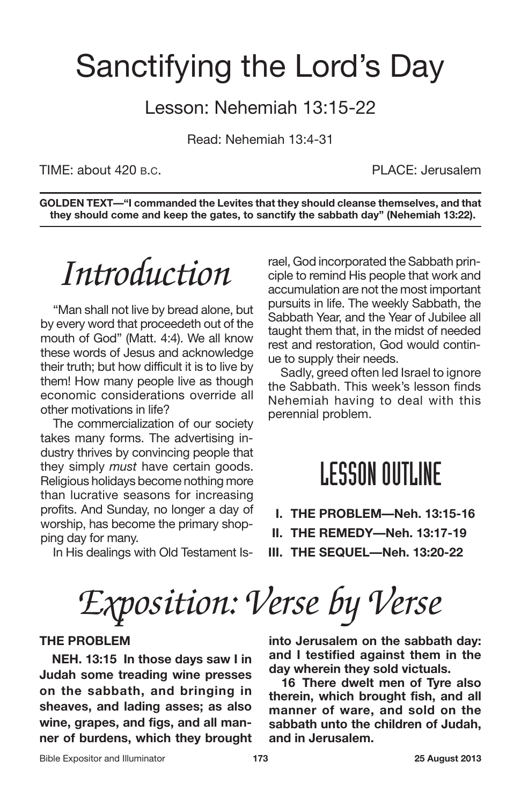### Sanctifying the Lord's Day

#### Lesson: Nehemiah 13:15-22

Read: Nehemiah 13:4-31

TIME: about 420 B.C. PLACE: Jerusalem

**GOLDEN TEXT—"I commanded the Levites that they should cleanse themselves, and that they should come and keep the gates, to sanctify the sabbath day" (Nehemiah 13:22).**

## *Introduction*

"Man shall not live by bread alone, but by every word that proceedeth out of the mouth of God" (Matt. 4:4). We all know these words of Jesus and acknowledge their truth; but how difficult it is to live by them! How many people live as though economic considerations override all other motivations in life?

The commercialization of our society takes many forms. The advertising industry thrives by convincing people that they simply *must* have certain goods. Religious holidays become nothing more than lucrative seasons for increasing profits. And Sunday, no longer a day of worship, has become the primary shopping day for many.

In His dealings with Old Testament Is-

rael, God incorporated the Sabbath principle to remind His people that work and accumulation are not the most important pursuits in life. The weekly Sabbath, the Sabbath Year, and the Year of Jubilee all taught them that, in the midst of needed rest and restoration, God would continue to supply their needs.

Sadly, greed often led Israel to ignore the Sabbath. This week's lesson finds Nehemiah having to deal with this perennial problem.

#### **LESSON OUTLINE**

- **I. THE PROBLEM—Neh. 13:15-16**
- **II. THE REMEDY—Neh. 13:17-19**
- **III. THE SEQUEL—Neh. 13:20-22**

*Exposition: Verse by Verse*

#### **THE PROBLEM**

**NEH. 13:15 In those days saw I in Judah some treading wine presses on the sabbath, and bringing in sheaves, and lading asses; as also wine, grapes, and figs, and all manner of burdens, which they brought** **into Jerusalem on the sabbath day: and I testified against them in the day wherein they sold victuals.**

**16 There dwelt men of Tyre also therein, which brought fish, and all manner of ware, and sold on the sabbath unto the children of Judah, and in Jerusalem.**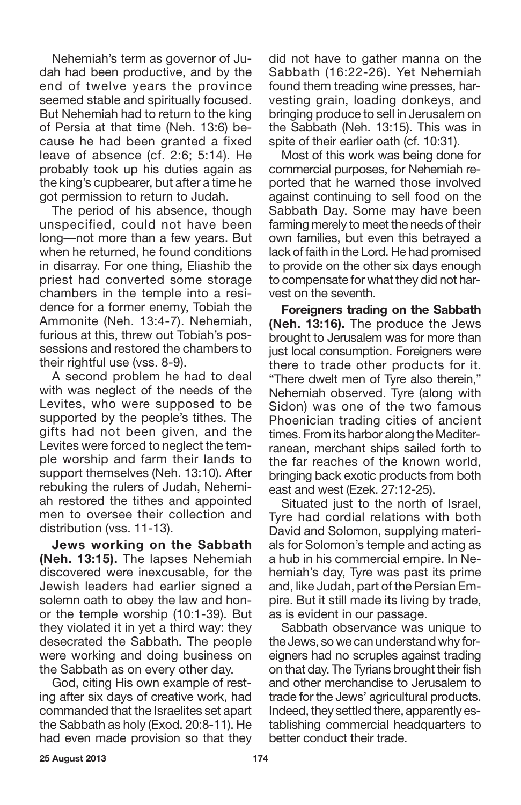Nehemiah's term as governor of Judah had been productive, and by the end of twelve years the province seemed stable and spiritually focused. But Nehemiah had to return to the king of Persia at that time (Neh. 13:6) because he had been granted a fixed leave of absence (cf. 2:6; 5:14). He probably took up his duties again as the king's cupbearer, but after a time he got permission to return to Judah.

The period of his absence, though unspecified, could not have been long—not more than a few years. But when he returned, he found conditions in disarray. For one thing, Eliashib the priest had converted some storage chambers in the temple into a residence for a former enemy, Tobiah the Ammonite (Neh. 13:4-7). Nehemiah, furious at this, threw out Tobiah's possessions and restored the chambers to their rightful use (vss. 8-9).

A second problem he had to deal with was neglect of the needs of the Levites, who were supposed to be supported by the people's tithes. The gifts had not been given, and the Levites were forced to neglect the temple worship and farm their lands to support themselves (Neh. 13:10). After rebuking the rulers of Judah, Nehemiah restored the tithes and appointed men to oversee their collection and distribution (vss. 11-13).

**Jews working on the Sabbath (Neh. 13:15).** The lapses Nehemiah discovered were inexcusable, for the Jewish leaders had earlier signed a solemn oath to obey the law and honor the temple worship (10:1-39). But they violated it in yet a third way: they desecrated the Sabbath. The people were working and doing business on the Sabbath as on every other day.

God, citing His own example of resting after six days of creative work, had commanded that the Israelites set apart the Sabbath as holy (Exod. 20:8-11). He had even made provision so that they did not have to gather manna on the Sabbath (16:22-26). Yet Nehemiah found them treading wine presses, harvesting grain, loading donkeys, and bringing produce to sell in Jerusalem on the Sabbath (Neh. 13:15). This was in spite of their earlier oath (cf. 10:31).

Most of this work was being done for commercial purposes, for Nehemiah reported that he warned those involved against continuing to sell food on the Sabbath Day. Some may have been farming merely to meet the needs of their own families, but even this betrayed a lack of faith in the Lord. He had promised to provide on the other six days enough to compensate for what they did not harvest on the seventh.

**Foreigners trading on the Sabbath (Neh. 13:16).** The produce the Jews brought to Jerusalem was for more than just local consumption. Foreigners were there to trade other products for it. "There dwelt men of Tyre also therein," Nehemiah observed. Tyre (along with Sidon) was one of the two famous Phoenician trading cities of ancient times. From its harbor along the Mediterranean, merchant ships sailed forth to the far reaches of the known world, bringing back exotic products from both east and west (Ezek. 27:12-25).

Situated just to the north of Israel, Tyre had cordial relations with both David and Solomon, supplying materials for Solomon's temple and acting as a hub in his commercial empire. In Nehemiah's day, Tyre was past its prime and, like Judah, part of the Persian Empire. But it still made its living by trade, as is evident in our passage.

Sabbath observance was unique to the Jews, sowe can understandwhy foreigners had no scruples against trading on that day. The Tyrians brought their fish and other merchandise to Jerusalem to trade for the Jews' agricultural products. Indeed, they settled there, apparently establishing commercial headquarters to better conduct their trade.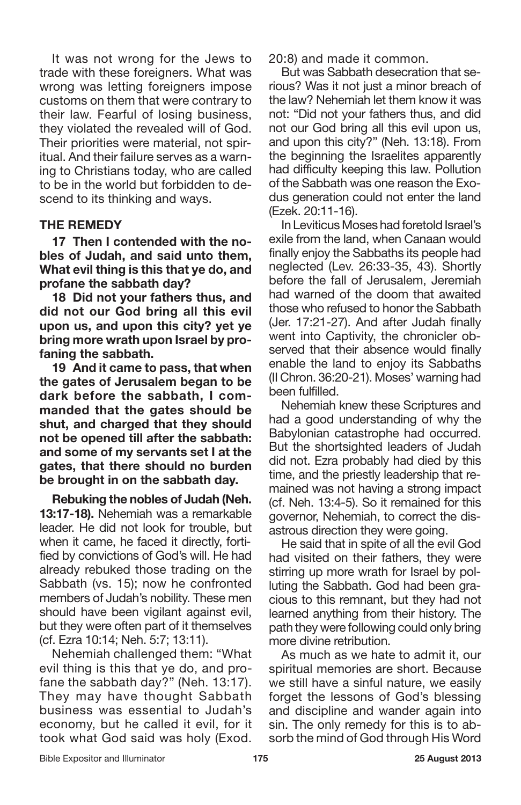It was not wrong for the Jews to trade with these foreigners. What was wrong was letting foreigners impose customs on them that were contrary to their law. Fearful of losing business, they violated the revealed will of God. Their priorities were material, not spiritual. And their failure serves as a warning to Christians today, who are called to be in the world but forbidden to descend to its thinking and ways.

#### **THE REMEDY**

**17 Then I contended with the nobles of Judah, and said unto them, What evil thing is this that ye do, and profane the sabbath day?**

**18 Did not your fathers thus, and did not our God bring all this evil upon us, and upon this city? yet ye bring more wrath upon Israel by profaning the sabbath.**

**19 And it came to pass, that when the gates of Jerusalem began to be dark before the sabbath, I commanded that the gates should be shut, and charged that they should not be opened till after the sabbath: and some of my servants set I at the gates, that there should no burden be brought in on the sabbath day.**

**Rebuking the nobles of Judah (Neh. 13:17-18).** Nehemiah was a remarkable leader. He did not look for trouble, but when it came, he faced it directly, fortified by convictions of God's will. He had already rebuked those trading on the Sabbath (vs. 15); now he confronted members of Judah's nobility. These men should have been vigilant against evil, but they were often part of it themselves (cf. Ezra 10:14; Neh. 5:7; 13:11).

Nehemiah challenged them: "What evil thing is this that ye do, and profane the sabbath day?" (Neh. 13:17). They may have thought Sabbath business was essential to Judah's economy, but he called it evil, for it took what God said was holy (Exod.

20:8) and made it common.

But was Sabbath desecration that serious? Was it not just a minor breach of the law? Nehemiah let them know it was not: "Did not your fathers thus, and did not our God bring all this evil upon us, and upon this city?" (Neh. 13:18). From the beginning the Israelites apparently had difficulty keeping this law. Pollution of the Sabbath was one reason the Exodus generation could not enter the land (Ezek. 20:11-16).

In Leviticus Moses had foretold Israel's exile from the land, when Canaan would finally enjoy the Sabbaths its people had neglected (Lev. 26:33-35, 43). Shortly before the fall of Jerusalem, Jeremiah had warned of the doom that awaited those who refused to honor the Sabbath (Jer. 17:21-27). And after Judah finally went into Captivity, the chronicler observed that their absence would finally enable the land to enjoy its Sabbaths (II Chron. 36:20-21). Moses' warning had been fulfilled.

Nehemiah knew these Scriptures and had a good understanding of why the Babylonian catastrophe had occurred. But the shortsighted leaders of Judah did not. Ezra probably had died by this time, and the priestly leadership that remained was not having a strong impact (cf. Neh. 13:4-5). So it remained for this governor, Nehemiah, to correct the disastrous direction they were going.

He said that in spite of all the evil God had visited on their fathers, they were stirring up more wrath for Israel by polluting the Sabbath. God had been gracious to this remnant, but they had not learned anything from their history. The path they were following could only bring more divine retribution.

As much as we hate to admit it, our spiritual memories are short. Because we still have a sinful nature, we easily forget the lessons of God's blessing and discipline and wander again into sin. The only remedy for this is to absorb the mind of God through His Word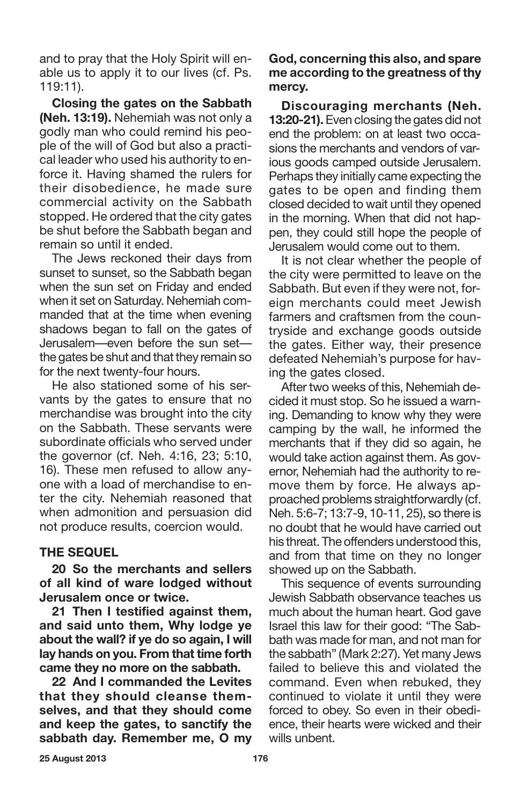and to pray that the Holy Spirit will enable us to apply it to our lives (cf. Ps. 119:11).

**Closing the gates on the Sabbath (Neh. 13:19).** Nehemiah was not only a godly man who could remind his people of the will of God but also a practical leader who used his authority to enforce it. Having shamed the rulers for their disobedience, he made sure commercial activity on the Sabbath stopped. He ordered that the city gates be shut before the Sabbath began and remain so until it ended.

The Jews reckoned their days from sunset to sunset, so the Sabbath began when the sun set on Friday and ended when it set on Saturday. Nehemiah commanded that at the time when evening shadows began to fall on the gates of Jerusalem—even before the sun set the gates be shut and that they remain so for the next twenty-four hours.

He also stationed some of his servants by the gates to ensure that no merchandise was brought into the city on the Sabbath. These servants were subordinate officials who served under the governor (cf. Neh. 4:16, 23; 5:10, 16). These men refused to allow anyone with a load of merchandise to enter the city. Nehemiah reasoned that when admonition and persuasion did not produce results, coercion would.

#### **THE SEQUEL**

**20 So the merchants and sellers of all kind of ware lodged without Jerusalem once or twice.**

**21 Then I testified against them, and said unto them, Why lodge ye about the wall? if ye do so again, I will lay hands on you. From that time forth came they no more on the sabbath.**

**22 And I commanded the Levites that they should cleanse themselves, and that they should come and keep the gates, to sanctify the sabbath day. Remember me, O my** **God, concerning this also, and spare me according to the greatness of thy mercy.**

**Discouraging merchants (Neh. 13:20-21).** Even closing the gates did not end the problem: on at least two occasions the merchants and vendors of various goods camped outside Jerusalem. Perhaps they initially came expecting the gates to be open and finding them closed decided to wait until they opened in the morning. When that did not happen, they could still hope the people of Jerusalem would come out to them.

It is not clear whether the people of the city were permitted to leave on the Sabbath. But even if they were not, foreign merchants could meet Jewish farmers and craftsmen from the countryside and exchange goods outside the gates. Either way, their presence defeated Nehemiah's purpose for having the gates closed.

After two weeks of this, Nehemiah decided it must stop. So he issued a warning. Demanding to know why they were camping by the wall, he informed the merchants that if they did so again, he would take action against them. As governor, Nehemiah had the authority to remove them by force. He always approached problems straightforwardly (cf. Neh. 5:6-7; 13:7-9, 10-11, 25), so there is no doubt that he would have carried out his threat. The offenders understood this, and from that time on they no longer showed up on the Sabbath.

This sequence of events surrounding Jewish Sabbath observance teaches us much about the human heart. God gave Israel this law for their good: "The Sabbath was made for man, and not man for the sabbath" (Mark 2:27). Yet many Jews failed to believe this and violated the command. Even when rebuked, they continued to violate it until they were forced to obey. So even in their obedience, their hearts were wicked and their wills unbent.